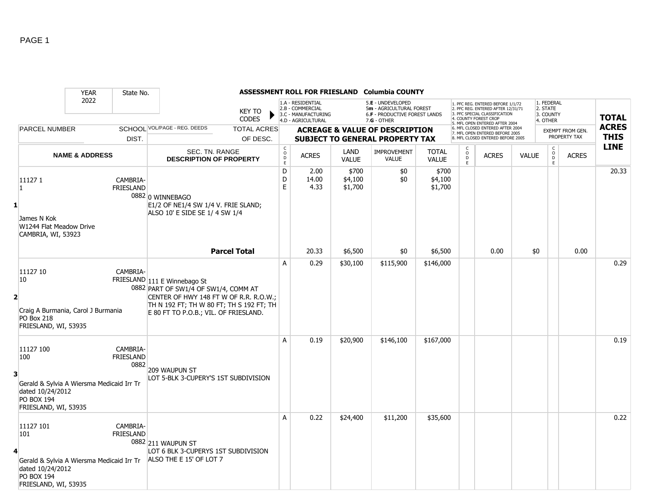|   |                                                                                                                                | <b>YEAR</b>               | State No.                            |                                                                                                                                                                                                     |                                |                                             |                                                                                    |                             | ASSESSMENT ROLL FOR FRIESLAND Columbia COUNTY                                                   |                              |                         |                                                                                                                                                                     |              |                                                 |                                  |                             |
|---|--------------------------------------------------------------------------------------------------------------------------------|---------------------------|--------------------------------------|-----------------------------------------------------------------------------------------------------------------------------------------------------------------------------------------------------|--------------------------------|---------------------------------------------|------------------------------------------------------------------------------------|-----------------------------|-------------------------------------------------------------------------------------------------|------------------------------|-------------------------|---------------------------------------------------------------------------------------------------------------------------------------------------------------------|--------------|-------------------------------------------------|----------------------------------|-----------------------------|
|   |                                                                                                                                | 2022                      |                                      |                                                                                                                                                                                                     | <b>KEY TO</b><br><b>CODES</b>  |                                             | 1.A - RESIDENTIAL<br>2.B - COMMERCIAL<br>3.C - MANUFACTURING<br>4.D - AGRICULTURAL |                             | 5.E - UNDEVELOPED<br>5m - AGRICULTURAL FOREST<br>6.F - PRODUCTIVE FOREST LANDS<br>$7.G - OTHER$ |                              |                         | 1. PFC REG. ENTERED BEFORE 1/1/72<br>2. PFC REG. ENTERED AFTER 12/31/71<br>3. PFC SPECIAL CLASSIFICATION<br>4. COUNTY FOREST CROP<br>5. MFL OPEN ENTERED AFTER 2004 |              | 1. FEDERAL<br>2. STATE<br>3. COUNTY<br>4. OTHER |                                  | <b>TOTAL</b>                |
|   | <b>PARCEL NUMBER</b>                                                                                                           |                           | DIST.                                | SCHOOL VOL/PAGE - REG. DEEDS                                                                                                                                                                        | <b>TOTAL ACRES</b><br>OF DESC. |                                             |                                                                                    |                             | <b>ACREAGE &amp; VALUE OF DESCRIPTION</b><br><b>SUBJECT TO GENERAL PROPERTY TAX</b>             |                              |                         | 6. MFL CLOSED ENTERED AFTER 2004<br>7. MFL OPEN ENTERED BEFORE 2005<br>8. MFL CLOSED ENTERED BEFORE 2005                                                            |              |                                                 | EXEMPT FROM GEN.<br>PROPERTY TAX | <b>ACRES</b><br><b>THIS</b> |
|   |                                                                                                                                | <b>NAME &amp; ADDRESS</b> |                                      | SEC. TN. RANGE<br><b>DESCRIPTION OF PROPERTY</b>                                                                                                                                                    |                                | $\mathsf{C}$<br>$\circ$<br>D<br>$\mathsf E$ | <b>ACRES</b>                                                                       | LAND<br><b>VALUE</b>        | <b>IMPROVEMENT</b><br><b>VALUE</b>                                                              | <b>TOTAL</b><br><b>VALUE</b> | $_{\rm D}^{\rm O}$<br>E | <b>ACRES</b>                                                                                                                                                        | <b>VALUE</b> | $\begin{matrix} 0 \\ 0 \\ 0 \end{matrix}$<br>E  | <b>ACRES</b>                     | <b>LINE</b>                 |
|   | 111271<br>$\mathbf{1}$<br>James N Kok<br>W1244 Flat Meadow Drive<br>CAMBRIA, WI, 53923                                         |                           | CAMBRIA-<br><b>FRIESLAND</b>         | 0882 0 WINNEBAGO<br>E1/2 OF NE1/4 SW 1/4 V. FRIE SLAND;<br>ALSO 10' E SIDE SE 1/ 4 SW 1/4                                                                                                           |                                | D<br>D<br>$\mathsf E$                       | 2.00<br>14.00<br>4.33                                                              | \$700<br>\$4,100<br>\$1,700 | \$0<br>\$0                                                                                      | \$700<br>\$4,100<br>\$1,700  |                         |                                                                                                                                                                     |              |                                                 |                                  | 20.33                       |
|   |                                                                                                                                |                           |                                      |                                                                                                                                                                                                     | <b>Parcel Total</b>            |                                             | 20.33                                                                              | \$6,500                     | \$0                                                                                             | \$6,500                      |                         | 0.00                                                                                                                                                                | \$0          |                                                 | 0.00                             |                             |
| 2 | 11127 10<br>10<br>Craig A Burmania, Carol J Burmania<br><b>PO Box 218</b><br>FRIESLAND, WI, 53935                              |                           | CAMBRIA-                             | FRIESLAND 111 E Winnebago St<br>0882 PART OF SW1/4 OF SW1/4, COMM AT<br>CENTER OF HWY 148 FT W OF R.R. R.O.W.;<br>TH N 192 FT; TH W 80 FT; TH S 192 FT; TH<br>E 80 FT TO P.O.B.; VIL. OF FRIESLAND. |                                | A                                           | 0.29                                                                               | \$30,100                    | \$115,900                                                                                       | \$146,000                    |                         |                                                                                                                                                                     |              |                                                 |                                  | 0.29                        |
| 3 | 11127 100<br>100<br>Gerald & Sylvia A Wiersma Medicaid Irr Tr<br>dated 10/24/2012<br><b>PO BOX 194</b><br>FRIESLAND, WI, 53935 |                           | CAMBRIA-<br><b>FRIESLAND</b><br>0882 | 209 WAUPUN ST<br>LOT 5-BLK 3-CUPERY'S 1ST SUBDIVISION                                                                                                                                               |                                | A                                           | 0.19                                                                               | \$20,900                    | \$146,100                                                                                       | \$167,000                    |                         |                                                                                                                                                                     |              |                                                 |                                  | 0.19                        |
| 4 | 11127 101<br>101<br>Gerald & Sylvia A Wiersma Medicaid Irr Tr<br>dated 10/24/2012<br><b>PO BOX 194</b><br>FRIESLAND, WI, 53935 |                           | CAMBRIA-<br><b>FRIESLAND</b>         | 0882 211 WAUPUN ST<br>LOT 6 BLK 3-CUPERYS 1ST SUBDIVISION<br>ALSO THE E 15' OF LOT 7                                                                                                                |                                | A                                           | 0.22                                                                               | \$24,400                    | \$11,200                                                                                        | \$35,600                     |                         |                                                                                                                                                                     |              |                                                 |                                  | 0.22                        |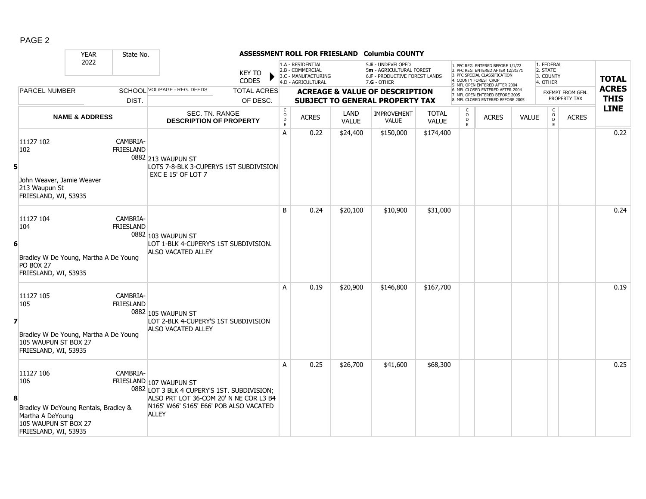|--|--|

|                |                                                                                                                              | <b>YEAR</b>               | State No.                    |                                                                                                                                                                            |                                |                  |                                                                                    |                      | ASSESSMENT ROLL FOR FRIESLAND Columbia COUNTY                                                   |                              |                                                 |                                                                                                                                                                     |              |                                                 |                                  |                             |
|----------------|------------------------------------------------------------------------------------------------------------------------------|---------------------------|------------------------------|----------------------------------------------------------------------------------------------------------------------------------------------------------------------------|--------------------------------|------------------|------------------------------------------------------------------------------------|----------------------|-------------------------------------------------------------------------------------------------|------------------------------|-------------------------------------------------|---------------------------------------------------------------------------------------------------------------------------------------------------------------------|--------------|-------------------------------------------------|----------------------------------|-----------------------------|
|                |                                                                                                                              | 2022                      |                              |                                                                                                                                                                            | <b>KEY TO</b><br><b>CODES</b>  |                  | 1.A - RESIDENTIAL<br>2.B - COMMERCIAL<br>3.C - MANUFACTURING<br>4.D - AGRICULTURAL |                      | 5.E - UNDEVELOPED<br>5m - AGRICULTURAL FOREST<br>6.F - PRODUCTIVE FOREST LANDS<br>$7.G - OTHER$ |                              |                                                 | 1. PFC REG. ENTERED BEFORE 1/1/72<br>2. PFC REG. ENTERED AFTER 12/31/71<br>3. PFC SPECIAL CLASSIFICATION<br>4. COUNTY FOREST CROP<br>5. MFL OPEN ENTERED AFTER 2004 |              | 1. FEDERAL<br>2. STATE<br>3. COUNTY<br>4. OTHER |                                  | <b>TOTAL</b>                |
|                | <b>PARCEL NUMBER</b>                                                                                                         |                           | DIST.                        | SCHOOL VOL/PAGE - REG. DEEDS                                                                                                                                               | <b>TOTAL ACRES</b><br>OF DESC. |                  |                                                                                    |                      | <b>ACREAGE &amp; VALUE OF DESCRIPTION</b><br><b>SUBJECT TO GENERAL PROPERTY TAX</b>             |                              |                                                 | 6. MFL CLOSED ENTERED AFTER 2004<br>7. MFL OPEN ENTERED BEFORE 2005<br>8. MFL CLOSED ENTERED BEFORE 2005                                                            |              |                                                 | EXEMPT FROM GEN.<br>PROPERTY TAX | <b>ACRES</b><br><b>THIS</b> |
|                |                                                                                                                              | <b>NAME &amp; ADDRESS</b> |                              | SEC. TN. RANGE<br><b>DESCRIPTION OF PROPERTY</b>                                                                                                                           |                                | C<br>D<br>D<br>E | <b>ACRES</b>                                                                       | LAND<br><b>VALUE</b> | <b>IMPROVEMENT</b><br><b>VALUE</b>                                                              | <b>TOTAL</b><br><b>VALUE</b> | $\begin{array}{c} C \\ O \\ D \\ E \end{array}$ | <b>ACRES</b>                                                                                                                                                        | <b>VALUE</b> | C<br>$_{\rm D}^{\rm O}$<br>E                    | <b>ACRES</b>                     | <b>LINE</b>                 |
| 5 <sup>1</sup> | 11127 102<br>102<br>John Weaver, Jamie Weaver<br>213 Waupun St<br>FRIESLAND, WI, 53935                                       |                           | CAMBRIA-<br><b>FRIESLAND</b> | 0882 213 WAUPUN ST<br>LOTS 7-8-BLK 3-CUPERYS 1ST SUBDIVISION<br><b>EXC E 15' OF LOT 7</b>                                                                                  |                                | A                | 0.22                                                                               | \$24,400             | \$150,000                                                                                       | \$174,400                    |                                                 |                                                                                                                                                                     |              |                                                 |                                  | 0.22                        |
| 6              | 11127 104<br>104<br>Bradley W De Young, Martha A De Young<br>PO BOX 27<br>FRIESLAND, WI, 53935                               |                           | CAMBRIA-<br>FRIESLAND        | 0882 103 WAUPUN ST<br>LOT 1-BLK 4-CUPERY'S 1ST SUBDIVISION.<br><b>ALSO VACATED ALLEY</b>                                                                                   |                                | B                | 0.24                                                                               | \$20,100             | \$10,900                                                                                        | \$31,000                     |                                                 |                                                                                                                                                                     |              |                                                 |                                  | 0.24                        |
| $\overline{z}$ | 11127 105<br>105<br>Bradley W De Young, Martha A De Young<br>105 WAUPUN ST BOX 27<br>FRIESLAND, WI, 53935                    |                           | CAMBRIA-<br><b>FRIESLAND</b> | 0882 105 WAUPUN ST<br>LOT 2-BLK 4-CUPERY'S 1ST SUBDIVISION<br><b>ALSO VACATED ALLEY</b>                                                                                    |                                | A                | 0.19                                                                               | \$20,900             | \$146,800                                                                                       | \$167,700                    |                                                 |                                                                                                                                                                     |              |                                                 |                                  | 0.19                        |
| 8              | 11127 106<br>106<br>Bradley W DeYoung Rentals, Bradley &<br>Martha A DeYoung<br>105 WAUPUN ST BOX 27<br>FRIESLAND, WI, 53935 |                           | CAMBRIA-                     | FRIESLAND 107 WAUPUN ST<br>0882 LOT 3 BLK 4 CUPERY'S 1ST. SUBDIVISION;<br>ALSO PRT LOT 36-COM 20' N NE COR L3 B4<br>N165' W66' S165' E66' POB ALSO VACATED<br><b>ALLEY</b> |                                | A                | 0.25                                                                               | \$26,700             | \$41,600                                                                                        | \$68,300                     |                                                 |                                                                                                                                                                     |              |                                                 |                                  | 0.25                        |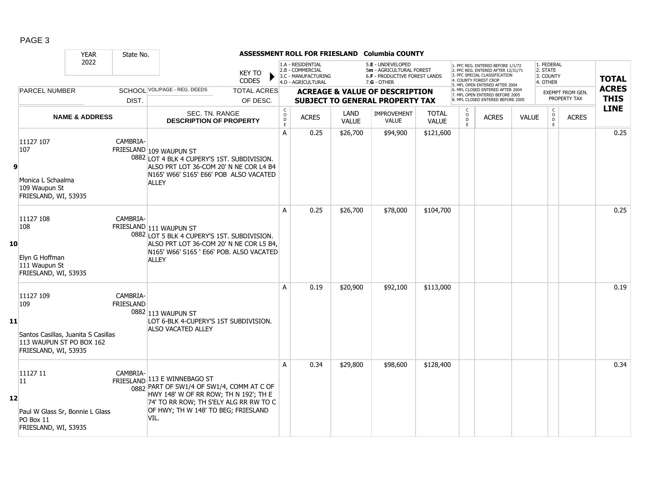|--|--|

|    |                                                                                                             | <b>YEAR</b>               | State No.             |                                                                                                                                                                                                                         |                                                          |                                                                                    |                      | ASSESSMENT ROLL FOR FRIESLAND Columbia COUNTY                                                        |                              |                                              |                                                                                                                                                                            |              |                                                 |                                  |                             |
|----|-------------------------------------------------------------------------------------------------------------|---------------------------|-----------------------|-------------------------------------------------------------------------------------------------------------------------------------------------------------------------------------------------------------------------|----------------------------------------------------------|------------------------------------------------------------------------------------|----------------------|------------------------------------------------------------------------------------------------------|------------------------------|----------------------------------------------|----------------------------------------------------------------------------------------------------------------------------------------------------------------------------|--------------|-------------------------------------------------|----------------------------------|-----------------------------|
|    |                                                                                                             | 2022                      |                       | <b>KEY TO</b><br><b>CODES</b>                                                                                                                                                                                           |                                                          | 1.A - RESIDENTIAL<br>2.B - COMMERCIAL<br>3.C - MANUFACTURING<br>4.D - AGRICULTURAL |                      | 5.E - UNDEVELOPED<br>5m - AGRICULTURAL FOREST<br><b>6.F - PRODUCTIVE FOREST LANDS</b><br>7.G - OTHER |                              |                                              | 1. PFC REG. ENTERED BEFORE 1/1/72<br>2. PFC REG. ENTERED AFTER 12/31/71<br>3. PFC SPECIAL CLASSIFICATION<br><b>4. COUNTY FOREST CROP</b><br>5. MFL OPEN ENTERED AFTER 2004 |              | 1. FEDERAL<br>2. STATE<br>3. COUNTY<br>4. OTHER |                                  | <b>TOTAL</b>                |
|    | <b>PARCEL NUMBER</b>                                                                                        |                           | DIST.                 | SCHOOL VOL/PAGE - REG. DEEDS<br><b>TOTAL ACRES</b><br>OF DESC.                                                                                                                                                          |                                                          |                                                                                    |                      | <b>ACREAGE &amp; VALUE OF DESCRIPTION</b><br><b>SUBJECT TO GENERAL PROPERTY TAX</b>                  |                              |                                              | 6. MFL CLOSED ENTERED AFTER 2004<br>7. MFL OPEN ENTERED BEFORE 2005<br>8 MFL CLOSED ENTERED BEFORE 2005                                                                    |              |                                                 | EXEMPT FROM GEN.<br>PROPERTY TAX | <b>ACRES</b><br><b>THIS</b> |
|    |                                                                                                             | <b>NAME &amp; ADDRESS</b> |                       | SEC. TN. RANGE<br><b>DESCRIPTION OF PROPERTY</b>                                                                                                                                                                        | $\mathsf{C}$<br>$\overset{\mathsf{O}}{D}$<br>$\mathsf E$ | <b>ACRES</b>                                                                       | LAND<br><b>VALUE</b> | <b>IMPROVEMENT</b><br><b>VALUE</b>                                                                   | <b>TOTAL</b><br><b>VALUE</b> | $\begin{array}{c}\n0 \\ D \\ E\n\end{array}$ | <b>ACRES</b>                                                                                                                                                               | <b>VALUE</b> | $\begin{matrix} 0 \\ 0 \\ 0 \end{matrix}$<br>E  | <b>ACRES</b>                     | <b>LINE</b>                 |
| 9  | 11127 107<br>107<br>Monica L Schaalma<br>109 Waupun St<br>FRIESLAND, WI, 53935                              |                           | CAMBRIA-              | FRIESLAND 109 WAUPUN ST<br>0882 LOT 4 BLK 4 CUPERY'S 1ST. SUBDIVISION.<br>ALSO PRT LOT 36-COM 20' N NE COR L4 B4<br>N165' W66' S165' E66' POB ALSO VACATED<br><b>ALLEY</b>                                              | $\overline{A}$                                           | 0.25                                                                               | \$26,700             | \$94,900                                                                                             | \$121,600                    |                                              |                                                                                                                                                                            |              |                                                 |                                  | 0.25                        |
| 10 | 11127 108<br>108<br>Elyn G Hoffman<br>111 Waupun St<br>FRIESLAND, WI, 53935                                 |                           | CAMBRIA-              | FRIESLAND 111 WAUPUN ST<br>0882 LOT 5 BLK 4 CUPERY'S 1ST. SUBDIVISION.<br>ALSO PRT LOT 36-COM 20' N NE COR L5 B4,<br>N165' W66' S165 ' E66' POB. ALSO VACATED<br><b>ALLEY</b>                                           | A                                                        | 0.25                                                                               | \$26,700             | \$78,000                                                                                             | \$104,700                    |                                              |                                                                                                                                                                            |              |                                                 |                                  | 0.25                        |
| 11 | 11127 109<br>109<br>Santos Casillas, Juanita S Casillas<br>113 WAUPUN ST PO BOX 162<br>FRIESLAND, WI, 53935 |                           | CAMBRIA-<br>FRIESLAND | 0882 113 WAUPUN ST<br>LOT 6-BLK 4-CUPERY'S 1ST SUBDIVISION.<br><b>ALSO VACATED ALLEY</b>                                                                                                                                | A                                                        | 0.19                                                                               | \$20,900             | \$92,100                                                                                             | \$113,000                    |                                              |                                                                                                                                                                            |              |                                                 |                                  | 0.19                        |
| 12 | 11127 11<br>11<br>Paul W Glass Sr, Bonnie L Glass<br>PO Box 11<br>FRIESLAND, WI, 53935                      |                           | CAMBRIA-              | FRIESLAND 113 E WINNEBAGO ST<br>$\frac{1}{0882}$ PART OF SW1/4 OF SW1/4, COMM AT C OF<br>HWY 148' W OF RR ROW; TH N 192'; TH E<br>74' TO RR ROW; TH S'ELY ALG RR RW TO C<br>OF HWY; TH W 148' TO BEG; FRIESLAND<br>VIL. | A                                                        | 0.34                                                                               | \$29,800             | \$98,600                                                                                             | \$128,400                    |                                              |                                                                                                                                                                            |              |                                                 |                                  | 0.34                        |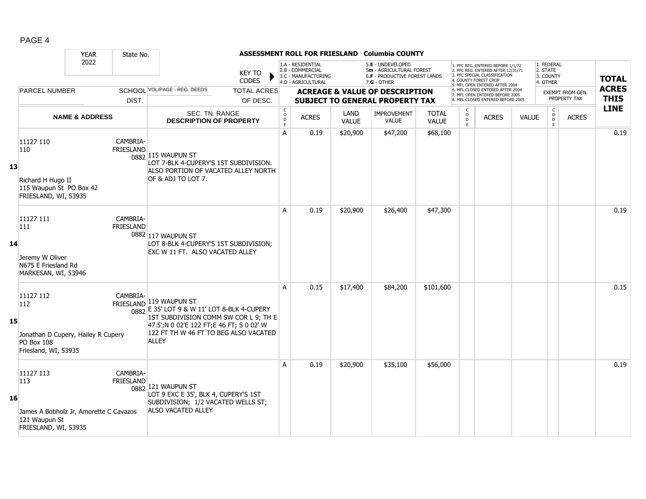|--|--|

|    |                                                                                                     | <b>YEAR</b>               | State No.                    |                                                                                                                                                                                                                      |                                |                                   |                                                                                    |                      | ASSESSMENT ROLL FOR FRIESLAND Columbia COUNTY                                                          |                              |                                                |                                                                                                                                                                     |              |                                                 |                                         |                             |
|----|-----------------------------------------------------------------------------------------------------|---------------------------|------------------------------|----------------------------------------------------------------------------------------------------------------------------------------------------------------------------------------------------------------------|--------------------------------|-----------------------------------|------------------------------------------------------------------------------------|----------------------|--------------------------------------------------------------------------------------------------------|------------------------------|------------------------------------------------|---------------------------------------------------------------------------------------------------------------------------------------------------------------------|--------------|-------------------------------------------------|-----------------------------------------|-----------------------------|
|    |                                                                                                     | 2022                      |                              |                                                                                                                                                                                                                      | <b>KEY TO</b><br>CODES         |                                   | 1.A - RESIDENTIAL<br>2.B - COMMERCIAL<br>3.C - MANUFACTURING<br>4.D - AGRICULTURAL |                      | 5.E - UNDEVELOPED<br>5m - AGRICULTURAL FOREST<br><b>6.F - PRODUCTIVE FOREST LANDS</b><br>$7.G - OTHER$ |                              |                                                | 1. PFC REG. ENTERED BEFORE 1/1/72<br>2. PFC REG. ENTERED AFTER 12/31/71<br>3. PFC SPECIAL CLASSIFICATION<br>4. COUNTY FOREST CROP<br>5. MFL OPEN ENTERED AFTER 2004 |              | 1. FEDERAL<br>2. STATE<br>3. COUNTY<br>4. OTHER |                                         | <b>TOTAL</b>                |
|    | <b>PARCEL NUMBER</b>                                                                                |                           | DIST.                        | SCHOOL VOL/PAGE - REG. DEEDS                                                                                                                                                                                         | <b>TOTAL ACRES</b><br>OF DESC. |                                   |                                                                                    |                      | <b>ACREAGE &amp; VALUE OF DESCRIPTION</b><br><b>SUBJECT TO GENERAL PROPERTY TAX</b>                    |                              |                                                | 6. MFL CLOSED ENTERED AFTER 2004<br>7. MFL OPEN ENTERED BEFORE 2005<br>8. MFL CLOSED ENTERED BEFORE 2005                                                            |              |                                                 | <b>EXEMPT FROM GEN.</b><br>PROPERTY TAX | <b>ACRES</b><br><b>THIS</b> |
|    |                                                                                                     | <b>NAME &amp; ADDRESS</b> |                              | SEC. TN. RANGE<br><b>DESCRIPTION OF PROPERTY</b>                                                                                                                                                                     |                                | $\mathsf{C}$<br>$\circ$<br>D<br>E | <b>ACRES</b>                                                                       | LAND<br><b>VALUE</b> | <b>IMPROVEMENT</b><br><b>VALUE</b>                                                                     | <b>TOTAL</b><br><b>VALUE</b> | $\begin{matrix} 0 \\ 0 \\ D \end{matrix}$<br>E | <b>ACRES</b>                                                                                                                                                        | <b>VALUE</b> | $\begin{matrix} 0 \\ 0 \end{matrix}$<br>E       | <b>ACRES</b>                            | <b>LINE</b>                 |
| 13 | 11127 110<br>110<br>Richard H Hugo II<br>115 Waupun St PO Box 42<br>FRIESLAND, WI, 53935            |                           | CAMBRIA-<br><b>FRIESLAND</b> | 0882 115 WAUPUN ST<br>LOT 7-BLK 4-CUPERY'S 1ST SUBDIVISION.<br>ALSO PORTION OF VACATED ALLEY NORTH<br>OF & ADJ TO LOT 7.                                                                                             |                                | A                                 | 0.19                                                                               | \$20,900             | \$47,200                                                                                               | \$68,100                     |                                                |                                                                                                                                                                     |              |                                                 |                                         | 0.19                        |
| 14 | 11127 111<br>111<br>Jeremy W Oliver<br>N675 E Friesland Rd<br>MARKESAN, WI, 53946                   |                           | CAMBRIA-<br><b>FRIESLAND</b> | 0882 117 WAUPUN ST<br>LOT 8-BLK 4-CUPERY'S 1ST SUBDIVISION;<br>EXC W 11 FT. ALSO VACATED ALLEY                                                                                                                       |                                | A                                 | 0.19                                                                               | \$20,900             | \$26,400                                                                                               | \$47,300                     |                                                |                                                                                                                                                                     |              |                                                 |                                         | 0.19                        |
| 15 | 11127 112<br>112<br>Jonathan D Cupery, Hailey R Cupery<br>PO Box 108<br>Friesland, WI, 53935        |                           | CAMBRIA-                     | FRIESLAND 119 WAUPUN ST<br>0882 E 35' LOT 9 & W 11' LOT 8-BLK 4-CUPERY<br>1ST SUBDIVISION COMM SW COR L 9; TH E<br>47.5';N 0 02'E 122 FT;E 46 FT; S 0 02' W<br>122 FT TH W 46 FT TO BEG ALSO VACATED<br><b>ALLEY</b> |                                | A                                 | 0.15                                                                               | \$17,400             | \$84,200                                                                                               | \$101,600                    |                                                |                                                                                                                                                                     |              |                                                 |                                         | 0.15                        |
| 16 | 11127 113<br>113<br>James A Bobholz Jr, Amorette C Cavazos<br>121 Waupun St<br>FRIESLAND, WI, 53935 |                           | CAMBRIA-<br><b>FRIESLAND</b> | 0882 121 WAUPUN ST<br>LOT 9 EXC E 35', BLK 4, CUPERY'S 1ST<br>SUBDIVISION; 1/2 VACATED WELLS ST;<br><b>ALSO VACATED ALLEY</b>                                                                                        |                                | A                                 | 0.19                                                                               | \$20,900             | \$35,100                                                                                               | \$56,000                     |                                                |                                                                                                                                                                     |              |                                                 |                                         | 0.19                        |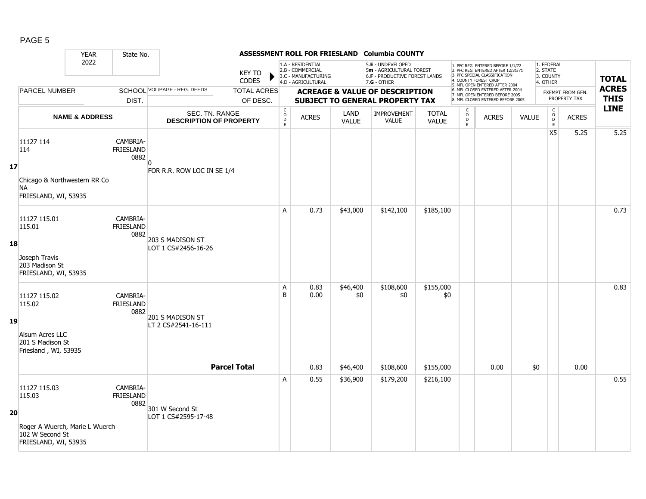|--|--|

|    |                                                                           | <b>YEAR</b>               | State No.                            |                                                         |                               |                         |                                                                                    |                      | ASSESSMENT ROLL FOR FRIESLAND Columbia COUNTY                                                          |                              |                                    |                                                                                                                                                                     |              |                                                 |                                         |                             |
|----|---------------------------------------------------------------------------|---------------------------|--------------------------------------|---------------------------------------------------------|-------------------------------|-------------------------|------------------------------------------------------------------------------------|----------------------|--------------------------------------------------------------------------------------------------------|------------------------------|------------------------------------|---------------------------------------------------------------------------------------------------------------------------------------------------------------------|--------------|-------------------------------------------------|-----------------------------------------|-----------------------------|
|    |                                                                           | 2022                      |                                      |                                                         | <b>KEY TO</b><br><b>CODES</b> |                         | 1.A - RESIDENTIAL<br>2.B - COMMERCIAL<br>3.C - MANUFACTURING<br>4.D - AGRICULTURAL |                      | 5.E - UNDEVELOPED<br>5m - AGRICULTURAL FOREST<br><b>6.F - PRODUCTIVE FOREST LANDS</b><br>$7.G - OTHER$ |                              |                                    | 1. PFC REG. ENTERED BEFORE 1/1/72<br>2. PFC REG. ENTERED AFTER 12/31/71<br>3. PFC SPECIAL CLASSIFICATION<br>4. COUNTY FOREST CROP<br>5. MFL OPEN ENTERED AFTER 2004 |              | 1. FEDERAL<br>2. STATE<br>3. COUNTY<br>4. OTHER |                                         | <b>TOTAL</b>                |
|    | <b>PARCEL NUMBER</b>                                                      |                           |                                      | SCHOOL VOL/PAGE - REG. DEEDS                            | <b>TOTAL ACRES</b>            |                         |                                                                                    |                      | <b>ACREAGE &amp; VALUE OF DESCRIPTION</b>                                                              |                              |                                    | 6. MFL CLOSED ENTERED AFTER 2004<br>7. MFL OPEN ENTERED BEFORE 2005                                                                                                 |              |                                                 | <b>EXEMPT FROM GEN.</b><br>PROPERTY TAX | <b>ACRES</b><br><b>THIS</b> |
|    |                                                                           |                           | DIST.                                |                                                         | OF DESC.                      | $\mathsf C$             |                                                                                    |                      | <b>SUBJECT TO GENERAL PROPERTY TAX</b>                                                                 |                              | С                                  | 8. MFL CLOSED ENTERED BEFORE 2005                                                                                                                                   |              |                                                 |                                         | <b>LINE</b>                 |
|    |                                                                           | <b>NAME &amp; ADDRESS</b> |                                      | <b>SEC. TN. RANGE</b><br><b>DESCRIPTION OF PROPERTY</b> |                               | $_{\rm D}^{\rm O}$<br>E | <b>ACRES</b>                                                                       | LAND<br><b>VALUE</b> | <b>IMPROVEMENT</b><br><b>VALUE</b>                                                                     | <b>TOTAL</b><br><b>VALUE</b> | $_{\rm D}^{\rm O}$<br>$\mathsf{E}$ | <b>ACRES</b>                                                                                                                                                        | <b>VALUE</b> | $\begin{matrix} 0 \\ 0 \\ D \end{matrix}$<br>E  | <b>ACRES</b>                            |                             |
|    | 11127 114<br>114                                                          |                           | CAMBRIA-<br><b>FRIESLAND</b><br>0882 | n                                                       |                               |                         |                                                                                    |                      |                                                                                                        |                              |                                    |                                                                                                                                                                     |              | X <sub>5</sub>                                  | 5.25                                    | 5.25                        |
| 17 | Chicago & Northwestern RR Co<br><b>NA</b>                                 |                           |                                      | FOR R.R. ROW LOC IN SE 1/4                              |                               |                         |                                                                                    |                      |                                                                                                        |                              |                                    |                                                                                                                                                                     |              |                                                 |                                         |                             |
|    | FRIESLAND, WI, 53935                                                      |                           |                                      |                                                         |                               |                         |                                                                                    |                      |                                                                                                        |                              |                                    |                                                                                                                                                                     |              |                                                 |                                         |                             |
|    | 11127 115.01<br>115.01                                                    |                           | CAMBRIA-<br><b>FRIESLAND</b><br>0882 | 203 S MADISON ST                                        |                               | A                       | 0.73                                                                               | \$43,000             | \$142,100                                                                                              | \$185,100                    |                                    |                                                                                                                                                                     |              |                                                 |                                         | 0.73                        |
| 18 | Joseph Travis<br>203 Madison St<br>FRIESLAND, WI, 53935                   |                           |                                      | LOT 1 CS#2456-16-26                                     |                               |                         |                                                                                    |                      |                                                                                                        |                              |                                    |                                                                                                                                                                     |              |                                                 |                                         |                             |
|    | 11127 115.02<br>115.02                                                    |                           | CAMBRIA-<br><b>FRIESLAND</b><br>0882 | 201 S MADISON ST                                        |                               | Α<br>B                  | 0.83<br>0.00                                                                       | \$46,400<br>\$0      | \$108,600<br>\$0                                                                                       | \$155,000<br>\$0             |                                    |                                                                                                                                                                     |              |                                                 |                                         | 0.83                        |
| 19 | Alsum Acres LLC<br>201 S Madison St<br>Friesland, WI, 53935               |                           |                                      | LT 2 CS#2541-16-111                                     |                               |                         |                                                                                    |                      |                                                                                                        |                              |                                    |                                                                                                                                                                     |              |                                                 |                                         |                             |
|    |                                                                           |                           |                                      |                                                         | <b>Parcel Total</b>           |                         | 0.83                                                                               | \$46,400             | \$108,600                                                                                              | \$155,000                    |                                    | 0.00                                                                                                                                                                | \$0          |                                                 | 0.00                                    |                             |
|    | 11127 115.03<br>115.03                                                    |                           | CAMBRIA-<br><b>FRIESLAND</b><br>0882 | 301 W Second St                                         |                               | A                       | 0.55                                                                               | \$36,900             | \$179,200                                                                                              | \$216,100                    |                                    |                                                                                                                                                                     |              |                                                 |                                         | 0.55                        |
| 20 | Roger A Wuerch, Marie L Wuerch<br>102 W Second St<br>FRIESLAND, WI, 53935 |                           |                                      | LOT 1 CS#2595-17-48                                     |                               |                         |                                                                                    |                      |                                                                                                        |                              |                                    |                                                                                                                                                                     |              |                                                 |                                         |                             |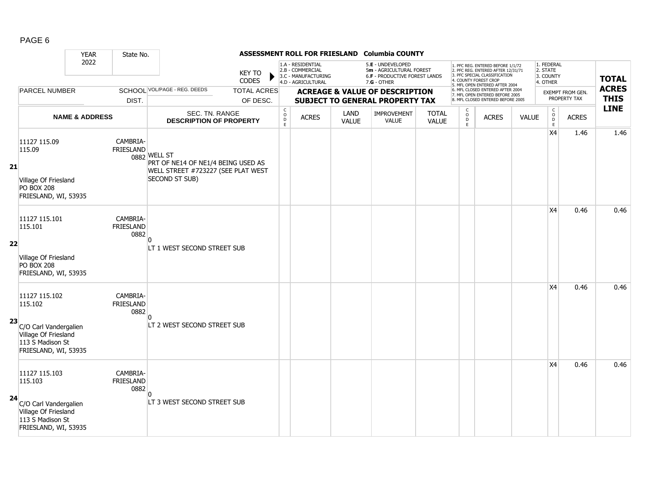|--|--|

|    |                                                                                                                       | <b>YEAR</b>               | State No.                            |                                                                                                            |                                |                                                |                                                                                    |                      | ASSESSMENT ROLL FOR FRIESLAND Columbia COUNTY                                                          |                              |                                                |                                                                                                                                                                     |              |                                                 |                                  |                             |
|----|-----------------------------------------------------------------------------------------------------------------------|---------------------------|--------------------------------------|------------------------------------------------------------------------------------------------------------|--------------------------------|------------------------------------------------|------------------------------------------------------------------------------------|----------------------|--------------------------------------------------------------------------------------------------------|------------------------------|------------------------------------------------|---------------------------------------------------------------------------------------------------------------------------------------------------------------------|--------------|-------------------------------------------------|----------------------------------|-----------------------------|
|    |                                                                                                                       | 2022                      |                                      |                                                                                                            | <b>KEY TO</b><br><b>CODES</b>  |                                                | 1.A - RESIDENTIAL<br>2.B - COMMERCIAL<br>3.C - MANUFACTURING<br>4.D - AGRICULTURAL |                      | 5.E - UNDEVELOPED<br>5m - AGRICULTURAL FOREST<br><b>6.F - PRODUCTIVE FOREST LANDS</b><br>$7.G - OTHER$ |                              |                                                | 1. PFC REG. ENTERED BEFORE 1/1/72<br>2. PFC REG. ENTERED AFTER 12/31/71<br>3. PFC SPECIAL CLASSIFICATION<br>4. COUNTY FOREST CROP<br>5. MFL OPEN ENTERED AFTER 2004 |              | 1. FEDERAL<br>2. STATE<br>3. COUNTY<br>4. OTHER |                                  | <b>TOTAL</b>                |
|    | <b>PARCEL NUMBER</b>                                                                                                  |                           | DIST.                                | SCHOOL VOL/PAGE - REG. DEEDS                                                                               | <b>TOTAL ACRES</b><br>OF DESC. |                                                |                                                                                    |                      | <b>ACREAGE &amp; VALUE OF DESCRIPTION</b><br><b>SUBJECT TO GENERAL PROPERTY TAX</b>                    |                              |                                                | 6. MFL CLOSED ENTERED AFTER 2004<br>7. MFL OPEN ENTERED BEFORE 2005<br>8. MFL CLOSED ENTERED BEFORE 2005                                                            |              |                                                 | EXEMPT FROM GEN.<br>PROPERTY TAX | <b>ACRES</b><br><b>THIS</b> |
|    |                                                                                                                       | <b>NAME &amp; ADDRESS</b> |                                      | SEC. TN. RANGE<br><b>DESCRIPTION OF PROPERTY</b>                                                           |                                | $\begin{matrix} 0 \\ 0 \\ D \end{matrix}$<br>E | <b>ACRES</b>                                                                       | LAND<br><b>VALUE</b> | IMPROVEMENT<br><b>VALUE</b>                                                                            | <b>TOTAL</b><br><b>VALUE</b> | $\begin{matrix} 0 \\ 0 \\ D \end{matrix}$<br>E | <b>ACRES</b>                                                                                                                                                        | <b>VALUE</b> | C<br>$\circ$<br>$\mathsf D$<br>E                | <b>ACRES</b>                     | <b>LINE</b>                 |
| 21 | 11127 115.09<br>115.09<br>Village Of Friesland<br><b>PO BOX 208</b><br>FRIESLAND, WI, 53935                           |                           | CAMBRIA-<br><b>FRIESLAND</b>         | 0882 WELL ST<br>PRT OF NE14 OF NE1/4 BEING USED AS<br>WELL STREET #723227 (SEE PLAT WEST<br>SECOND ST SUB) |                                |                                                |                                                                                    |                      |                                                                                                        |                              |                                                |                                                                                                                                                                     |              | X4                                              | 1.46                             | 1.46                        |
| 22 | 11127 115.101<br>115.101<br>Village Of Friesland<br><b>PO BOX 208</b><br>FRIESLAND, WI, 53935                         |                           | CAMBRIA-<br><b>FRIESLAND</b><br>0882 | n<br>LT 1 WEST SECOND STREET SUB                                                                           |                                |                                                |                                                                                    |                      |                                                                                                        |                              |                                                |                                                                                                                                                                     |              | X4                                              | 0.46                             | 0.46                        |
| 23 | 11127 115.102<br>115.102<br>C/O Carl Vandergalien<br>Village Of Friesland<br>113 S Madison St<br>FRIESLAND, WI, 53935 |                           | CAMBRIA-<br><b>FRIESLAND</b><br>0882 | LT 2 WEST SECOND STREET SUB                                                                                |                                |                                                |                                                                                    |                      |                                                                                                        |                              |                                                |                                                                                                                                                                     |              | X4                                              | 0.46                             | 0.46                        |
| 24 | 11127 115.103<br>115.103<br>C/O Carl Vandergalien<br>Village Of Friesland<br>113 S Madison St<br>FRIESLAND, WI, 53935 |                           | CAMBRIA-<br><b>FRIESLAND</b><br>0882 | n<br>LT 3 WEST SECOND STREET SUB                                                                           |                                |                                                |                                                                                    |                      |                                                                                                        |                              |                                                |                                                                                                                                                                     |              | X4                                              | 0.46                             | 0.46                        |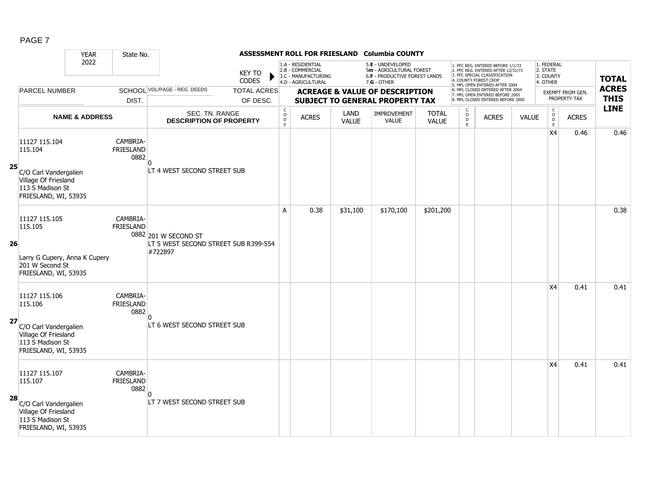|    |                                                                                                                       | <b>YEAR</b>               | State No.                            | ASSESSMENT ROLL FOR FRIESLAND Columbia COUNTY                           |                                |                                             |                                                                                    |                      |                                                                                                        |                              |                             |                                                                                                                                                                     |              |                                                         |                                         |                             |
|----|-----------------------------------------------------------------------------------------------------------------------|---------------------------|--------------------------------------|-------------------------------------------------------------------------|--------------------------------|---------------------------------------------|------------------------------------------------------------------------------------|----------------------|--------------------------------------------------------------------------------------------------------|------------------------------|-----------------------------|---------------------------------------------------------------------------------------------------------------------------------------------------------------------|--------------|---------------------------------------------------------|-----------------------------------------|-----------------------------|
|    |                                                                                                                       | 2022                      |                                      |                                                                         | <b>KEY TO</b><br><b>CODES</b>  |                                             | 1.A - RESIDENTIAL<br>2.B - COMMERCIAL<br>3.C - MANUFACTURING<br>4.D - AGRICULTURAL |                      | 5.E - UNDEVELOPED<br>5m - AGRICULTURAL FOREST<br><b>6.F - PRODUCTIVE FOREST LANDS</b><br>$7.G - OTHER$ |                              |                             | 1. PFC REG. ENTERED BEFORE 1/1/72<br>2. PFC REG. ENTERED AFTER 12/31/71<br>3. PFC SPECIAL CLASSIFICATION<br>4. COUNTY FOREST CROP<br>5. MFL OPEN ENTERED AFTER 2004 |              | 1. FEDERAL<br>2. STATE<br>3. COUNTY<br>4. OTHER         |                                         | <b>TOTAL</b>                |
|    | <b>PARCEL NUMBER</b>                                                                                                  |                           | DIST.                                | SCHOOL VOL/PAGE - REG. DEEDS                                            | <b>TOTAL ACRES</b><br>OF DESC. |                                             |                                                                                    |                      | <b>ACREAGE &amp; VALUE OF DESCRIPTION</b><br><b>SUBJECT TO GENERAL PROPERTY TAX</b>                    |                              |                             | 6. MFL CLOSED ENTERED AFTER 2004<br>7. MFL OPEN ENTERED BEFORE 2005<br>8. MFL CLOSED ENTERED BEFORE 2005                                                            |              |                                                         | <b>EXEMPT FROM GEN.</b><br>PROPERTY TAX | <b>ACRES</b><br><b>THIS</b> |
|    |                                                                                                                       | <b>NAME &amp; ADDRESS</b> |                                      | SEC. TN. RANGE<br><b>DESCRIPTION OF PROPERTY</b>                        |                                | $\mathsf{C}$<br>$\circ$<br>$\mathsf D$<br>E | <b>ACRES</b>                                                                       | LAND<br><b>VALUE</b> | <b>IMPROVEMENT</b><br><b>VALUE</b>                                                                     | <b>TOTAL</b><br><b>VALUE</b> | $\circ$<br>$\mathsf D$<br>E | <b>ACRES</b>                                                                                                                                                        | <b>VALUE</b> | $\begin{smallmatrix} C\\O\\O\\D \end{smallmatrix}$<br>E | <b>ACRES</b>                            | <b>LINE</b>                 |
| 25 | 11127 115.104<br>115.104<br>C/O Carl Vandergalien<br>Village Of Friesland<br>113 S Madison St                         |                           | CAMBRIA-<br><b>FRIESLAND</b><br>0882 | n<br>LT 4 WEST SECOND STREET SUB                                        |                                |                                             |                                                                                    |                      |                                                                                                        |                              |                             |                                                                                                                                                                     |              | <b>X4</b>                                               | 0.46                                    | 0.46                        |
| 26 | FRIESLAND, WI, 53935<br>11127 115.105<br>115.105                                                                      |                           | CAMBRIA-<br><b>FRIESLAND</b>         | 0882 201 W SECOND ST<br>LT 5 WEST SECOND STREET SUB R399-554<br>#722897 |                                | A                                           | 0.38                                                                               | \$31,100             | \$170,100                                                                                              | \$201,200                    |                             |                                                                                                                                                                     |              |                                                         |                                         | 0.38                        |
|    | Larry G Cupery, Anna K Cupery<br>201 W Second St<br>FRIESLAND, WI, 53935                                              |                           |                                      |                                                                         |                                |                                             |                                                                                    |                      |                                                                                                        |                              |                             |                                                                                                                                                                     |              |                                                         |                                         |                             |
| 27 | 11127 115.106<br>115.106<br>C/O Carl Vandergalien<br>Village Of Friesland<br>113 S Madison St<br>FRIESLAND, WI, 53935 |                           | CAMBRIA-<br><b>FRIESLAND</b><br>0882 | LT 6 WEST SECOND STREET SUB                                             |                                |                                             |                                                                                    |                      |                                                                                                        |                              |                             |                                                                                                                                                                     |              | <b>X4</b>                                               | 0.41                                    | 0.41                        |
| 28 | 11127 115.107<br>115.107<br>C/O Carl Vandergalien<br>Village Of Friesland<br>113 S Madison St<br>FRIESLAND, WI, 53935 |                           | CAMBRIA-<br><b>FRIESLAND</b><br>0882 | $\Omega$<br>LT 7 WEST SECOND STREET SUB                                 |                                |                                             |                                                                                    |                      |                                                                                                        |                              |                             |                                                                                                                                                                     |              | <b>X4</b>                                               | 0.41                                    | 0.41                        |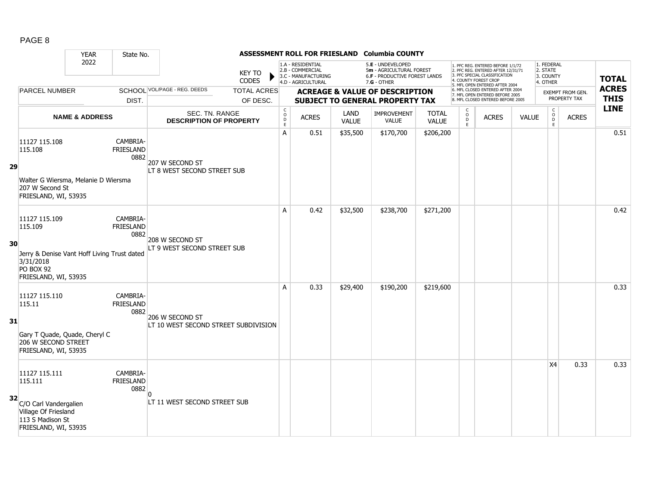|--|--|

|    |                                                                                                                           | <b>YEAR</b>               | State No.                            |                                                         |                                |                                                                   |                                                                                    |                      | ASSESSMENT ROLL FOR FRIESLAND Columbia COUNTY                                                          |                              |                                                |                                                                                                                                                                     |              |                                                 |                                  |                             |
|----|---------------------------------------------------------------------------------------------------------------------------|---------------------------|--------------------------------------|---------------------------------------------------------|--------------------------------|-------------------------------------------------------------------|------------------------------------------------------------------------------------|----------------------|--------------------------------------------------------------------------------------------------------|------------------------------|------------------------------------------------|---------------------------------------------------------------------------------------------------------------------------------------------------------------------|--------------|-------------------------------------------------|----------------------------------|-----------------------------|
|    |                                                                                                                           | 2022                      |                                      |                                                         | <b>KEY TO</b><br><b>CODES</b>  |                                                                   | 1.A - RESIDENTIAL<br>2.B - COMMERCIAL<br>3.C - MANUFACTURING<br>4.D - AGRICULTURAL |                      | 5.E - UNDEVELOPED<br>5m - AGRICULTURAL FOREST<br><b>6.F - PRODUCTIVE FOREST LANDS</b><br>$7.G - OTHER$ |                              |                                                | 1. PFC REG. ENTERED BEFORE 1/1/72<br>2. PFC REG. ENTERED AFTER 12/31/71<br>3. PFC SPECIAL CLASSIFICATION<br>4. COUNTY FOREST CROP<br>5. MFL OPEN ENTERED AFTER 2004 |              | 1. FEDERAL<br>2. STATE<br>3. COUNTY<br>4. OTHER |                                  | <b>TOTAL</b>                |
|    | <b>PARCEL NUMBER</b>                                                                                                      |                           | DIST.                                | SCHOOL VOL/PAGE - REG. DEEDS                            | <b>TOTAL ACRES</b><br>OF DESC. |                                                                   |                                                                                    |                      | <b>ACREAGE &amp; VALUE OF DESCRIPTION</b><br><b>SUBJECT TO GENERAL PROPERTY TAX</b>                    |                              |                                                | 6. MFL CLOSED ENTERED AFTER 2004<br>7. MFL OPEN ENTERED BEFORE 2005<br>8. MFL CLOSED ENTERED BEFORE 2005                                                            |              |                                                 | EXEMPT FROM GEN.<br>PROPERTY TAX | <b>ACRES</b><br><b>THIS</b> |
|    |                                                                                                                           | <b>NAME &amp; ADDRESS</b> |                                      | SEC. TN. RANGE<br><b>DESCRIPTION OF PROPERTY</b>        |                                | $\begin{smallmatrix} C\\O\\O\\D \end{smallmatrix}$<br>$\mathsf E$ | <b>ACRES</b>                                                                       | LAND<br><b>VALUE</b> | <b>IMPROVEMENT</b><br><b>VALUE</b>                                                                     | <b>TOTAL</b><br><b>VALUE</b> | $\begin{matrix} 0 \\ 0 \\ D \end{matrix}$<br>E | <b>ACRES</b>                                                                                                                                                        | <b>VALUE</b> | $_{\rm o}^{\rm c}$<br>$\overline{D}$<br>E       | <b>ACRES</b>                     | <b>LINE</b>                 |
| 29 | 11127 115.108<br>115.108<br>Walter G Wiersma, Melanie D Wiersma<br>207 W Second St<br>FRIESLAND, WI, 53935                |                           | CAMBRIA-<br><b>FRIESLAND</b><br>0882 | 207 W SECOND ST<br>ILT 8 WEST SECOND STREET SUB         |                                | $\overline{A}$                                                    | 0.51                                                                               | \$35,500             | \$170,700                                                                                              | \$206,200                    |                                                |                                                                                                                                                                     |              |                                                 |                                  | 0.51                        |
| 30 | 11127 115.109<br>115.109<br>Jerry & Denise Vant Hoff Living Trust dated<br>3/31/2018<br>PO BOX 92<br>FRIESLAND, WI, 53935 |                           | CAMBRIA-<br><b>FRIESLAND</b><br>0882 | 208 W SECOND ST<br>LT 9 WEST SECOND STREET SUB          |                                | A                                                                 | 0.42                                                                               | \$32,500             | \$238,700                                                                                              | \$271,200                    |                                                |                                                                                                                                                                     |              |                                                 |                                  | 0.42                        |
| 31 | 11127 115.110<br>115.11<br>Gary T Quade, Quade, Cheryl C<br>206 W SECOND STREET<br>FRIESLAND, WI, 53935                   |                           | CAMBRIA-<br><b>FRIESLAND</b><br>0882 | 206 W SECOND ST<br>LT 10 WEST SECOND STREET SUBDIVISION |                                | A                                                                 | 0.33                                                                               | \$29,400             | \$190,200                                                                                              | \$219,600                    |                                                |                                                                                                                                                                     |              |                                                 |                                  | 0.33                        |
| 32 | 11127 115.111<br>115.111<br>C/O Carl Vandergalien<br>Village Of Friesland<br>113 S Madison St<br>FRIESLAND, WI, 53935     |                           | CAMBRIA-<br><b>FRIESLAND</b><br>0882 | n<br>LT 11 WEST SECOND STREET SUB                       |                                |                                                                   |                                                                                    |                      |                                                                                                        |                              |                                                |                                                                                                                                                                     |              | X <sub>4</sub>                                  | 0.33                             | 0.33                        |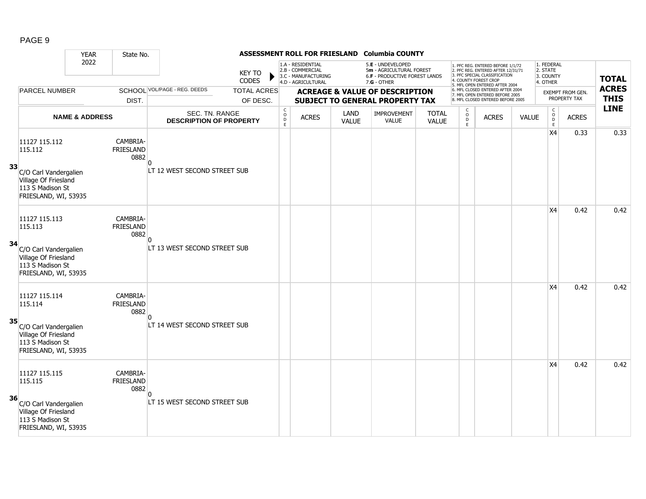|--|--|

|    |                                                                                                                       | <b>YEAR</b>               | State No.                            |                                                  |                                |                                                |                                                                                    |                      | ASSESSMENT ROLL FOR FRIESLAND Columbia COUNTY                                                 |                              |                                                |                                                                                                                                                                     |              |                                                 |                                         |                             |
|----|-----------------------------------------------------------------------------------------------------------------------|---------------------------|--------------------------------------|--------------------------------------------------|--------------------------------|------------------------------------------------|------------------------------------------------------------------------------------|----------------------|-----------------------------------------------------------------------------------------------|------------------------------|------------------------------------------------|---------------------------------------------------------------------------------------------------------------------------------------------------------------------|--------------|-------------------------------------------------|-----------------------------------------|-----------------------------|
|    |                                                                                                                       | 2022                      |                                      |                                                  | KEY TO<br><b>CODES</b>         |                                                | 1.A - RESIDENTIAL<br>2.B - COMMERCIAL<br>3.C - MANUFACTURING<br>4.D - AGRICULTURAL |                      | 5.E - UNDEVELOPED<br>5m - AGRICULTURAL FOREST<br>6.F - PRODUCTIVE FOREST LANDS<br>7.G - OTHER |                              |                                                | 1. PFC REG. ENTERED BEFORE 1/1/72<br>2. PFC REG. ENTERED AFTER 12/31/71<br>3. PFC SPECIAL CLASSIFICATION<br>4. COUNTY FOREST CROP<br>5. MFL OPEN ENTERED AFTER 2004 |              | 1. FEDERAL<br>2. STATE<br>3. COUNTY<br>4. OTHER |                                         | <b>TOTAL</b>                |
|    | <b>PARCEL NUMBER</b>                                                                                                  |                           | DIST.                                | SCHOOL VOL/PAGE - REG. DEEDS                     | <b>TOTAL ACRES</b><br>OF DESC. |                                                |                                                                                    |                      | <b>ACREAGE &amp; VALUE OF DESCRIPTION</b><br>SUBJECT TO GENERAL PROPERTY TAX                  |                              |                                                | 6. MFL CLOSED ENTERED AFTER 2004<br>7. MFL OPEN ENTERED BEFORE 2005<br>8. MFL CLOSED ENTERED BEFORE 2005                                                            |              |                                                 | <b>EXEMPT FROM GEN.</b><br>PROPERTY TAX | <b>ACRES</b><br><b>THIS</b> |
|    |                                                                                                                       | <b>NAME &amp; ADDRESS</b> |                                      | SEC. TN. RANGE<br><b>DESCRIPTION OF PROPERTY</b> |                                | $\begin{matrix} 0 \\ 0 \\ D \end{matrix}$<br>E | <b>ACRES</b>                                                                       | LAND<br><b>VALUE</b> | IMPROVEMENT<br><b>VALUE</b>                                                                   | <b>TOTAL</b><br><b>VALUE</b> | $\begin{matrix} 0 \\ 0 \\ 0 \end{matrix}$<br>E | <b>ACRES</b>                                                                                                                                                        | <b>VALUE</b> | $\begin{array}{c} C \\ 0 \\ D \end{array}$<br>E | <b>ACRES</b>                            | <b>LINE</b>                 |
| 33 | 11127 115.112<br>115.112<br>C/O Carl Vandergalien                                                                     |                           | CAMBRIA-<br><b>FRIESLAND</b><br>0882 | LT 12 WEST SECOND STREET SUB                     |                                |                                                |                                                                                    |                      |                                                                                               |                              |                                                |                                                                                                                                                                     |              | X4                                              | 0.33                                    | 0.33                        |
|    | Village Of Friesland<br>113 S Madison St<br>FRIESLAND, WI, 53935                                                      |                           |                                      |                                                  |                                |                                                |                                                                                    |                      |                                                                                               |                              |                                                |                                                                                                                                                                     |              |                                                 |                                         |                             |
| 34 | 11127 115.113<br>115.113<br>C/O Carl Vandergalien<br>Village Of Friesland<br>113 S Madison St<br>FRIESLAND, WI, 53935 |                           | CAMBRIA-<br>FRIESLAND<br>0882        | n<br>LT 13 WEST SECOND STREET SUB                |                                |                                                |                                                                                    |                      |                                                                                               |                              |                                                |                                                                                                                                                                     |              | X <sub>4</sub>                                  | 0.42                                    | 0.42                        |
| 35 | 11127 115.114<br>115.114<br>C/O Carl Vandergalien<br>Village Of Friesland<br>113 S Madison St<br>FRIESLAND, WI, 53935 |                           | CAMBRIA-<br><b>FRIESLAND</b><br>0882 | LT 14 WEST SECOND STREET SUB                     |                                |                                                |                                                                                    |                      |                                                                                               |                              |                                                |                                                                                                                                                                     |              | X <sub>4</sub>                                  | 0.42                                    | 0.42                        |
| 36 | 11127 115.115<br>115.115<br>C/O Carl Vandergalien<br>Village Of Friesland<br>113 S Madison St<br>FRIESLAND, WI, 53935 |                           | CAMBRIA-<br>FRIESLAND<br>0882        | n<br>LT 15 WEST SECOND STREET SUB                |                                |                                                |                                                                                    |                      |                                                                                               |                              |                                                |                                                                                                                                                                     |              | X <sub>4</sub>                                  | 0.42                                    | 0.42                        |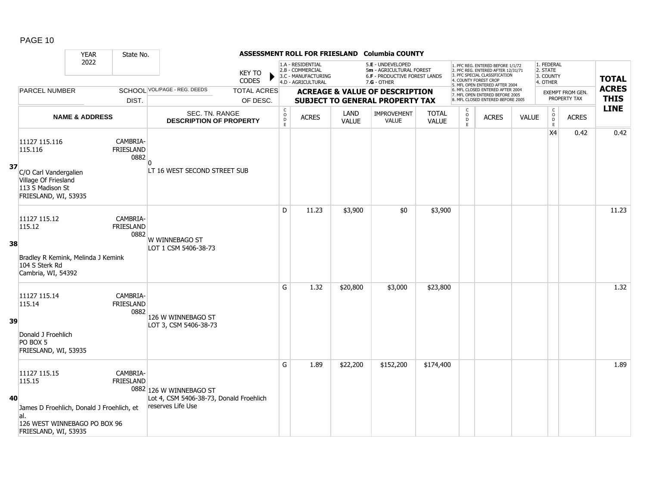|    |                                                                                                                                    | <b>YEAR</b>               | State No.                            |                                                                                         |                                |                                         |                                                                                    |               | ASSESSMENT ROLL FOR FRIESLAND Columbia COUNTY                                                        |                              |                                                 |                                                                                                                                                                     |              |                                                            |                                         |                             |
|----|------------------------------------------------------------------------------------------------------------------------------------|---------------------------|--------------------------------------|-----------------------------------------------------------------------------------------|--------------------------------|-----------------------------------------|------------------------------------------------------------------------------------|---------------|------------------------------------------------------------------------------------------------------|------------------------------|-------------------------------------------------|---------------------------------------------------------------------------------------------------------------------------------------------------------------------|--------------|------------------------------------------------------------|-----------------------------------------|-----------------------------|
|    |                                                                                                                                    | 2022                      |                                      |                                                                                         | <b>KEY TO</b><br><b>CODES</b>  |                                         | 1.A - RESIDENTIAL<br>2.B - COMMERCIAL<br>3.C - MANUFACTURING<br>4.D - AGRICULTURAL |               | 5.E - UNDEVELOPED<br>5m - AGRICULTURAL FOREST<br><b>6.F - PRODUCTIVE FOREST LANDS</b><br>7.G - OTHER |                              |                                                 | 1. PFC REG. ENTERED BEFORE 1/1/72<br>2. PFC REG. ENTERED AFTER 12/31/71<br>3. PFC SPECIAL CLASSIFICATION<br>4. COUNTY FOREST CROP<br>5. MFL OPEN ENTERED AFTER 2004 |              | 1. FEDERAL<br>2. STATE<br>3. COUNTY<br>4. OTHER            |                                         | <b>TOTAL</b>                |
|    | <b>PARCEL NUMBER</b>                                                                                                               |                           | DIST.                                | SCHOOL VOL/PAGE - REG. DEEDS                                                            | <b>TOTAL ACRES</b><br>OF DESC. |                                         |                                                                                    |               | <b>ACREAGE &amp; VALUE OF DESCRIPTION</b><br><b>SUBJECT TO GENERAL PROPERTY TAX</b>                  |                              |                                                 | 6. MFL CLOSED ENTERED AFTER 2004<br>7. MFL OPEN ENTERED BEFORE 2005<br>8. MFL CLOSED ENTERED BEFORE 2005                                                            |              |                                                            | <b>EXEMPT FROM GEN.</b><br>PROPERTY TAX | <b>ACRES</b><br><b>THIS</b> |
|    |                                                                                                                                    | <b>NAME &amp; ADDRESS</b> |                                      | SEC. TN. RANGE<br><b>DESCRIPTION OF PROPERTY</b>                                        |                                | $\mathsf{C}$<br>$_{\rm D}^{\rm O}$<br>E | <b>ACRES</b>                                                                       | LAND<br>VALUE | <b>IMPROVEMENT</b><br><b>VALUE</b>                                                                   | <b>TOTAL</b><br><b>VALUE</b> | $\begin{array}{c} C \\ O \\ D \\ E \end{array}$ | <b>ACRES</b>                                                                                                                                                        | <b>VALUE</b> | $\begin{smallmatrix} C\\ O\\ O\\ D \end{smallmatrix}$<br>E | <b>ACRES</b>                            | <b>LINE</b>                 |
| 37 | 11127 115.116<br>115.116<br>C/O Carl Vandergalien<br>Village Of Friesland<br>113 S Madison St<br>FRIESLAND, WI, 53935              |                           | CAMBRIA-<br><b>FRIESLAND</b><br>0882 | LT 16 WEST SECOND STREET SUB                                                            |                                |                                         |                                                                                    |               |                                                                                                      |                              |                                                 |                                                                                                                                                                     |              | X <sub>4</sub>                                             | 0.42                                    | 0.42                        |
| 38 | 11127 115.12<br>115.12<br>Bradley R Kemink, Melinda J Kemink<br>104 S Sterk Rd<br>Cambria, WI, 54392                               |                           | CAMBRIA-<br><b>FRIESLAND</b><br>0882 | W WINNEBAGO ST<br>LOT 1 CSM 5406-38-73                                                  |                                | D                                       | 11.23                                                                              | \$3,900       | \$0                                                                                                  | \$3,900                      |                                                 |                                                                                                                                                                     |              |                                                            |                                         | 11.23                       |
| 39 | 11127 115.14<br>115.14<br>Donald J Froehlich<br>PO BOX 5<br>FRIESLAND, WI, 53935                                                   |                           | CAMBRIA-<br><b>FRIESLAND</b><br>0882 | 126 W WINNEBAGO ST<br>LOT 3, CSM 5406-38-73                                             |                                | G                                       | 1.32                                                                               | \$20,800      | \$3,000                                                                                              | \$23,800                     |                                                 |                                                                                                                                                                     |              |                                                            |                                         | 1.32                        |
| 40 | 11127 115.15<br>115.15<br>James D Froehlich, Donald J Froehlich, et<br>al.<br>126 WEST WINNEBAGO PO BOX 96<br>FRIESLAND, WI, 53935 |                           | CAMBRIA-<br>FRIESLAND                | 0882 126 W WINNEBAGO ST<br>Lot 4, CSM 5406-38-73, Donald Froehlich<br>reserves Life Use |                                | G                                       | 1.89                                                                               | \$22,200      | \$152,200                                                                                            | \$174,400                    |                                                 |                                                                                                                                                                     |              |                                                            |                                         | 1.89                        |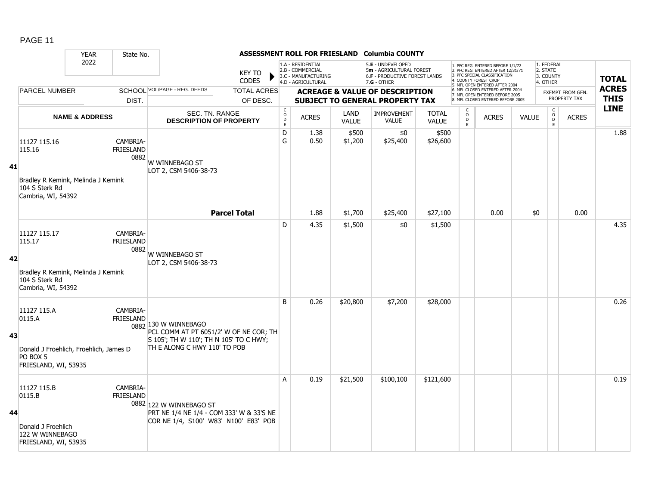| PAGE<br>1 |  |
|-----------|--|
|-----------|--|

|    |                                                                                                      | <b>YEAR</b>               | State No.                     |                                                                                                                                          |                                |                  |                                                                                    |                      | ASSESSMENT ROLL FOR FRIESLAND Columbia COUNTY                                                   |                              |                                          |                                                                                                                                                                     |              |                                                 |                                         |                             |
|----|------------------------------------------------------------------------------------------------------|---------------------------|-------------------------------|------------------------------------------------------------------------------------------------------------------------------------------|--------------------------------|------------------|------------------------------------------------------------------------------------|----------------------|-------------------------------------------------------------------------------------------------|------------------------------|------------------------------------------|---------------------------------------------------------------------------------------------------------------------------------------------------------------------|--------------|-------------------------------------------------|-----------------------------------------|-----------------------------|
|    |                                                                                                      | 2022                      |                               |                                                                                                                                          | <b>KEY TO</b><br><b>CODES</b>  |                  | 1.A - RESIDENTIAL<br>2.B - COMMERCIAL<br>3.C - MANUFACTURING<br>4.D - AGRICULTURAL |                      | 5.E - UNDEVELOPED<br>5m - AGRICULTURAL FOREST<br>6.F - PRODUCTIVE FOREST LANDS<br>$7.G - OTHER$ |                              |                                          | 1. PFC REG. ENTERED BEFORE 1/1/72<br>2. PFC REG. ENTERED AFTER 12/31/71<br>3. PFC SPECIAL CLASSIFICATION<br>4. COUNTY FOREST CROP<br>5. MFL OPEN ENTERED AFTER 2004 |              | 1. FEDERAL<br>2. STATE<br>3. COUNTY<br>4. OTHER |                                         | <b>TOTAL</b>                |
|    | <b>PARCEL NUMBER</b>                                                                                 |                           | DIST.                         | SCHOOL VOL/PAGE - REG. DEEDS                                                                                                             | <b>TOTAL ACRES</b><br>OF DESC. |                  |                                                                                    |                      | <b>ACREAGE &amp; VALUE OF DESCRIPTION</b><br><b>SUBJECT TO GENERAL PROPERTY TAX</b>             |                              |                                          | 6. MFL CLOSED ENTERED AFTER 2004<br>7. MFL OPEN ENTERED BEFORE 2005<br>8. MFL CLOSED ENTERED BEFORE 2005                                                            |              |                                                 | <b>EXEMPT FROM GEN.</b><br>PROPERTY TAX | <b>ACRES</b><br><b>THIS</b> |
|    |                                                                                                      | <b>NAME &amp; ADDRESS</b> |                               | SEC. TN. RANGE<br><b>DESCRIPTION OF PROPERTY</b>                                                                                         |                                | C<br>D<br>D<br>E | <b>ACRES</b>                                                                       | LAND<br><b>VALUE</b> | <b>IMPROVEMENT</b><br>VALUE                                                                     | <b>TOTAL</b><br><b>VALUE</b> | C<br>$\overline{O}$<br>$\mathsf D$<br>F. | <b>ACRES</b>                                                                                                                                                        | <b>VALUE</b> | $_{\rm o}^{\rm c}$<br>D<br>E                    | <b>ACRES</b>                            | <b>LINE</b>                 |
| 41 | 11127 115.16<br>115.16<br>Bradley R Kemink, Melinda J Kemink<br>104 S Sterk Rd<br>Cambria, WI, 54392 |                           | CAMBRIA-<br>FRIESLAND<br>0882 | W WINNEBAGO ST<br>LOT 2, CSM 5406-38-73                                                                                                  |                                | D<br>G           | 1.38<br>0.50                                                                       | \$500<br>\$1,200     | \$0<br>\$25,400                                                                                 | \$500<br>\$26,600            |                                          |                                                                                                                                                                     |              |                                                 |                                         | 1.88                        |
|    |                                                                                                      |                           |                               | <b>Parcel Total</b>                                                                                                                      |                                |                  | 1.88                                                                               | \$1,700              | \$25,400                                                                                        | \$27,100                     |                                          | 0.00                                                                                                                                                                | \$0          |                                                 | 0.00                                    |                             |
| 42 | 11127 115.17<br>115.17<br>Bradley R Kemink, Melinda J Kemink<br>104 S Sterk Rd<br>Cambria, WI, 54392 |                           | CAMBRIA-<br>FRIESLAND<br>0882 | W WINNEBAGO ST<br>LOT 2, CSM 5406-38-73                                                                                                  |                                | D                | 4.35                                                                               | \$1,500              | \$0                                                                                             | \$1,500                      |                                          |                                                                                                                                                                     |              |                                                 |                                         | 4.35                        |
| 43 | 11127 115.A<br>0115.A<br>Donald J Froehlich, Froehlich, James D<br>PO BOX 5<br>FRIESLAND, WI, 53935  |                           | CAMBRIA-<br><b>FRIESLAND</b>  | 0882 130 W WINNEBAGO<br>PCL COMM AT PT 6051/2' W OF NE COR; TH<br>S 105'; TH W 110'; TH N 105' TO C HWY;<br>TH E ALONG C HWY 110' TO POB |                                | B                | 0.26                                                                               | \$20,800             | \$7,200                                                                                         | \$28,000                     |                                          |                                                                                                                                                                     |              |                                                 |                                         | 0.26                        |
| 44 | 11127 115.B<br>0115.B<br>Donald J Froehlich<br>122 W WINNEBAGO<br>FRIESLAND, WI, 53935               |                           | CAMBRIA-<br><b>FRIESLAND</b>  | 0882 122 W WINNEBAGO ST<br>PRT NE 1/4 NE 1/4 - COM 333' W & 33'S NE<br>COR NE 1/4, S100' W83' N100' E83' POB                             |                                | A                | 0.19                                                                               | \$21,500             | \$100,100                                                                                       | \$121,600                    |                                          |                                                                                                                                                                     |              |                                                 |                                         | 0.19                        |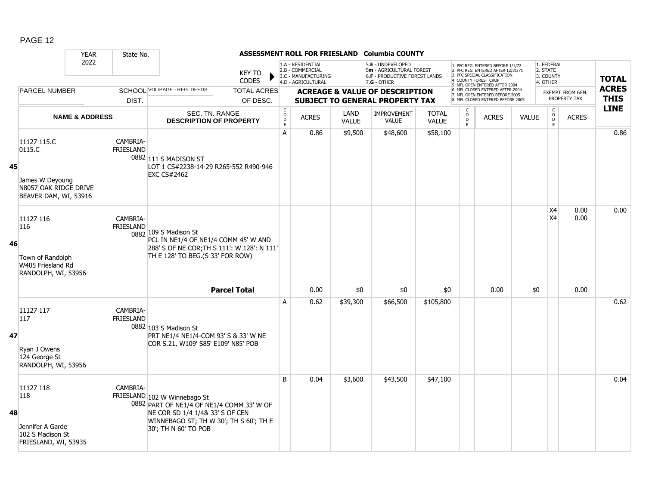|    |                                                                                            | <b>YEAR</b>               | State No.                    |                                                                                                                                                                                |                                |                                              |                                                                                    |                      | ASSESSMENT ROLL FOR FRIESLAND Columbia COUNTY                                                          |                              |                                          |                                                                                                                                                                     |              |                                                 |                                         |                             |
|----|--------------------------------------------------------------------------------------------|---------------------------|------------------------------|--------------------------------------------------------------------------------------------------------------------------------------------------------------------------------|--------------------------------|----------------------------------------------|------------------------------------------------------------------------------------|----------------------|--------------------------------------------------------------------------------------------------------|------------------------------|------------------------------------------|---------------------------------------------------------------------------------------------------------------------------------------------------------------------|--------------|-------------------------------------------------|-----------------------------------------|-----------------------------|
|    |                                                                                            | 2022                      |                              |                                                                                                                                                                                | <b>KEY TO</b><br><b>CODES</b>  |                                              | 1.A - RESIDENTIAL<br>2.B - COMMERCIAL<br>3.C - MANUFACTURING<br>4.D - AGRICULTURAL |                      | 5.E - UNDEVELOPED<br>5m - AGRICULTURAL FOREST<br><b>6.F - PRODUCTIVE FOREST LANDS</b><br>$7.G - OTHER$ |                              |                                          | 1. PFC REG. ENTERED BEFORE 1/1/72<br>2. PFC REG. ENTERED AFTER 12/31/71<br>3. PFC SPECIAL CLASSIFICATION<br>4. COUNTY FOREST CROP<br>5. MFL OPEN ENTERED AFTER 2004 |              | 1. FEDERAL<br>2. STATE<br>3. COUNTY<br>4. OTHER |                                         | <b>TOTAL</b>                |
|    | <b>PARCEL NUMBER</b>                                                                       |                           | DIST.                        | SCHOOL VOL/PAGE - REG. DEEDS                                                                                                                                                   | <b>TOTAL ACRES</b><br>OF DESC. |                                              |                                                                                    |                      | <b>ACREAGE &amp; VALUE OF DESCRIPTION</b><br><b>SUBJECT TO GENERAL PROPERTY TAX</b>                    |                              |                                          | 6. MFL CLOSED ENTERED AFTER 2004<br>7. MFL OPEN ENTERED BEFORE 2005<br>8. MFL CLOSED ENTERED BEFORE 2005                                                            |              |                                                 | <b>EXEMPT FROM GEN.</b><br>PROPERTY TAX | <b>ACRES</b><br><b>THIS</b> |
|    |                                                                                            | <b>NAME &amp; ADDRESS</b> |                              | SEC. TN. RANGE<br><b>DESCRIPTION OF PROPERTY</b>                                                                                                                               |                                | $\begin{array}{c}\nC \\ O \\ D\n\end{array}$ | <b>ACRES</b>                                                                       | LAND<br><b>VALUE</b> | <b>IMPROVEMENT</b><br><b>VALUE</b>                                                                     | <b>TOTAL</b><br><b>VALUE</b> | C<br>$\overline{O}$<br>$\mathsf D$<br>F. | <b>ACRES</b>                                                                                                                                                        | <b>VALUE</b> | $_{\rm o}^{\rm c}$<br>D<br>E                    | <b>ACRES</b>                            | <b>LINE</b>                 |
| 45 | 11127 115.C<br>0115.C<br>James W Deyoung<br>N8057 OAK RIDGE DRIVE<br>BEAVER DAM, WI, 53916 |                           | CAMBRIA-<br><b>FRIESLAND</b> | 0882 111 S MADISON ST<br>LOT 1 CS#2238-14-29 R265-552 R490-946<br><b>EXC CS#2462</b>                                                                                           |                                | A                                            | 0.86                                                                               | \$9,500              | \$48,600                                                                                               | \$58,100                     |                                          |                                                                                                                                                                     |              |                                                 |                                         | 0.86                        |
| 46 | 11127 116<br>116<br>Town of Randolph<br>W405 Friesland Rd<br>RANDOLPH, WI, 53956           |                           | CAMBRIA-<br>FRIESLAND        | 0882 109 S Madison St<br>PCL IN NE1/4 OF NE1/4 COMM 45' W AND<br>288' S OF NE COR; TH S 111': W 128': N 111'<br>TH E 128' TO BEG.(S 33' FOR ROW)                               |                                |                                              |                                                                                    |                      |                                                                                                        |                              |                                          |                                                                                                                                                                     |              | <b>X4</b><br>X4                                 | 0.00<br>0.00                            | 0.00                        |
|    |                                                                                            |                           |                              |                                                                                                                                                                                | <b>Parcel Total</b>            |                                              | 0.00                                                                               | \$0                  | \$0                                                                                                    | \$0                          |                                          | 0.00                                                                                                                                                                | \$0          |                                                 | 0.00                                    |                             |
| 47 | 11127 117<br>117<br>Ryan J Owens<br>124 George St<br>RANDOLPH, WI, 53956                   |                           | CAMBRIA-<br>FRIESLAND        | 0882 103 S Madison St<br>PRT NE1/4 NE1/4-COM 93' S & 33' W NE<br>COR S.21, W109' S85' E109' N85' POB                                                                           |                                | A                                            | 0.62                                                                               | \$39,300             | \$66,500                                                                                               | \$105,800                    |                                          |                                                                                                                                                                     |              |                                                 |                                         | 0.62                        |
| 48 | 11127 118<br>118<br>Jennifer A Garde<br>102 S Madison St<br>FRIESLAND, WI, 53935           |                           | CAMBRIA-                     | FRIESLAND 102 W Winnebago St<br>0882 PART OF NE1/4 OF NE1/4 COMM 33' W OF<br>NE COR SD 1/4 1/4& 33' S OF CEN<br>WINNEBAGO ST; TH W 30'; TH S 60'; TH E<br>30'; TH N 60' TO POB |                                | B                                            | 0.04                                                                               | \$3,600              | \$43,500                                                                                               | \$47,100                     |                                          |                                                                                                                                                                     |              |                                                 |                                         | 0.04                        |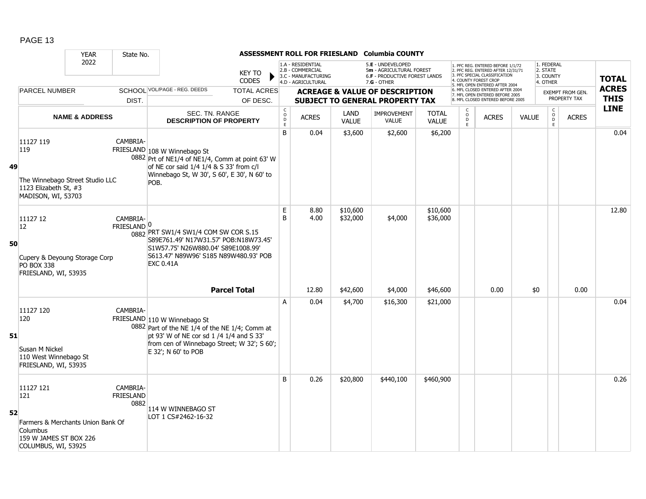|    |                                                                                                                    | <b>YEAR</b>               | State No.                            |                                                                                                                                                                                                  |                                |                                            |                                                                                    |                      | ASSESSMENT ROLL FOR FRIESLAND Columbia COUNTY                                                   |                              |                         |                                                                                                                                                                     |              |                                                 |                                         |                             |
|----|--------------------------------------------------------------------------------------------------------------------|---------------------------|--------------------------------------|--------------------------------------------------------------------------------------------------------------------------------------------------------------------------------------------------|--------------------------------|--------------------------------------------|------------------------------------------------------------------------------------|----------------------|-------------------------------------------------------------------------------------------------|------------------------------|-------------------------|---------------------------------------------------------------------------------------------------------------------------------------------------------------------|--------------|-------------------------------------------------|-----------------------------------------|-----------------------------|
|    |                                                                                                                    | 2022                      |                                      |                                                                                                                                                                                                  | <b>KEY TO</b><br><b>CODES</b>  |                                            | 1.A - RESIDENTIAL<br>2.B - COMMERCIAL<br>3.C - MANUFACTURING<br>4.D - AGRICULTURAL |                      | 5.E - UNDEVELOPED<br>5m - AGRICULTURAL FOREST<br>6.F - PRODUCTIVE FOREST LANDS<br>$7.G - OTHER$ |                              |                         | 1. PFC REG. ENTERED BEFORE 1/1/72<br>2. PFC REG. ENTERED AFTER 12/31/71<br>3. PFC SPECIAL CLASSIFICATION<br>4. COUNTY FOREST CROP<br>5. MFL OPEN ENTERED AFTER 2004 |              | 1. FEDERAL<br>2. STATE<br>3. COUNTY<br>4. OTHER |                                         | <b>TOTAL</b>                |
|    | <b>PARCEL NUMBER</b>                                                                                               |                           | DIST.                                | SCHOOL VOL/PAGE - REG. DEEDS                                                                                                                                                                     | <b>TOTAL ACRES</b><br>OF DESC. |                                            |                                                                                    |                      | <b>ACREAGE &amp; VALUE OF DESCRIPTION</b><br>SUBJECT TO GENERAL PROPERTY TAX                    |                              |                         | 6. MFL CLOSED ENTERED AFTER 2004<br>7. MFL OPEN ENTERED BEFORE 2005<br>8. MFL CLOSED ENTERED BEFORE 2005                                                            |              |                                                 | <b>EXEMPT FROM GEN.</b><br>PROPERTY TAX | <b>ACRES</b><br><b>THIS</b> |
|    |                                                                                                                    | <b>NAME &amp; ADDRESS</b> |                                      | SEC. TN. RANGE<br><b>DESCRIPTION OF PROPERTY</b>                                                                                                                                                 |                                | $\begin{array}{c} C \\ O \\ E \end{array}$ | <b>ACRES</b>                                                                       | LAND<br><b>VALUE</b> | <b>IMPROVEMENT</b><br><b>VALUE</b>                                                              | <b>TOTAL</b><br><b>VALUE</b> | $_{\rm D}^{\rm O}$<br>E | <b>ACRES</b>                                                                                                                                                        | <b>VALUE</b> | $\begin{matrix} C \\ O \\ D \end{matrix}$<br>E  | <b>ACRES</b>                            | <b>LINE</b>                 |
| 49 | 11127 119<br>119<br>The Winnebago Street Studio LLC<br>1123 Elizabeth St, #3<br>MADISON, WI, 53703                 |                           | CAMBRIA-                             | FRIESLAND 108 W Winnebago St<br>0882 Prt of NE1/4 of NE1/4, Comm at point 63' W<br>of NE cor said 1/4 1/4 & S 33' from c/l<br>Winnebago St, W 30', S 60', E 30', N 60' to<br>POB.                |                                | B                                          | 0.04                                                                               | \$3,600              | \$2,600                                                                                         | \$6,200                      |                         |                                                                                                                                                                     |              |                                                 |                                         | 0.04                        |
| 50 | 11127 12<br> 12 <br>Cupery & Deyoung Storage Corp<br>PO BOX 338<br>FRIESLAND, WI, 53935                            |                           | CAMBRIA-<br>FRIESLAND <sup>0</sup>   | 0882 PRT SW1/4 SW1/4 COM SW COR S.15<br>S89E761.49' N17W31.57' POB:N18W73.45'<br>S1W57.75' N26W880.04' S89E1008.99'<br>S613.47' N89W96' S185 N89W480.93' POB<br><b>EXC 0.41A</b>                 |                                | E<br>B                                     | 8.80<br>4.00                                                                       | \$10,600<br>\$32,000 | \$4,000                                                                                         | \$10,600<br>\$36,000         |                         |                                                                                                                                                                     |              |                                                 |                                         | 12.80                       |
|    |                                                                                                                    |                           |                                      |                                                                                                                                                                                                  | <b>Parcel Total</b>            |                                            | 12.80                                                                              | \$42,600             | \$4,000                                                                                         | \$46,600                     |                         | 0.00                                                                                                                                                                | \$0          |                                                 | 0.00                                    |                             |
| 51 | 11127 120<br>120<br>Susan M Nickel<br>110 West Winnebago St<br>FRIESLAND, WI, 53935                                |                           | CAMBRIA-                             | FRIESLAND 110 W Winnebago St<br>0882 Part of the NE 1/4 of the NE 1/4; Comm at<br>pt 93' W of NE cor sd 1 /4 1/4 and S 33'<br>from cen of Winnebago Street; W 32'; S 60';<br>E 32'; N 60' to POB |                                | A                                          | 0.04                                                                               | \$4,700              | \$16,300                                                                                        | \$21,000                     |                         |                                                                                                                                                                     |              |                                                 |                                         | 0.04                        |
| 52 | 11127 121<br>121<br>Farmers & Merchants Union Bank Of<br>Columbus<br>159 W JAMES ST BOX 226<br>COLUMBUS, WI, 53925 |                           | CAMBRIA-<br><b>FRIESLAND</b><br>0882 | 114 W WINNEBAGO ST<br>LOT 1 CS#2462-16-32                                                                                                                                                        |                                | B                                          | 0.26                                                                               | \$20,800             | \$440,100                                                                                       | \$460,900                    |                         |                                                                                                                                                                     |              |                                                 |                                         | 0.26                        |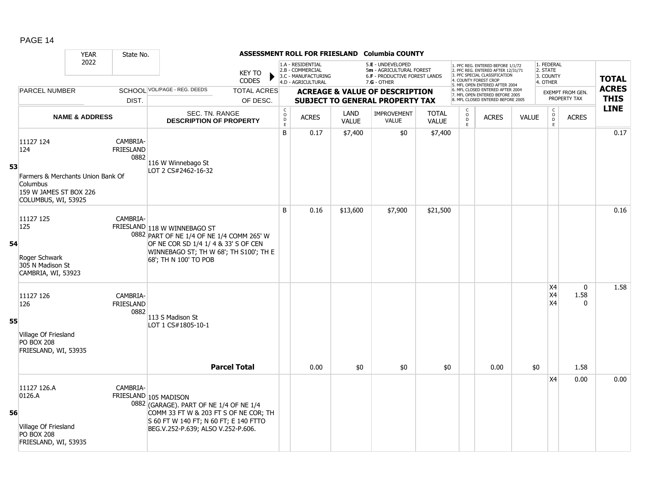|    |                                                                                                                    | <b>YEAR</b>               | State No.                            |                                                                                                                                                                                          |                                |                                              |                                                                                    |                  | ASSESSMENT ROLL FOR FRIESLAND Columbia COUNTY                                                          |                         |                                    |                                                                                                                                                                     |              |                                                 |                                          |                             |
|----|--------------------------------------------------------------------------------------------------------------------|---------------------------|--------------------------------------|------------------------------------------------------------------------------------------------------------------------------------------------------------------------------------------|--------------------------------|----------------------------------------------|------------------------------------------------------------------------------------|------------------|--------------------------------------------------------------------------------------------------------|-------------------------|------------------------------------|---------------------------------------------------------------------------------------------------------------------------------------------------------------------|--------------|-------------------------------------------------|------------------------------------------|-----------------------------|
|    |                                                                                                                    | 2022                      |                                      |                                                                                                                                                                                          | <b>KEY TO</b><br><b>CODES</b>  |                                              | 1.A - RESIDENTIAL<br>2.B - COMMERCIAL<br>3.C - MANUFACTURING<br>4.D - AGRICULTURAL |                  | 5.E - UNDEVELOPED<br>5m - AGRICULTURAL FOREST<br><b>6.F - PRODUCTIVE FOREST LANDS</b><br>$7.G - OTHER$ |                         |                                    | 1. PFC REG. ENTERED BEFORE 1/1/72<br>2. PFC REG. ENTERED AFTER 12/31/71<br>3. PFC SPECIAL CLASSIFICATION<br>4. COUNTY FOREST CROP<br>5. MFL OPEN ENTERED AFTER 2004 |              | 1. FEDERAL<br>2. STATE<br>3. COUNTY<br>4. OTHER |                                          | <b>TOTAL</b>                |
|    | PARCEL NUMBER                                                                                                      |                           | DIST.                                | SCHOOL VOL/PAGE - REG. DEEDS                                                                                                                                                             | <b>TOTAL ACRES</b><br>OF DESC. |                                              |                                                                                    |                  | <b>ACREAGE &amp; VALUE OF DESCRIPTION</b><br>SUBJECT TO GENERAL PROPERTY TAX                           |                         |                                    | 6. MFL CLOSED ENTERED AFTER 2004<br>7. MFL OPEN ENTERED BEFORE 2005<br>8. MFL CLOSED ENTERED BEFORE 2005                                                            |              |                                                 | <b>EXEMPT FROM GEN.</b><br>PROPERTY TAX  | <b>ACRES</b><br><b>THIS</b> |
|    |                                                                                                                    | <b>NAME &amp; ADDRESS</b> |                                      | SEC. TN. RANGE                                                                                                                                                                           |                                | $\begin{array}{c}\nC \\ O \\ E\n\end{array}$ | <b>ACRES</b>                                                                       | LAND             | <b>IMPROVEMENT</b>                                                                                     | <b>TOTAL</b>            | $\overset{\mathsf{O}}{\mathsf{D}}$ | <b>ACRES</b>                                                                                                                                                        | <b>VALUE</b> | $\begin{matrix} C \\ O \\ D \end{matrix}$       | <b>ACRES</b>                             | <b>LINE</b>                 |
| 53 | 11127 124<br>124<br>Farmers & Merchants Union Bank Of<br>Columbus<br>159 W JAMES ST BOX 226<br>COLUMBUS, WI, 53925 |                           | CAMBRIA-<br>FRIESLAND<br>0882        | <b>DESCRIPTION OF PROPERTY</b><br>116 W Winnebago St<br>LOT 2 CS#2462-16-32                                                                                                              |                                | B                                            | 0.17                                                                               | VALUE<br>\$7,400 | <b>VALUE</b><br>\$0                                                                                    | <b>VALUE</b><br>\$7,400 | $\mathsf E$                        |                                                                                                                                                                     |              | E                                               |                                          | 0.17                        |
| 54 | 11127 125<br>125<br>Roger Schwark<br>305 N Madison St<br>CAMBRIA, WI, 53923                                        |                           | CAMBRIA-                             | FRIESLAND 118 W WINNEBAGO ST<br>0882 PART OF NE 1/4 OF NE 1/4 COMM 265' W<br>OF NE COR SD 1/4 1/ 4 & 33' S OF CEN<br>WINNEBAGO ST; TH W 68'; TH S100'; TH E<br>68'; TH N 100' TO POB     |                                | B                                            | 0.16                                                                               | \$13,600         | \$7,900                                                                                                | \$21,500                |                                    |                                                                                                                                                                     |              |                                                 |                                          | 0.16                        |
| 55 | 11127 126<br>126<br>Village Of Friesland<br><b>PO BOX 208</b><br>FRIESLAND, WI, 53935                              |                           | CAMBRIA-<br><b>FRIESLAND</b><br>0882 | 113 S Madison St<br>LOT 1 CS#1805-10-1                                                                                                                                                   | <b>Parcel Total</b>            |                                              | 0.00                                                                               | \$0              | \$0                                                                                                    | \$0                     |                                    | 0.00                                                                                                                                                                | \$0          | X4<br>X4<br>X4                                  | $\mathbf{0}$<br>1.58<br>$\Omega$<br>1.58 | 1.58                        |
| 56 | 11127 126.A<br>0126.A<br>Village Of Friesland<br><b>PO BOX 208</b><br>FRIESLAND, WI, 53935                         |                           | CAMBRIA-                             | FRIESLAND 105 MADISON<br>0882 (GARAGE). PART OF NE 1/4 OF NE 1/4<br>COMM 33 FT W & 203 FT S OF NE COR; TH<br>S 60 FT W 140 FT; N 60 FT; E 140 FTTO<br>BEG.V.252-P.639; ALSO V.252-P.606. |                                |                                              |                                                                                    |                  |                                                                                                        |                         |                                    |                                                                                                                                                                     |              | X4                                              | 0.00                                     | 0.00                        |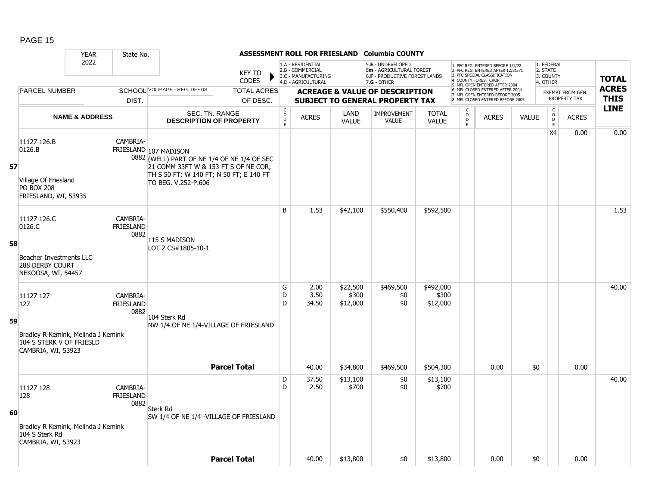|    |                                                                                                          | <b>YEAR</b>               | State No.                            |                                                                                                                                                                                |                               |                                                |                                                                                    |                               | ASSESSMENT ROLL FOR FRIESLAND Columbia COUNTY                                                          |                                |                         |                                                                                                                                                                     |              |                                                 |                         |                            |
|----|----------------------------------------------------------------------------------------------------------|---------------------------|--------------------------------------|--------------------------------------------------------------------------------------------------------------------------------------------------------------------------------|-------------------------------|------------------------------------------------|------------------------------------------------------------------------------------|-------------------------------|--------------------------------------------------------------------------------------------------------|--------------------------------|-------------------------|---------------------------------------------------------------------------------------------------------------------------------------------------------------------|--------------|-------------------------------------------------|-------------------------|----------------------------|
|    |                                                                                                          | 2022                      |                                      |                                                                                                                                                                                | <b>KEY TO</b><br><b>CODES</b> |                                                | 1.A - RESIDENTIAL<br>2.B - COMMERCIAL<br>3.C - MANUFACTURING<br>4.D - AGRICULTURAL |                               | 5.E - UNDEVELOPED<br>5m - AGRICULTURAL FOREST<br><b>6.F - PRODUCTIVE FOREST LANDS</b><br>$7.G - OTHER$ |                                |                         | 1. PFC REG. ENTERED BEFORE 1/1/72<br>2. PFC REG. ENTERED AFTER 12/31/71<br>3. PFC SPECIAL CLASSIFICATION<br>4. COUNTY FOREST CROF<br>5. MFL OPEN ENTERED AFTER 2004 |              | 1. FEDERAL<br>2. STATE<br>3. COUNTY<br>4. OTHER |                         | <b>TOTAL</b>               |
|    | <b>PARCEL NUMBER</b>                                                                                     |                           |                                      | SCHOOL VOL/PAGE - REG. DEEDS                                                                                                                                                   | <b>TOTAL ACRES</b>            |                                                |                                                                                    |                               | <b>ACREAGE &amp; VALUE OF DESCRIPTION</b>                                                              |                                |                         | 6. MFL CLOSED ENTERED AFTER 2004<br>7. MFL OPEN ENTERED BEFORE 2005                                                                                                 |              |                                                 | <b>EXEMPT FROM GEN.</b> | <b>ACRES</b>               |
|    |                                                                                                          |                           | DIST.                                |                                                                                                                                                                                | OF DESC.                      |                                                |                                                                                    |                               | <b>SUBJECT TO GENERAL PROPERTY TAX</b>                                                                 |                                |                         | 8. MFL CLOSED ENTERED BEFORE 2005                                                                                                                                   |              |                                                 | PROPERTY TAX            | <b>THIS</b><br><b>LINE</b> |
|    |                                                                                                          | <b>NAME &amp; ADDRESS</b> |                                      | SEC. TN. RANGE<br><b>DESCRIPTION OF PROPERTY</b>                                                                                                                               |                               | $\begin{matrix} 0 \\ 0 \\ D \end{matrix}$<br>E | <b>ACRES</b>                                                                       | LAND<br><b>VALUE</b>          | IMPROVEMENT<br><b>VALUE</b>                                                                            | <b>TOTAL</b><br><b>VALUE</b>   | $_{\rm D}^{\rm O}$<br>E | <b>ACRES</b>                                                                                                                                                        | <b>VALUE</b> | $\mathsf{C}$<br>$_{\rm D}^{\rm O}$<br>E         | <b>ACRES</b>            |                            |
| 57 | 11127 126.B<br>0126.B<br>Village Of Friesland<br><b>PO BOX 208</b><br>FRIESLAND, WI, 53935               |                           | CAMBRIA-                             | FRIESLAND 107 MADISON<br>0882 (WELL) PART OF NE 1/4 OF NE 1/4 OF SEC<br>21 COMM 33FT W & 153 FT S OF NE COR;<br>TH S 50 FT; W 140 FT; N 50 FT; E 140 FT<br>TO BEG. V.252-P.606 |                               |                                                |                                                                                    |                               |                                                                                                        |                                |                         |                                                                                                                                                                     |              | X4                                              | 0.00                    | 0.00                       |
| 58 | 11127 126.C<br>0126.C<br>Beacher Investments LLC<br>288 DERBY COURT<br>NEKOOSA, WI, 54457                |                           | CAMBRIA-<br>FRIESLAND<br>0882        | 115 S MADISON<br>LOT 2 CS#1805-10-1                                                                                                                                            |                               | B                                              | 1.53                                                                               | \$42,100                      | \$550,400                                                                                              | \$592,500                      |                         |                                                                                                                                                                     |              |                                                 |                         | 1.53                       |
| 59 | 11127 127<br>127<br>Bradley R Kemink, Melinda J Kemink<br>104 S STERK V OF FRIESLD<br>CAMBRIA, WI, 53923 |                           | CAMBRIA-<br>FRIESLAND<br>0882        | 104 Sterk Rd<br>NW 1/4 OF NE 1/4-VILLAGE OF FRIESLAND                                                                                                                          |                               | G<br>D<br>D                                    | 2.00<br>3.50<br>34.50                                                              | \$22,500<br>\$300<br>\$12,000 | \$469,500<br>\$0<br>\$0                                                                                | \$492,000<br>\$300<br>\$12,000 |                         |                                                                                                                                                                     |              |                                                 |                         | 40.00                      |
|    |                                                                                                          |                           |                                      |                                                                                                                                                                                | <b>Parcel Total</b>           |                                                | 40.00                                                                              | \$34,800                      | \$469,500                                                                                              | \$504,300                      |                         | 0.00                                                                                                                                                                | \$0          |                                                 | 0.00                    |                            |
| 60 | 11127 128<br>128<br>Bradley R Kemink, Melinda J Kemink<br>104 S Sterk Rd<br>CAMBRIA, WI, 53923           |                           | CAMBRIA-<br><b>FRIESLAND</b><br>0882 | <b>Sterk Rd</b><br>SW 1/4 OF NE 1/4 - VILLAGE OF FRIESLAND                                                                                                                     |                               | D<br>D                                         | 37.50<br>2.50                                                                      | \$13,100<br>\$700             | \$0<br>\$0                                                                                             | \$13,100<br>\$700              |                         |                                                                                                                                                                     |              |                                                 |                         | 40.00                      |
|    |                                                                                                          |                           |                                      |                                                                                                                                                                                | <b>Parcel Total</b>           |                                                | 40.00                                                                              | \$13,800                      | \$0                                                                                                    | \$13,800                       |                         | 0.00                                                                                                                                                                | \$0          |                                                 | 0.00                    |                            |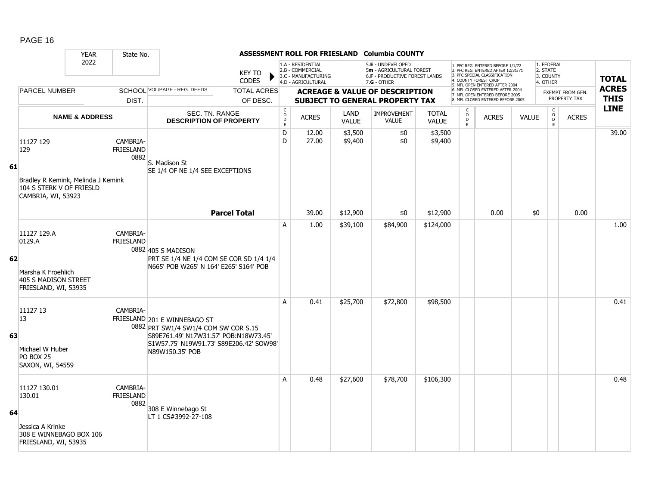|    |                                                                                                          | <b>YEAR</b>               | State No.                            |                                                                                                                                                                             |                                |                                                  |                                                                                    |                      | ASSESSMENT ROLL FOR FRIESLAND Columbia COUNTY                                                          |                              |                                                |                                                                                                                                                                     |              |                                                 |                                         |                             |
|----|----------------------------------------------------------------------------------------------------------|---------------------------|--------------------------------------|-----------------------------------------------------------------------------------------------------------------------------------------------------------------------------|--------------------------------|--------------------------------------------------|------------------------------------------------------------------------------------|----------------------|--------------------------------------------------------------------------------------------------------|------------------------------|------------------------------------------------|---------------------------------------------------------------------------------------------------------------------------------------------------------------------|--------------|-------------------------------------------------|-----------------------------------------|-----------------------------|
|    |                                                                                                          | 2022                      |                                      |                                                                                                                                                                             | KEY TO<br><b>CODES</b>         |                                                  | 1.A - RESIDENTIAL<br>2.B - COMMERCIAL<br>3.C - MANUFACTURING<br>4.D - AGRICULTURAL |                      | 5.E - UNDEVELOPED<br>5m - AGRICULTURAL FOREST<br><b>6.F - PRODUCTIVE FOREST LANDS</b><br>$7.G - OTHER$ |                              |                                                | 1. PFC REG. ENTERED BEFORE 1/1/72<br>2. PFC REG. ENTERED AFTER 12/31/71<br>3. PFC SPECIAL CLASSIFICATION<br>4. COUNTY FOREST CROP<br>5. MFL OPEN ENTERED AFTER 2004 |              | 1. FEDERAL<br>2. STATE<br>3. COUNTY<br>4. OTHER |                                         | <b>TOTAL</b>                |
|    | PARCEL NUMBER                                                                                            |                           | DIST.                                | <b>SCHOOL VOL/PAGE - REG. DEEDS</b>                                                                                                                                         | <b>TOTAL ACRES</b><br>OF DESC. |                                                  |                                                                                    |                      | <b>ACREAGE &amp; VALUE OF DESCRIPTION</b><br><b>SUBJECT TO GENERAL PROPERTY TAX</b>                    |                              |                                                | 6. MFL CLOSED ENTERED AFTER 2004<br>7. MFL OPEN ENTERED BEFORE 2005<br>8. MFL CLOSED ENTERED BEFORE 2005                                                            |              |                                                 | <b>EXEMPT FROM GEN.</b><br>PROPERTY TAX | <b>ACRES</b><br><b>THIS</b> |
|    |                                                                                                          | <b>NAME &amp; ADDRESS</b> |                                      | SEC. TN. RANGE<br><b>DESCRIPTION OF PROPERTY</b>                                                                                                                            |                                | $\mathsf{C}$<br>$\mathsf{o}$<br>$\mathsf D$<br>E | <b>ACRES</b>                                                                       | LAND<br><b>VALUE</b> | IMPROVEMENT<br><b>VALUE</b>                                                                            | <b>TOTAL</b><br><b>VALUE</b> | $\begin{matrix} 0 \\ 0 \\ 0 \end{matrix}$<br>E | <b>ACRES</b>                                                                                                                                                        | <b>VALUE</b> | $\begin{matrix} 0 \\ 0 \\ 0 \end{matrix}$<br>E  | <b>ACRES</b>                            | <b>LINE</b>                 |
| 61 | 11127 129<br>129<br>Bradley R Kemink, Melinda J Kemink<br>104 S STERK V OF FRIESLD<br>CAMBRIA, WI, 53923 |                           | CAMBRIA-<br><b>FRIESLAND</b><br>0882 | S. Madison St<br>SE 1/4 OF NE 1/4 SEE EXCEPTIONS                                                                                                                            |                                | D<br>D                                           | 12.00<br>27.00                                                                     | \$3,500<br>\$9,400   | \$0<br>\$0                                                                                             | \$3,500<br>\$9,400           |                                                |                                                                                                                                                                     |              |                                                 |                                         | 39.00                       |
|    |                                                                                                          |                           |                                      |                                                                                                                                                                             | <b>Parcel Total</b>            |                                                  | 39.00                                                                              | \$12,900             | \$0                                                                                                    | \$12,900                     |                                                | 0.00                                                                                                                                                                | \$0          |                                                 | 0.00                                    |                             |
| 62 | 11127 129.A<br>0129.A<br>Marsha K Froehlich<br><b>405 S MADISON STREET</b><br>FRIESLAND, WI, 53935       |                           | CAMBRIA-<br><b>FRIESLAND</b>         | 0882 405 S MADISON<br>PRT SE 1/4 NE 1/4 COM SE COR SD 1/4 1/4<br>N665' POB W265' N 164' E265' S164' POB                                                                     |                                | A                                                | 1.00                                                                               | \$39,100             | \$84,900                                                                                               | \$124,000                    |                                                |                                                                                                                                                                     |              |                                                 |                                         | 1.00                        |
| 63 | 11127 13<br>13<br>Michael W Huber<br><b>PO BOX 25</b><br>SAXON, WI, 54559                                |                           | CAMBRIA-                             | FRIESLAND 201 E WINNEBAGO ST<br>0882 PRT SW1/4 SW1/4 COM SW COR S.15<br>S89E761.49' N17W31.57' POB:N18W73.45'<br>S1W57.75' N19W91.73' S89E206.42' SOW98'<br>N89W150.35' POB |                                | A                                                | 0.41                                                                               | \$25,700             | \$72,800                                                                                               | \$98,500                     |                                                |                                                                                                                                                                     |              |                                                 |                                         | 0.41                        |
| 64 | 11127 130.01<br>130.01<br>Jessica A Krinke<br>308 E WINNEBAGO BOX 106<br>FRIESLAND, WI, 53935            |                           | CAMBRIA-<br><b>FRIESLAND</b><br>0882 | 308 E Winnebago St<br>LT 1 CS#3992-27-108                                                                                                                                   |                                | A                                                | 0.48                                                                               | \$27,600             | \$78,700                                                                                               | \$106,300                    |                                                |                                                                                                                                                                     |              |                                                 |                                         | 0.48                        |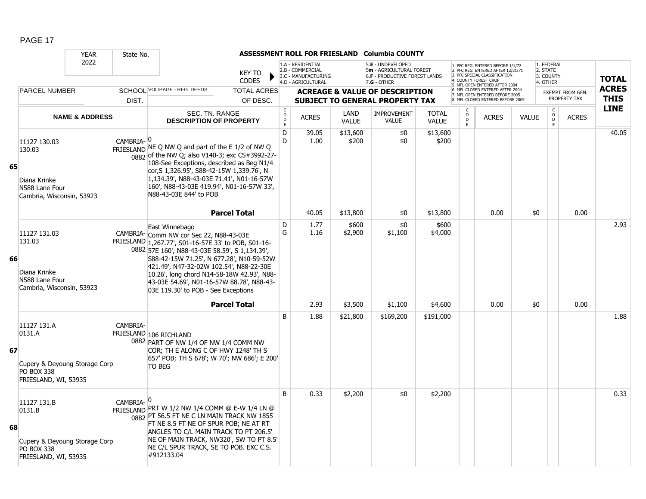|    |                                                                                                     | <b>YEAR</b>               | State No.             |                                                                                                                                                                                                                                                                                                                                                                                             |                                  |                                                                                    |                   | ASSESSMENT ROLL FOR FRIESLAND Columbia COUNTY                                                        |                   |                                              |                                                                                                                                                                     |              |                                                 |                                  |                             |
|----|-----------------------------------------------------------------------------------------------------|---------------------------|-----------------------|---------------------------------------------------------------------------------------------------------------------------------------------------------------------------------------------------------------------------------------------------------------------------------------------------------------------------------------------------------------------------------------------|----------------------------------|------------------------------------------------------------------------------------|-------------------|------------------------------------------------------------------------------------------------------|-------------------|----------------------------------------------|---------------------------------------------------------------------------------------------------------------------------------------------------------------------|--------------|-------------------------------------------------|----------------------------------|-----------------------------|
|    |                                                                                                     | 2022                      |                       | <b>KEY TO</b><br><b>CODES</b>                                                                                                                                                                                                                                                                                                                                                               |                                  | 1.A - RESIDENTIAL<br>2.B - COMMERCIAL<br>3.C - MANUFACTURING<br>4.D - AGRICULTURAL |                   | 5.E - UNDEVELOPED<br>5m - AGRICULTURAL FOREST<br><b>6.F - PRODUCTIVE FOREST LANDS</b><br>7.G - OTHER |                   |                                              | 1. PFC REG. ENTERED BEFORE 1/1/72<br>2. PFC REG. ENTERED AFTER 12/31/71<br>3. PFC SPECIAL CLASSIFICATION<br>4. COUNTY FOREST CROP<br>5. MFL OPEN ENTERED AFTER 2004 |              | 1. FEDERAL<br>2. STATE<br>3. COUNTY<br>4. OTHER |                                  | <b>TOTAL</b>                |
|    | <b>PARCEL NUMBER</b>                                                                                |                           | DIST.                 | SCHOOL VOL/PAGE - REG. DEEDS<br><b>TOTAL ACRES</b>                                                                                                                                                                                                                                                                                                                                          |                                  |                                                                                    |                   | <b>ACREAGE &amp; VALUE OF DESCRIPTION</b><br><b>SUBJECT TO GENERAL PROPERTY TAX</b>                  |                   |                                              | 6. MFL CLOSED ENTERED AFTER 2004<br>7. MFL OPEN ENTERED BEFORE 2005<br>8. MFL CLOSED ENTERED BEFORE 2005                                                            |              |                                                 | EXEMPT FROM GEN.<br>PROPERTY TAX | <b>ACRES</b><br><b>THIS</b> |
|    |                                                                                                     |                           |                       | OF DESC.<br>SEC. TN. RANGE                                                                                                                                                                                                                                                                                                                                                                  | $\mathsf{C}$                     |                                                                                    | LAND              | IMPROVEMENT                                                                                          | <b>TOTAL</b>      |                                              |                                                                                                                                                                     |              |                                                 |                                  | <b>LINE</b>                 |
|    |                                                                                                     | <b>NAME &amp; ADDRESS</b> |                       | <b>DESCRIPTION OF PROPERTY</b>                                                                                                                                                                                                                                                                                                                                                              | $\mathsf{O}$<br>D<br>$\mathsf E$ | <b>ACRES</b>                                                                       | <b>VALUE</b>      | <b>VALUE</b>                                                                                         | <b>VALUE</b>      | $\begin{array}{c}\n0 \\ 0 \\ E\n\end{array}$ | <b>ACRES</b>                                                                                                                                                        | <b>VALUE</b> | $\begin{matrix} 0 \\ 0 \\ 0 \end{matrix}$<br>E  | <b>ACRES</b>                     |                             |
| 65 | 11127 130.03<br>130.03<br>Diana Krinke<br>N588 Lane Four<br>Cambria, Wisconsin, 53923               |                           | CAMBRIA-0             | FRIESLAND NE Q NW Q and part of the E 1/2 of NW Q<br>0882 of the NW Q; also V140-3; exc CS#3992-27-<br>108-See Exceptions, described as Beg N1/4<br>cor, S 1, 326.95', S88-42-15W 1, 339.76', N<br>1,134.39', N88-43-03E 71.41', N01-16-57W<br>160', N88-43-03E 419.94', N01-16-57W 33',<br>N88-43-03E 844' to POB                                                                          | D<br>D                           | 39.05<br>1.00                                                                      | \$13,600<br>\$200 | \$0<br>\$0                                                                                           | \$13,600<br>\$200 |                                              |                                                                                                                                                                     |              |                                                 |                                  | 40.05                       |
|    |                                                                                                     |                           |                       | <b>Parcel Total</b>                                                                                                                                                                                                                                                                                                                                                                         |                                  | 40.05                                                                              | \$13,800          | \$0                                                                                                  | \$13,800          |                                              | 0.00                                                                                                                                                                | \$0          |                                                 | 0.00                             |                             |
| 66 | 11127 131.03<br>131.03<br>Diana Krinke<br>N588 Lane Four<br>Cambria, Wisconsin, 53923               |                           |                       | East Winnebago<br>CAMBRIA- Comm NW cor Sec 22, N88-43-03E<br>FRIESLAND 1,267.77', S01-16-57E 33' to POB, S01-16-<br>0882 57E 160', N88-43-03E 58.59', S 1,134.39',<br>S88-42-15W 71.25', N 677.28', N10-59-52W<br>421.49', N47-32-02W 102.54', N88-22-30E<br>10.26', long chord N14-58-18W 42.93', N88-<br>43-03E 54.69', N01-16-57W 88.78', N88-43-<br>03E 119.30' to POB - See Exceptions | D<br>G                           | 1.77<br>1.16                                                                       | \$600<br>\$2,900  | \$0<br>\$1,100                                                                                       | \$600<br>\$4,000  |                                              |                                                                                                                                                                     |              |                                                 |                                  | 2.93                        |
|    |                                                                                                     |                           |                       | <b>Parcel Total</b>                                                                                                                                                                                                                                                                                                                                                                         |                                  | 2.93                                                                               | \$3,500           | \$1,100                                                                                              | \$4,600           |                                              | 0.00                                                                                                                                                                | \$0          |                                                 | 0.00                             |                             |
| 67 | 11127 131.A<br>0131.A<br>Cupery & Deyoung Storage Corp<br><b>PO BOX 338</b><br>FRIESLAND, WI, 53935 |                           | CAMBRIA-              | FRIESLAND 106 RICHLAND<br>0882 PART OF NW 1/4 OF NW 1/4 COMM NW<br>COR; TH E ALONG C OF HWY 1248' TH S<br>657' POB; TH S 678'; W 70'; NW 686'; E 200'<br><b>TO BEG</b>                                                                                                                                                                                                                      | B                                | 1.88                                                                               | \$21,800          | \$169,200                                                                                            | \$191,000         |                                              |                                                                                                                                                                     |              |                                                 |                                  | 1.88                        |
| 68 | 11127 131.B<br>0131.B<br>Cupery & Deyoung Storage Corp<br><b>PO BOX 338</b><br>FRIESLAND, WI, 53935 |                           | CAMBRIA- <sup>0</sup> | FRIESLAND PRT W 1/2 NW 1/4 COMM @ E-W 1/4 LN @<br>0882 PT 56.5 FT NE C LN MAIN TRACK NW 1855<br>FT NE 8.5 FT NE OF SPUR POB; NE AT RT<br>ANGLES TO C/L MAIN TRACK TO PT 206.5'<br>NE OF MAIN TRACK, NW320', SW TO PT 8.5'<br>NE C/L SPUR TRACK, SE TO POB. EXC C.S.<br>#912133.04                                                                                                           | B.                               | 0.33                                                                               | \$2,200           | \$0                                                                                                  | \$2,200           |                                              |                                                                                                                                                                     |              |                                                 |                                  | 0.33                        |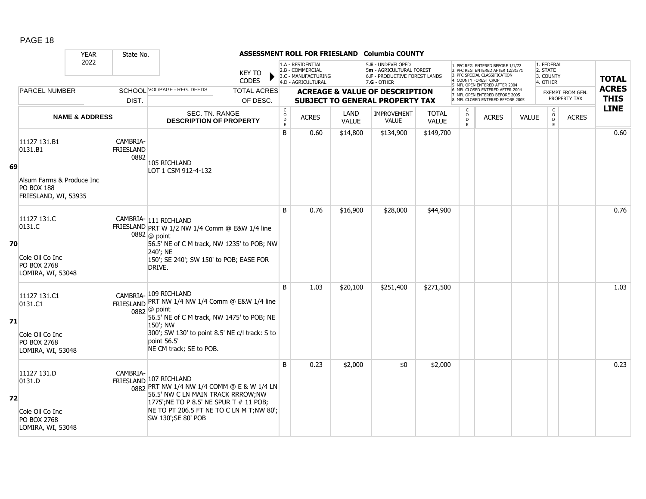|    |                                                                                                   | <b>YEAR</b>               | State No.                     |                                                                                                                                                                                                                                                 |                                             |                                                                                    |                      | ASSESSMENT ROLL FOR FRIESLAND Columbia COUNTY                                                        |                              |                                              |                                                                                                                                                                     |              |                                                 |                                  |                             |
|----|---------------------------------------------------------------------------------------------------|---------------------------|-------------------------------|-------------------------------------------------------------------------------------------------------------------------------------------------------------------------------------------------------------------------------------------------|---------------------------------------------|------------------------------------------------------------------------------------|----------------------|------------------------------------------------------------------------------------------------------|------------------------------|----------------------------------------------|---------------------------------------------------------------------------------------------------------------------------------------------------------------------|--------------|-------------------------------------------------|----------------------------------|-----------------------------|
|    |                                                                                                   | 2022                      |                               | <b>KEY TO</b><br>CODES                                                                                                                                                                                                                          |                                             | 1.A - RESIDENTIAL<br>2.B - COMMERCIAL<br>3.C - MANUFACTURING<br>4.D - AGRICULTURAL |                      | 5.E - UNDEVELOPED<br>5m - AGRICULTURAL FOREST<br><b>6.F - PRODUCTIVE FOREST LANDS</b><br>7.G - OTHER |                              |                                              | 1. PFC REG. ENTERED BEFORE 1/1/72<br>2. PFC REG. ENTERED AFTER 12/31/71<br>3. PFC SPECIAL CLASSIFICATION<br>4. COUNTY FOREST CROP<br>5. MFL OPEN ENTERED AFTER 2004 |              | 1. FEDERAL<br>2. STATE<br>3. COUNTY<br>4. OTHER |                                  | <b>TOTAL</b>                |
|    | <b>PARCEL NUMBER</b>                                                                              |                           | DIST.                         | SCHOOL VOL/PAGE - REG. DEEDS<br><b>TOTAL ACRES</b><br>OF DESC.                                                                                                                                                                                  |                                             |                                                                                    |                      | <b>ACREAGE &amp; VALUE OF DESCRIPTION</b><br><b>SUBJECT TO GENERAL PROPERTY TAX</b>                  |                              |                                              | 6. MFL CLOSED ENTERED AFTER 2004<br>7. MFL OPEN ENTERED BEFORE 2005<br>8. MFL CLOSED ENTERED BEFORE 2005                                                            |              |                                                 | EXEMPT FROM GEN.<br>PROPERTY TAX | <b>ACRES</b><br><b>THIS</b> |
|    |                                                                                                   | <b>NAME &amp; ADDRESS</b> |                               | SEC. TN. RANGE<br><b>DESCRIPTION OF PROPERTY</b>                                                                                                                                                                                                | $\mathsf{C}$<br>$\circ$<br>$\mathsf D$<br>E | <b>ACRES</b>                                                                       | LAND<br><b>VALUE</b> | IMPROVEMENT<br>VALUE                                                                                 | <b>TOTAL</b><br><b>VALUE</b> | $\begin{array}{c}\n0 \\ 0 \\ E\n\end{array}$ | <b>ACRES</b>                                                                                                                                                        | <b>VALUE</b> | $\mathsf{C}$<br>$\overline{D}$<br>E             | <b>ACRES</b>                     | <b>LINE</b>                 |
| 69 | 11127 131.B1<br>0131.B1<br>Alsum Farms & Produce Inc<br><b>PO BOX 188</b><br>FRIESLAND, WI, 53935 |                           | CAMBRIA-<br>FRIESLAND<br>0882 | 105 RICHLAND<br>LOT 1 CSM 912-4-132                                                                                                                                                                                                             | B                                           | 0.60                                                                               | \$14,800             | \$134,900                                                                                            | \$149,700                    |                                              |                                                                                                                                                                     |              |                                                 |                                  | 0.60                        |
| 70 | 11127 131.C<br>0131.C<br>Cole Oil Co Inc<br>PO BOX 2768<br>LOMIRA, WI, 53048                      |                           |                               | CAMBRIA- 111 RICHLAND<br>FRIESLAND PRT W 1/2 NW 1/4 Comm @ E&W 1/4 line<br>$0882$ @ point<br>56.5' NE of C M track, NW 1235' to POB; NW<br>240'; NE<br>150'; SE 240'; SW 150' to POB; EASE FOR<br>DRIVE.                                        | B                                           | 0.76                                                                               | \$16,900             | \$28,000                                                                                             | \$44,900                     |                                              |                                                                                                                                                                     |              |                                                 |                                  | 0.76                        |
| 71 | 11127 131.C1<br>0131.C1<br>Cole Oil Co Inc<br>PO BOX 2768<br>LOMIRA, WI, 53048                    |                           |                               | CAMBRIA-109 RICHLAND<br>FRIESLAND PRT NW 1/4 NW 1/4 Comm @ E&W 1/4 line<br>$0882$ @ point<br>56.5' NE of C M track, NW 1475' to POB; NE<br>150'; NW<br>300'; SW 130' to point 8.5' NE c/l track: S to<br>point 56.5'<br>NE CM track; SE to POB. | B                                           | 1.03                                                                               | \$20,100             | \$251,400                                                                                            | \$271,500                    |                                              |                                                                                                                                                                     |              |                                                 |                                  | 1.03                        |
| 72 | 11127 131.D<br>0131.D<br>Cole Oil Co Inc<br>PO BOX 2768<br>LOMIRA, WI, 53048                      |                           | CAMBRIA-                      | FRIESLAND 107 RICHLAND<br>0882 PRT NW 1/4 NW 1/4 COMM @ E & W 1/4 LN<br>56.5' NW C LN MAIN TRACK RRROW; NW<br>1775'; NE TO P 8.5' NE SPUR T # 11 POB;<br>NE TO PT 206.5 FT NE TO C LN M T;NW 80';<br>SW 130'; SE 80' POB                        | B                                           | 0.23                                                                               | \$2,000              | \$0                                                                                                  | \$2,000                      |                                              |                                                                                                                                                                     |              |                                                 |                                  | 0.23                        |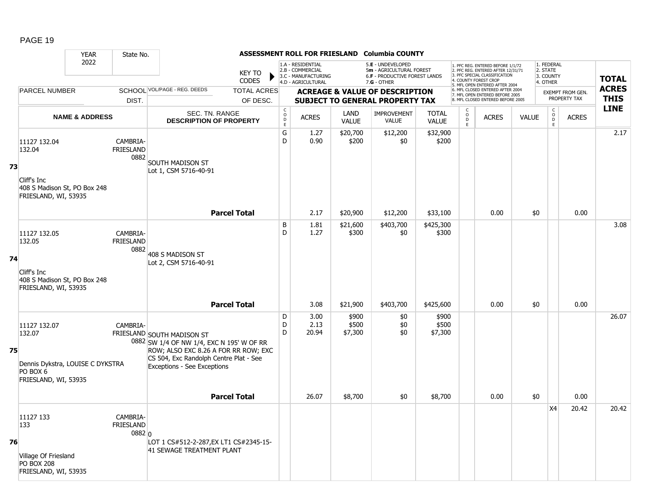|    |                                                                                                | <b>YEAR</b>               | State No.                                         |                                                                                                                                                                                                 |                               |                                      |                                                                                    |                           | ASSESSMENT ROLL FOR FRIESLAND Columbia COUNTY                                                   |                              |                                                |                                                                                                                                                                     |              |                                                 |                  |              |
|----|------------------------------------------------------------------------------------------------|---------------------------|---------------------------------------------------|-------------------------------------------------------------------------------------------------------------------------------------------------------------------------------------------------|-------------------------------|--------------------------------------|------------------------------------------------------------------------------------|---------------------------|-------------------------------------------------------------------------------------------------|------------------------------|------------------------------------------------|---------------------------------------------------------------------------------------------------------------------------------------------------------------------|--------------|-------------------------------------------------|------------------|--------------|
|    |                                                                                                | 2022                      |                                                   |                                                                                                                                                                                                 | <b>KEY TO</b><br><b>CODES</b> |                                      | 1.A - RESIDENTIAL<br>2.B - COMMERCIAL<br>3.C - MANUFACTURING<br>4.D - AGRICULTURAL |                           | 5.E - UNDEVELOPED<br>5m - AGRICULTURAL FOREST<br>6.F - PRODUCTIVE FOREST LANDS<br>$7.G - OTHER$ |                              |                                                | 1. PFC REG. ENTERED BEFORE 1/1/72<br>2. PFC REG. ENTERED AFTER 12/31/71<br>3. PFC SPECIAL CLASSIFICATION<br>4. COUNTY FOREST CROP<br>5. MFL OPEN ENTERED AFTER 2004 |              | 1. FEDERAL<br>2. STATE<br>3. COUNTY<br>4. OTHER |                  | <b>TOTAL</b> |
|    | <b>PARCEL NUMBER</b>                                                                           |                           |                                                   | SCHOOL VOL/PAGE - REG. DEEDS                                                                                                                                                                    | <b>TOTAL ACRES</b>            |                                      |                                                                                    |                           | <b>ACREAGE &amp; VALUE OF DESCRIPTION</b>                                                       |                              |                                                | 6. MFL CLOSED ENTERED AFTER 2004<br>7. MFL OPEN ENTERED BEFORE 2005                                                                                                 |              |                                                 | EXEMPT FROM GEN. | <b>ACRES</b> |
|    |                                                                                                |                           | DIST.                                             |                                                                                                                                                                                                 | OF DESC.                      |                                      |                                                                                    |                           | <b>SUBJECT TO GENERAL PROPERTY TAX</b>                                                          |                              |                                                | 8. MFL CLOSED ENTERED BEFORE 2005                                                                                                                                   |              |                                                 | PROPERTY TAX     | <b>THIS</b>  |
|    |                                                                                                | <b>NAME &amp; ADDRESS</b> |                                                   | SEC. TN. RANGE<br><b>DESCRIPTION OF PROPERTY</b>                                                                                                                                                |                               | $\rm\frac{C}{O}$<br>$\mathsf D$<br>E | <b>ACRES</b>                                                                       | LAND<br><b>VALUE</b>      | IMPROVEMENT<br><b>VALUE</b>                                                                     | <b>TOTAL</b><br><b>VALUE</b> | $\begin{matrix} 0 \\ 0 \\ 0 \end{matrix}$<br>E | <b>ACRES</b>                                                                                                                                                        | <b>VALUE</b> | $\begin{matrix} 0 \\ 0 \\ D \end{matrix}$<br>E  | <b>ACRES</b>     | <b>LINE</b>  |
| 73 | 11127 132.04<br>132.04<br>Cliff's Inc<br>408 S Madison St, PO Box 248<br>FRIESLAND, WI, 53935  |                           | CAMBRIA-<br>FRIESLAND<br>0882                     | <b>SOUTH MADISON ST</b><br>Lot 1, CSM 5716-40-91                                                                                                                                                |                               | G<br>D                               | 1.27<br>0.90                                                                       | \$20,700<br>\$200         | \$12,200<br>\$0                                                                                 | \$32,900<br>\$200            |                                                |                                                                                                                                                                     |              |                                                 |                  | 2.17         |
|    |                                                                                                |                           |                                                   |                                                                                                                                                                                                 | <b>Parcel Total</b>           |                                      | 2.17                                                                               | \$20,900                  | \$12,200                                                                                        | \$33,100                     |                                                | 0.00                                                                                                                                                                | \$0          |                                                 | 0.00             |              |
|    | 11127 132.05<br>132.05                                                                         |                           | CAMBRIA-<br>FRIESLAND<br>0882                     | 408 S MADISON ST                                                                                                                                                                                |                               | B<br>D                               | 1.81<br>1.27                                                                       | \$21,600<br>\$300         | \$403,700<br>\$0                                                                                | \$425,300<br>\$300           |                                                |                                                                                                                                                                     |              |                                                 |                  | 3.08         |
| 74 | Cliff's Inc<br>408 S Madison St, PO Box 248<br>FRIESLAND, WI, 53935                            |                           |                                                   | Lot 2, CSM 5716-40-91                                                                                                                                                                           | <b>Parcel Total</b>           |                                      | 3.08                                                                               |                           |                                                                                                 |                              |                                                | 0.00                                                                                                                                                                | \$0          |                                                 | 0.00             |              |
|    |                                                                                                |                           |                                                   |                                                                                                                                                                                                 |                               |                                      |                                                                                    | \$21,900                  | \$403,700                                                                                       | \$425,600                    |                                                |                                                                                                                                                                     |              |                                                 |                  |              |
| 75 | 11127 132.07<br>132.07<br>Dennis Dykstra, LOUISE C DYKSTRA<br>PO BOX 6<br>FRIESLAND, WI, 53935 |                           | CAMBRIA-                                          | FRIESLAND SOUTH MADISON ST<br>0882 SW 1/4 OF NW 1/4, EXC N 195' W OF RR<br>ROW; ALSO EXC 8.26 A FOR RR ROW; EXC<br>CS 504, Exc Randolph Centre Plat - See<br><b>Exceptions - See Exceptions</b> |                               | D<br>D<br>D                          | 3.00<br>2.13<br>20.94                                                              | \$900<br>\$500<br>\$7,300 | \$0<br>\$0<br>\$0                                                                               | \$900<br>\$500<br>\$7,300    |                                                |                                                                                                                                                                     |              |                                                 |                  | 26.07        |
|    |                                                                                                |                           |                                                   |                                                                                                                                                                                                 | <b>Parcel Total</b>           |                                      | 26.07                                                                              | \$8,700                   | \$0                                                                                             | \$8,700                      |                                                | 0.00                                                                                                                                                                | \$0          |                                                 | 0.00             |              |
| 76 | 11127 133<br>133<br>Village Of Friesland<br><b>PO BOX 208</b><br>FRIESLAND, WI, 53935          |                           | CAMBRIA-<br><b>FRIESLAND</b><br>0882 <sub>0</sub> | LOT 1 CS#512-2-287, EX LT1 CS#2345-15-<br>41 SEWAGE TREATMENT PLANT                                                                                                                             |                               |                                      |                                                                                    |                           |                                                                                                 |                              |                                                |                                                                                                                                                                     |              | <b>X4</b>                                       | 20.42            | 20.42        |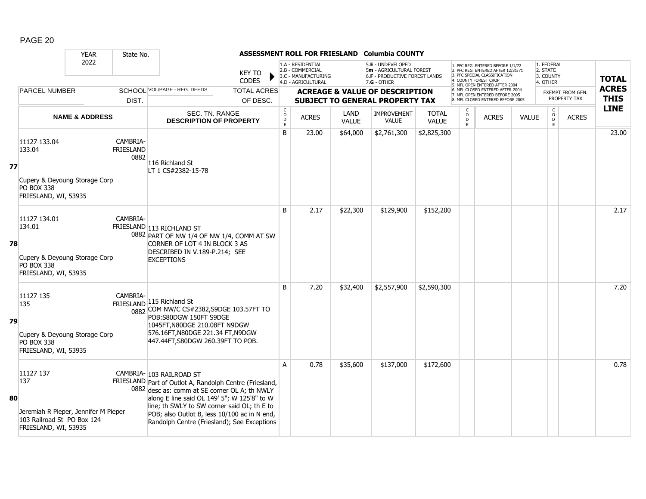|    |                                                                                                                | <b>YEAR</b>               | State No.                     |                                                                                                                                                                                                                                                                                                                                   |                                |                             |                                                                                    |                      | ASSESSMENT ROLL FOR FRIESLAND Columbia COUNTY                                                        |                              |                                                          |                                                                                                                                                                     |              |                                                          |                                  |                             |
|----|----------------------------------------------------------------------------------------------------------------|---------------------------|-------------------------------|-----------------------------------------------------------------------------------------------------------------------------------------------------------------------------------------------------------------------------------------------------------------------------------------------------------------------------------|--------------------------------|-----------------------------|------------------------------------------------------------------------------------|----------------------|------------------------------------------------------------------------------------------------------|------------------------------|----------------------------------------------------------|---------------------------------------------------------------------------------------------------------------------------------------------------------------------|--------------|----------------------------------------------------------|----------------------------------|-----------------------------|
|    |                                                                                                                | 2022                      |                               |                                                                                                                                                                                                                                                                                                                                   | <b>KEY TO</b><br><b>CODES</b>  |                             | 1.A - RESIDENTIAL<br>2.B - COMMERCIAL<br>3.C - MANUFACTURING<br>4.D - AGRICULTURAL |                      | 5.E - UNDEVELOPED<br>5m - AGRICULTURAL FOREST<br><b>6.F - PRODUCTIVE FOREST LANDS</b><br>7.G - OTHER |                              |                                                          | 1. PFC REG. ENTERED BEFORE 1/1/72<br>2. PFC REG. ENTERED AFTER 12/31/71<br>3. PFC SPECIAL CLASSIFICATION<br>4. COUNTY FOREST CROP<br>5. MFL OPEN ENTERED AFTER 2004 |              | 1. FEDERAL<br>2. STATE<br>3. COUNTY<br>4. OTHER          |                                  | <b>TOTAL</b>                |
|    | <b>PARCEL NUMBER</b>                                                                                           |                           | DIST.                         | SCHOOL VOL/PAGE - REG. DEEDS                                                                                                                                                                                                                                                                                                      | <b>TOTAL ACRES</b><br>OF DESC. |                             |                                                                                    |                      | <b>ACREAGE &amp; VALUE OF DESCRIPTION</b><br><b>SUBJECT TO GENERAL PROPERTY TAX</b>                  |                              |                                                          | 6. MFL CLOSED ENTERED AFTER 2004<br>7. MFL OPEN ENTERED BEFORE 2005<br>8. MFL CLOSED ENTERED BEFORE 2005                                                            |              |                                                          | EXEMPT FROM GEN.<br>PROPERTY TAX | <b>ACRES</b><br><b>THIS</b> |
|    |                                                                                                                | <b>NAME &amp; ADDRESS</b> |                               | SEC. TN. RANGE<br><b>DESCRIPTION OF PROPERTY</b>                                                                                                                                                                                                                                                                                  |                                | C<br>$\mathsf{o}$<br>D<br>E | <b>ACRES</b>                                                                       | LAND<br><b>VALUE</b> | <b>IMPROVEMENT</b><br><b>VALUE</b>                                                                   | <b>TOTAL</b><br><b>VALUE</b> | $\begin{matrix} 0 \\ 0 \\ D \end{matrix}$<br>$\mathsf E$ | <b>ACRES</b>                                                                                                                                                        | <b>VALUE</b> | $\begin{matrix} C \\ O \\ D \end{matrix}$<br>$\mathsf E$ | <b>ACRES</b>                     | <b>LINE</b>                 |
| 77 | 11127 133.04<br>133.04<br>Cupery & Deyoung Storage Corp<br>PO BOX 338<br>FRIESLAND, WI, 53935                  |                           | CAMBRIA-<br>FRIESLAND<br>0882 | 116 Richland St<br>LT 1 CS#2382-15-78                                                                                                                                                                                                                                                                                             |                                | B                           | 23.00                                                                              | \$64,000             | \$2,761,300                                                                                          | \$2,825,300                  |                                                          |                                                                                                                                                                     |              |                                                          |                                  | 23.00                       |
| 78 | 11127 134.01<br>134.01<br>Cupery & Deyoung Storage Corp<br><b>PO BOX 338</b><br>FRIESLAND, WI, 53935           |                           | CAMBRIA-                      | FRIESLAND 113 RICHLAND ST<br>0882 PART OF NW 1/4 OF NW 1/4, COMM AT SW<br>CORNER OF LOT 4 IN BLOCK 3 AS<br>DESCRIBED IN V.189-P.214; SEE<br><b>EXCEPTIONS</b>                                                                                                                                                                     |                                | <sub>B</sub>                | 2.17                                                                               | \$22,300             | \$129,900                                                                                            | \$152,200                    |                                                          |                                                                                                                                                                     |              |                                                          |                                  | 2.17                        |
| 79 | 11127 135<br>135<br>Cupery & Deyoung Storage Corp<br>PO BOX 338<br>FRIESLAND, WI, 53935                        |                           | CAMBRIA-                      | FRIESLAND 115 Richland St<br>0882 COM NW/C CS#2382, S9DGE 103.57FT TO<br>POB:S80DGW 150FT S9DGE<br>1045FT, N80DGE 210.08FT N9DGW<br>576.16FT, N80DGE 221.34 FT, N9DGW<br>447.44FT, S80DGW 260.39FT TO POB.                                                                                                                        |                                | B                           | 7.20                                                                               | \$32,400             | \$2,557,900                                                                                          | \$2,590,300                  |                                                          |                                                                                                                                                                     |              |                                                          |                                  | 7.20                        |
| 80 | 11127 137<br>137<br>Jeremiah R Pieper, Jennifer M Pieper<br>103 Railroad St PO Box 124<br>FRIESLAND, WI, 53935 |                           |                               | CAMBRIA- 103 RAILROAD ST<br>FRIESLAND Part of Outlot A, Randolph Centre (Friesland,<br>0882 desc as: comm at SE corner OL A; th NWLY<br>along E line said OL 149' 5"; W 125'8" to W<br>line; th SWLY to SW corner said OL; th E to<br>POB; also Outlot B, less 10/100 ac in N end,<br>Randolph Centre (Friesland); See Exceptions |                                | A                           | 0.78                                                                               | \$35,600             | \$137,000                                                                                            | \$172,600                    |                                                          |                                                                                                                                                                     |              |                                                          |                                  | 0.78                        |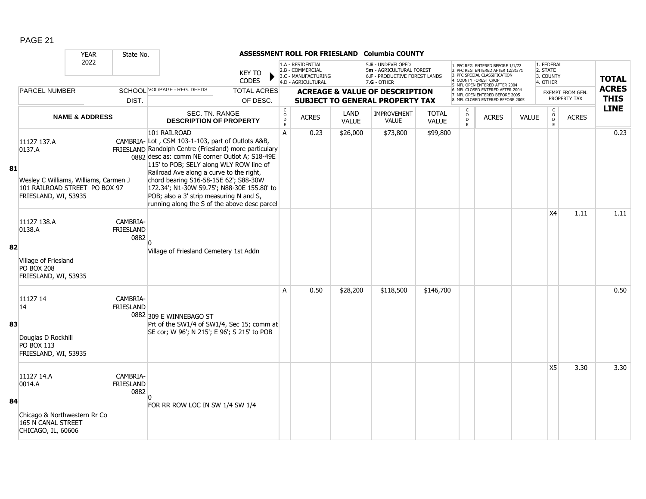|    |                                                                                                                         | <b>YEAR</b>               | State No.                            |                                                                                                                                                                                                                                                                                                                                                                                                                                                       |                                |                                                             |                                                                                    |                      | ASSESSMENT ROLL FOR FRIESLAND Columbia COUNTY                                                          |                              |                                                   |                                                                                                                                                                     |              |                                                 |                                         |                             |
|----|-------------------------------------------------------------------------------------------------------------------------|---------------------------|--------------------------------------|-------------------------------------------------------------------------------------------------------------------------------------------------------------------------------------------------------------------------------------------------------------------------------------------------------------------------------------------------------------------------------------------------------------------------------------------------------|--------------------------------|-------------------------------------------------------------|------------------------------------------------------------------------------------|----------------------|--------------------------------------------------------------------------------------------------------|------------------------------|---------------------------------------------------|---------------------------------------------------------------------------------------------------------------------------------------------------------------------|--------------|-------------------------------------------------|-----------------------------------------|-----------------------------|
|    |                                                                                                                         | 2022                      |                                      |                                                                                                                                                                                                                                                                                                                                                                                                                                                       | <b>KEY TO</b><br><b>CODES</b>  |                                                             | 1.A - RESIDENTIAL<br>2.B - COMMERCIAL<br>3.C - MANUFACTURING<br>4.D - AGRICULTURAL |                      | 5.E - UNDEVELOPED<br>5m - AGRICULTURAL FOREST<br><b>6.F - PRODUCTIVE FOREST LANDS</b><br>$7.G - OTHER$ |                              |                                                   | 1. PFC REG. ENTERED BEFORE 1/1/72<br>2. PFC REG. ENTERED AFTER 12/31/71<br>3. PFC SPECIAL CLASSIFICATION<br>4. COUNTY FOREST CROP<br>5. MFL OPEN ENTERED AFTER 2004 |              | 1. FEDERAL<br>2. STATE<br>3. COUNTY<br>4. OTHER |                                         | <b>TOTAL</b>                |
|    | <b>PARCEL NUMBER</b>                                                                                                    |                           | DIST.                                | SCHOOL VOL/PAGE - REG. DEEDS                                                                                                                                                                                                                                                                                                                                                                                                                          | <b>TOTAL ACRES</b><br>OF DESC. |                                                             |                                                                                    |                      | <b>ACREAGE &amp; VALUE OF DESCRIPTION</b><br>SUBJECT TO GENERAL PROPERTY TAX                           |                              |                                                   | 6. MFL CLOSED ENTERED AFTER 2004<br>7. MFL OPEN ENTERED BEFORE 2005<br>8. MFL CLOSED ENTERED BEFORE 2005                                                            |              |                                                 | <b>EXEMPT FROM GEN.</b><br>PROPERTY TAX | <b>ACRES</b><br><b>THIS</b> |
|    |                                                                                                                         | <b>NAME &amp; ADDRESS</b> |                                      | SEC. TN. RANGE<br><b>DESCRIPTION OF PROPERTY</b>                                                                                                                                                                                                                                                                                                                                                                                                      |                                | $\mathsf C$<br>$\begin{array}{c}\n0 \\ 0 \\ E\n\end{array}$ | <b>ACRES</b>                                                                       | LAND<br><b>VALUE</b> | <b>IMPROVEMENT</b><br><b>VALUE</b>                                                                     | <b>TOTAL</b><br><b>VALUE</b> | C<br>$\begin{array}{c}\n0 \\ D \\ E\n\end{array}$ | <b>ACRES</b>                                                                                                                                                        | <b>VALUE</b> | $\mathsf{C}$<br>$_{\rm D}^{\rm O}$<br>E         | <b>ACRES</b>                            | <b>LINE</b>                 |
| 81 | 11127 137.A<br>0137.A<br>Wesley C Williams, Williams, Carmen J<br>101 RAILROAD STREET PO BOX 97<br>FRIESLAND, WI, 53935 |                           |                                      | 101 RAILROAD<br>CAMBRIA-Lot, CSM 103-1-103, part of Outlots A&B,<br>FRIESLAND Randolph Centre (Friesland) more particulary<br>0882 desc as: comm NE corner Outlot A; S18-49E<br>115' to POB; SELY along WLY ROW line of<br>Railroad Ave along a curve to the right,<br>chord bearing S16-58-15E 62'; S88-30W<br>172.34'; N1-30W 59.75'; N88-30E 155.80' to<br>POB; also a 3' strip measuring N and S,<br>running along the S of the above desc parcel |                                | A                                                           | 0.23                                                                               | \$26,000             | \$73,800                                                                                               | \$99,800                     |                                                   |                                                                                                                                                                     |              |                                                 |                                         | 0.23                        |
| 82 | 11127 138.A<br>0138.A                                                                                                   |                           | CAMBRIA-<br>FRIESLAND<br>0882        |                                                                                                                                                                                                                                                                                                                                                                                                                                                       |                                |                                                             |                                                                                    |                      |                                                                                                        |                              |                                                   |                                                                                                                                                                     |              | X4                                              | 1.11                                    | 1.11                        |
|    | Village of Friesland<br><b>PO BOX 208</b><br>FRIESLAND, WI, 53935                                                       |                           |                                      | Village of Friesland Cemetery 1st Addn                                                                                                                                                                                                                                                                                                                                                                                                                |                                |                                                             |                                                                                    |                      |                                                                                                        |                              |                                                   |                                                                                                                                                                     |              |                                                 |                                         |                             |
| 83 | 11127 14<br>14<br>Douglas D Rockhill<br><b>PO BOX 113</b><br>FRIESLAND, WI, 53935                                       |                           | CAMBRIA-<br><b>FRIESLAND</b>         | 0882 309 E WINNEBAGO ST<br>Prt of the SW1/4 of SW1/4, Sec 15; comm at<br>SE cor; W 96'; N 215'; E 96'; S 215' to POB                                                                                                                                                                                                                                                                                                                                  |                                | A                                                           | 0.50                                                                               | \$28,200             | \$118,500                                                                                              | \$146,700                    |                                                   |                                                                                                                                                                     |              |                                                 |                                         | 0.50                        |
| 84 | 11127 14.A<br>0014.A<br>Chicago & Northwestern Rr Co<br><b>165 N CANAL STREET</b><br>CHICAGO, IL, 60606                 |                           | CAMBRIA-<br><b>FRIESLAND</b><br>0882 | FOR RR ROW LOC IN SW 1/4 SW 1/4                                                                                                                                                                                                                                                                                                                                                                                                                       |                                |                                                             |                                                                                    |                      |                                                                                                        |                              |                                                   |                                                                                                                                                                     |              | X5                                              | 3.30                                    | 3.30                        |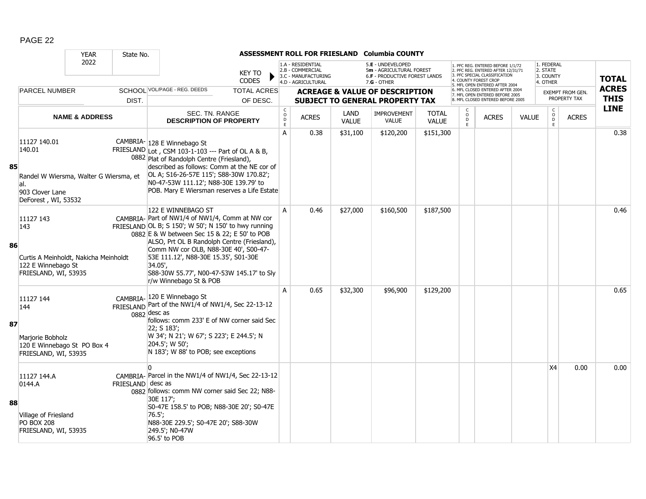|    |                                                                                                                   | <b>YEAR</b>               | State No.         |                                                                                                                                                                                                                                                                                                                                                                                                 |                                |                   |                                                                                    |                      | ASSESSMENT ROLL FOR FRIESLAND Columbia COUNTY                                                          |                              |                                                |                                                                                                                                                                     |              |                                                 |                                         |                             |
|----|-------------------------------------------------------------------------------------------------------------------|---------------------------|-------------------|-------------------------------------------------------------------------------------------------------------------------------------------------------------------------------------------------------------------------------------------------------------------------------------------------------------------------------------------------------------------------------------------------|--------------------------------|-------------------|------------------------------------------------------------------------------------|----------------------|--------------------------------------------------------------------------------------------------------|------------------------------|------------------------------------------------|---------------------------------------------------------------------------------------------------------------------------------------------------------------------|--------------|-------------------------------------------------|-----------------------------------------|-----------------------------|
|    |                                                                                                                   | 2022                      |                   |                                                                                                                                                                                                                                                                                                                                                                                                 | KEY TO<br><b>CODES</b>         |                   | 1.A - RESIDENTIAL<br>2.B - COMMERCIAL<br>3.C - MANUFACTURING<br>4.D - AGRICULTURAL |                      | 5.E - UNDEVELOPED<br>5m - AGRICULTURAL FOREST<br><b>6.F - PRODUCTIVE FOREST LANDS</b><br>$7.G - OTHER$ |                              |                                                | 1. PFC REG. ENTERED BEFORE 1/1/72<br>2. PFC REG. ENTERED AFTER 12/31/71<br>3. PFC SPECIAL CLASSIFICATION<br>4. COUNTY FOREST CROF<br>5. MFL OPEN ENTERED AFTER 2004 |              | 1. FEDERAL<br>2. STATE<br>3. COUNTY<br>4. OTHER |                                         | <b>TOTAL</b>                |
|    | <b>PARCEL NUMBER</b>                                                                                              |                           | DIST.             | SCHOOL VOL/PAGE - REG. DEEDS                                                                                                                                                                                                                                                                                                                                                                    | <b>TOTAL ACRES</b><br>OF DESC. |                   |                                                                                    |                      | <b>ACREAGE &amp; VALUE OF DESCRIPTION</b><br><b>SUBJECT TO GENERAL PROPERTY TAX</b>                    |                              |                                                | 6. MFL CLOSED ENTERED AFTER 2004<br>7. MFL OPEN ENTERED BEFORE 2005<br>8. MFL CLOSED ENTERED BEFORE 2005                                                            |              |                                                 | <b>EXEMPT FROM GEN.</b><br>PROPERTY TAX | <b>ACRES</b><br><b>THIS</b> |
|    |                                                                                                                   |                           |                   |                                                                                                                                                                                                                                                                                                                                                                                                 |                                | $\mathsf C$       |                                                                                    |                      |                                                                                                        |                              |                                                |                                                                                                                                                                     |              |                                                 |                                         | <b>LINE</b>                 |
|    |                                                                                                                   | <b>NAME &amp; ADDRESS</b> |                   | SEC. TN. RANGE<br><b>DESCRIPTION OF PROPERTY</b>                                                                                                                                                                                                                                                                                                                                                |                                | $\circ$<br>D<br>E | <b>ACRES</b>                                                                       | LAND<br><b>VALUE</b> | <b>IMPROVEMENT</b><br><b>VALUE</b>                                                                     | <b>TOTAL</b><br><b>VALUE</b> | $\begin{matrix} 0 \\ 0 \\ 0 \end{matrix}$<br>E | <b>ACRES</b>                                                                                                                                                        | <b>VALUE</b> | $_{\rm o}^{\rm c}$<br>Ď.<br>E                   | <b>ACRES</b>                            |                             |
| 85 | 11127 140.01<br>140.01<br>Randel W Wiersma, Walter G Wiersma, et<br>al.<br>903 Clover Lane<br>DeForest, WI, 53532 |                           |                   | CAMBRIA- 128 E Winnebago St<br>FRIESLAND Lot, CSM 103-1-103 --- Part of OL A & B,<br>0882 Plat of Randolph Centre (Friesland),<br>described as follows: Comm at the NE cor of<br>OL A; S16-26-57E 115'; S88-30W 170.82';<br>N0-47-53W 111.12'; N88-30E 139.79' to<br>POB. Mary E Wiersman reserves a Life Estate                                                                                |                                | A                 | 0.38                                                                               | \$31,100             | \$120,200                                                                                              | \$151,300                    |                                                |                                                                                                                                                                     |              |                                                 |                                         | 0.38                        |
| 86 | 11127 143<br>143<br>Curtis A Meinholdt, Nakicha Meinholdt<br>122 E Winnebago St<br>FRIESLAND, WI, 53935           |                           |                   | 122 E WINNEBAGO ST<br>CAMBRIA- Part of NW1/4 of NW1/4, Comm at NW cor<br>FRIESLAND OL B; S 150'; W 50'; N 150' to hwy running<br>0882 E & W between Sec 15 & 22; E 50' to POB<br>ALSO, Prt OL B Randolph Centre (Friesland),<br>Comm NW cor OLB, N88-30E 40', S00-47-<br>53E 111.12', N88-30E 15.35', S01-30E<br>34.05',<br>S88-30W 55.77', N00-47-53W 145.17' to Sly<br>r/w Winnebago St & POB |                                | A                 | 0.46                                                                               | \$27,000             | \$160,500                                                                                              | \$187,500                    |                                                |                                                                                                                                                                     |              |                                                 |                                         | 0.46                        |
| 87 | 11127 144<br>144<br>Marjorie Bobholz<br>120 E Winnebago St PO Box 4<br>FRIESLAND, WI, 53935                       |                           |                   | CAMBRIA- 120 E Winnebago St<br>FRIESLAND Part of the NW1/4 of NW1/4, Sec 22-13-12<br>$0882$ desc as<br>follows: comm 233' E of NW corner said Sec<br>22; S 183';<br>W 34'; N 21'; W 67'; S 223'; E 244.5'; N<br>204.5'; W 50';<br>N 183'; W 88' to POB; see exceptions                                                                                                                          |                                | A                 | 0.65                                                                               | \$32,300             | \$96,900                                                                                               | \$129,200                    |                                                |                                                                                                                                                                     |              |                                                 |                                         | 0.65                        |
| 88 | 11127 144.A<br>0144.A<br>Village of Friesland<br><b>PO BOX 208</b><br>FRIESLAND, WI, 53935                        |                           | FRIESLAND desc as | $\Omega$<br>CAMBRIA- Parcel in the NW1/4 of NW1/4, Sec 22-13-12<br>0882 follows: comm NW corner said Sec 22; N88-<br>30E 117';<br>S0-47E 158.5' to POB; N88-30E 20'; S0-47E<br>76.5<br>N88-30E 229.5'; S0-47E 20'; S88-30W<br>249.5'; NO-47W                                                                                                                                                    |                                |                   |                                                                                    |                      |                                                                                                        |                              |                                                |                                                                                                                                                                     |              | X4                                              | 0.00                                    | 0.00                        |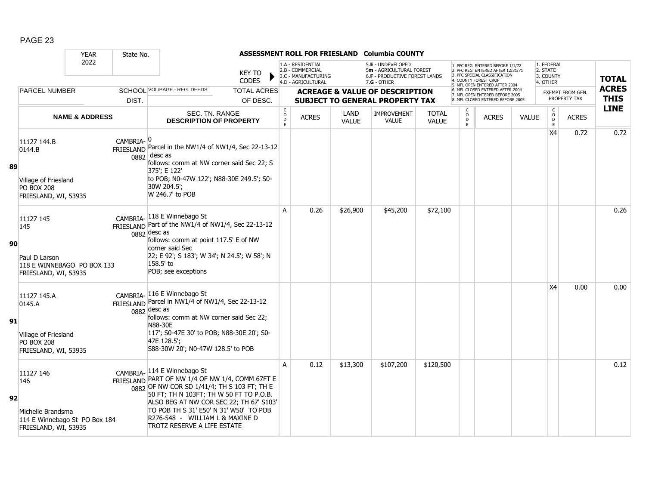|    |                                                                                                | <b>YEAR</b>               | State No.             |                                                                                                                                                                                                                                                                                 |                                |                                                   |                                                                                    |                      | ASSESSMENT ROLL FOR FRIESLAND Columbia COUNTY                                                        |                              |                                              |                                                                                                                                                                            |              |                                                                                      |                                         |                             |
|----|------------------------------------------------------------------------------------------------|---------------------------|-----------------------|---------------------------------------------------------------------------------------------------------------------------------------------------------------------------------------------------------------------------------------------------------------------------------|--------------------------------|---------------------------------------------------|------------------------------------------------------------------------------------|----------------------|------------------------------------------------------------------------------------------------------|------------------------------|----------------------------------------------|----------------------------------------------------------------------------------------------------------------------------------------------------------------------------|--------------|--------------------------------------------------------------------------------------|-----------------------------------------|-----------------------------|
|    |                                                                                                | 2022                      |                       |                                                                                                                                                                                                                                                                                 | KEY TO<br><b>CODES</b>         |                                                   | 1.A - RESIDENTIAL<br>2.B - COMMERCIAL<br>3.C - MANUFACTURING<br>4.D - AGRICULTURAL |                      | 5.E - UNDEVELOPED<br>5m - AGRICULTURAL FOREST<br><b>6.F - PRODUCTIVE FOREST LANDS</b><br>7.G - OTHER |                              |                                              | 1. PFC REG. ENTERED BEFORE 1/1/72<br>2. PFC REG. ENTERED AFTER 12/31/71<br>3. PFC SPECIAL CLASSIFICATION<br><b>4. COUNTY FOREST CROP</b><br>5. MFL OPEN ENTERED AFTER 2004 |              | 1. FEDERAL<br>2. STATE<br>3. COUNTY<br>4. OTHER                                      |                                         | <b>TOTAL</b>                |
|    | <b>PARCEL NUMBER</b>                                                                           |                           | DIST.                 | SCHOOL VOL/PAGE - REG. DEEDS                                                                                                                                                                                                                                                    | <b>TOTAL ACRES</b><br>OF DESC. |                                                   |                                                                                    |                      | <b>ACREAGE &amp; VALUE OF DESCRIPTION</b><br>SUBJECT TO GENERAL PROPERTY TAX                         |                              |                                              | 6. MFL CLOSED ENTERED AFTER 2004<br>7. MFL OPEN ENTERED BEFORE 2005<br>8. MFL CLOSED ENTERED BEFORE 2005                                                                   |              |                                                                                      | <b>EXEMPT FROM GEN.</b><br>PROPERTY TAX | <b>ACRES</b><br><b>THIS</b> |
|    |                                                                                                | <b>NAME &amp; ADDRESS</b> |                       | SEC. TN. RANGE<br><b>DESCRIPTION OF PROPERTY</b>                                                                                                                                                                                                                                |                                | $\mathsf{C}$<br>$_{\rm D}^{\rm O}$<br>$\mathsf E$ | <b>ACRES</b>                                                                       | LAND<br><b>VALUE</b> | IMPROVEMENT<br><b>VALUE</b>                                                                          | <b>TOTAL</b><br><b>VALUE</b> | $\begin{array}{c}\n0 \\ D \\ E\n\end{array}$ | <b>ACRES</b>                                                                                                                                                               | <b>VALUE</b> | $\mathsf C$<br>$\begin{array}{c} \mathsf{O} \\ \mathsf{D} \\ \mathsf{E} \end{array}$ | <b>ACRES</b>                            | <b>LINE</b>                 |
| 89 | 11127 144.B<br>0144.B<br>Village of Friesland<br><b>PO BOX 208</b><br>FRIESLAND, WI, 53935     |                           | CAMBRIA- <sup>0</sup> | FRIESLAND Parcel in the NW1/4 of NW1/4, Sec 22-13-12<br>$0882$ desc as<br>follows: comm at NW corner said Sec 22; S<br>375': E 122'<br>to POB; N0-47W 122'; N88-30E 249.5'; S0-<br>30W 204.5';<br>W 246.7' to POB                                                               |                                |                                                   |                                                                                    |                      |                                                                                                      |                              |                                              |                                                                                                                                                                            |              | X4                                                                                   | 0.72                                    | 0.72                        |
| 90 | 11127 145<br>145<br>Paul D Larson<br>118 E WINNEBAGO PO BOX 133<br>FRIESLAND, WI, 53935        |                           |                       | CAMBRIA-118 E Winnebago St<br>FRIESLAND Part of the NW1/4 of NW1/4, Sec 22-13-12<br>$0882$ desc as<br>follows: comm at point 117.5' E of NW<br>corner said Sec<br>22; E 92'; S 183'; W 34'; N 24.5'; W 58'; N<br>158.5' to<br>POB; see exceptions                               |                                | A                                                 | 0.26                                                                               | \$26,900             | \$45,200                                                                                             | \$72,100                     |                                              |                                                                                                                                                                            |              |                                                                                      |                                         | 0.26                        |
| 91 | 11127 145.A<br>0145.A<br>Village of Friesland<br><b>PO BOX 208</b><br>FRIESLAND, WI, 53935     |                           |                       | CAMBRIA-116 E Winnebago St<br>FRIESLAND Parcel in NW1/4 of NW1/4, Sec 22-13-12<br>$0882$ desc as<br>follows: comm at NW corner said Sec 22;<br>N88-30E<br>117'; S0-47E 30' to POB; N88-30E 20'; S0-<br>47E 128.5';<br>S88-30W 20'; N0-47W 128.5' to POB                         |                                |                                                   |                                                                                    |                      |                                                                                                      |                              |                                              |                                                                                                                                                                            |              | X4                                                                                   | 0.00                                    | 0.00                        |
| 92 | 11127 146<br>146<br>Michelle Brandsma<br>114 E Winnebago St PO Box 184<br>FRIESLAND, WI, 53935 |                           |                       | CAMBRIA-114 E Winnebago St<br>FRIESLAND PART OF NW 1/4 OF NW 1/4, COMM 67FT E<br>50 FT; TH N 103FT; TH W 50 FT TO P.O.B.<br>ALSO BEG AT NW COR SEC 22; TH 67' S103'<br>TO POB TH S 31' E50' N 31' W50' TO POB<br>R276-548 - WILLIAM L & MAXINE D<br>TROTZ RESERVE A LIFE ESTATE |                                | A                                                 | 0.12                                                                               | \$13,300             | \$107,200                                                                                            | \$120,500                    |                                              |                                                                                                                                                                            |              |                                                                                      |                                         | 0.12                        |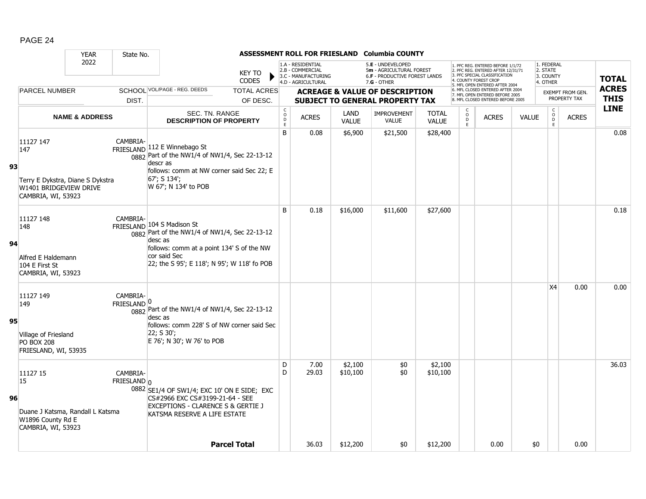|    |                                                                                                      | <b>YEAR</b>               | State No.                            |                                                                                                                                                                                                    |                                |                                     |                                                                                    |                             | ASSESSMENT ROLL FOR FRIESLAND Columbia COUNTY                                                   |                              |                                              |                                                                                                                                                                     |              |                                                 |                                  |                             |
|----|------------------------------------------------------------------------------------------------------|---------------------------|--------------------------------------|----------------------------------------------------------------------------------------------------------------------------------------------------------------------------------------------------|--------------------------------|-------------------------------------|------------------------------------------------------------------------------------|-----------------------------|-------------------------------------------------------------------------------------------------|------------------------------|----------------------------------------------|---------------------------------------------------------------------------------------------------------------------------------------------------------------------|--------------|-------------------------------------------------|----------------------------------|-----------------------------|
|    |                                                                                                      | 2022                      |                                      |                                                                                                                                                                                                    | <b>KEY TO</b><br><b>CODES</b>  |                                     | 1.A - RESIDENTIAL<br>2.B - COMMERCIAL<br>3.C - MANUFACTURING<br>4.D - AGRICULTURAL |                             | 5.E - UNDEVELOPED<br>5m - AGRICULTURAL FOREST<br>6.F - PRODUCTIVE FOREST LANDS<br>$7.G - OTHER$ |                              |                                              | 1. PFC REG. ENTERED BEFORE 1/1/72<br>2. PFC REG. ENTERED AFTER 12/31/71<br>3. PFC SPECIAL CLASSIFICATION<br>4. COUNTY FOREST CROP<br>5. MFL OPEN ENTERED AFTER 2004 |              | 1. FEDERAL<br>2. STATE<br>3. COUNTY<br>4. OTHER |                                  | <b>TOTAL</b>                |
|    | PARCEL NUMBER                                                                                        |                           | DIST.                                | <b>SCHOOL VOL/PAGE - REG. DEEDS</b>                                                                                                                                                                | <b>TOTAL ACRES</b><br>OF DESC. |                                     |                                                                                    |                             | <b>ACREAGE &amp; VALUE OF DESCRIPTION</b><br><b>SUBJECT TO GENERAL PROPERTY TAX</b>             |                              |                                              | 6. MFL CLOSED ENTERED AFTER 2004<br>7. MFL OPEN ENTERED BEFORE 2005<br>8. MFL CLOSED ENTERED BEFORE 2005                                                            |              |                                                 | EXEMPT FROM GEN.<br>PROPERTY TAX | <b>ACRES</b><br><b>THIS</b> |
|    |                                                                                                      | <b>NAME &amp; ADDRESS</b> |                                      | SEC. TN. RANGE<br><b>DESCRIPTION OF PROPERTY</b>                                                                                                                                                   |                                | $_{\rm o}^{\rm c}$<br>$\frac{D}{E}$ | <b>ACRES</b>                                                                       | <b>LAND</b><br><b>VALUE</b> | <b>IMPROVEMENT</b><br><b>VALUE</b>                                                              | <b>TOTAL</b><br><b>VALUE</b> | $\begin{array}{c}\n0 \\ 0 \\ E\n\end{array}$ | <b>ACRES</b>                                                                                                                                                        | <b>VALUE</b> | $\begin{array}{c} C \\ 0 \\ E \end{array}$      | <b>ACRES</b>                     | <b>LINE</b>                 |
| 93 | 11127 147<br>147<br>Terry E Dykstra, Diane S Dykstra<br>W1401 BRIDGEVIEW DRIVE<br>CAMBRIA, WI, 53923 |                           | CAMBRIA-                             | FRIESLAND 112 E Winnebago St<br>0882 Part of the NW1/4 of NW1/4, Sec 22-13-12<br>descr as<br>follows: comm at NW corner said Sec 22; E<br>67'; S 134';<br>W 67'; N 134' to POB                     |                                | $\sf B$                             | 0.08                                                                               | \$6,900                     | \$21,500                                                                                        | \$28,400                     |                                              |                                                                                                                                                                     |              |                                                 |                                  | 0.08                        |
| 94 | 11127 148<br>148<br>Alfred E Haldemann<br>104 E First St<br>CAMBRIA, WI, 53923                       |                           | CAMBRIA-                             | FRIESLAND 104 S Madison St<br>0882 Part of the NW1/4 of NW1/4, Sec 22-13-12<br>desc as<br>follows: comm at a point 134' S of the NW<br>cor said Sec<br>22; the S 95'; E 118'; N 95'; W 118' fo POB |                                | B                                   | 0.18                                                                               | \$16,000                    | \$11,600                                                                                        | \$27,600                     |                                              |                                                                                                                                                                     |              |                                                 |                                  | 0.18                        |
| 95 | 11127 149<br>149<br>Village of Friesland<br><b>PO BOX 208</b><br>FRIESLAND, WI, 53935                |                           | CAMBRIA-<br>$FRIESLAND$ <sup>0</sup> | 0882 Part of the NW1/4 of NW1/4, Sec 22-13-12<br>desc as<br>follows: comm 228' S of NW corner said Sec<br>22; S30;<br>E 76'; N 30'; W 76' to POB                                                   |                                |                                     |                                                                                    |                             |                                                                                                 |                              |                                              |                                                                                                                                                                     |              | <b>X4</b>                                       | 0.00                             | 0.00                        |
| 96 | 11127 15<br>15<br>Duane J Katsma, Randall L Katsma<br>W1896 County Rd E<br>CAMBRIA, WI, 53923        |                           | CAMBRIA-<br>$FRIESLAND$ n            | 0882 SE1/4 OF SW1/4; EXC 10' ON E SIDE; EXC<br>CS#2966 EXC CS#3199-21-64 - SEE<br>EXCEPTIONS - CLARENCE S & GERTIE J<br>KATSMA RESERVE A LIFE ESTATE                                               |                                | D<br>D                              | 7.00<br>29.03                                                                      | \$2,100<br>\$10,100         | \$0<br>\$0                                                                                      | \$2,100<br>\$10,100          |                                              |                                                                                                                                                                     |              |                                                 |                                  | 36.03                       |
|    |                                                                                                      |                           |                                      |                                                                                                                                                                                                    | <b>Parcel Total</b>            |                                     | 36.03                                                                              | \$12,200                    | \$0                                                                                             | \$12,200                     |                                              | 0.00                                                                                                                                                                | \$0          |                                                 | 0.00                             |                             |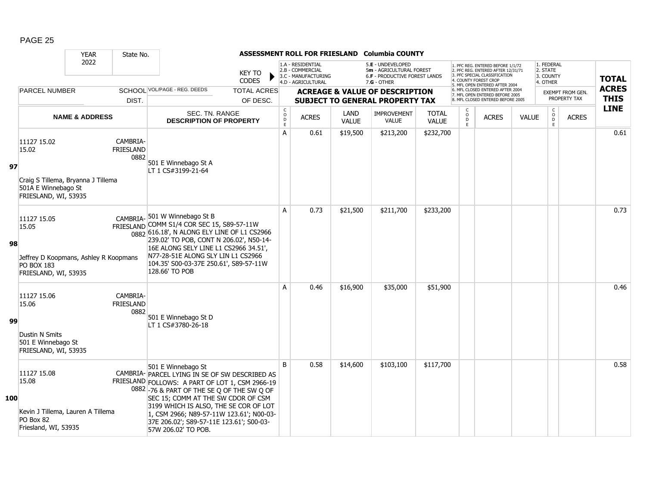|     |                                                                                                            | <b>YEAR</b>               | State No.                            |                                                                                                                                                                                                                                                                                                                                                                     |                                |                                                           |                                                                                    |                      | ASSESSMENT ROLL FOR FRIESLAND Columbia COUNTY                                                          |                       |                              |                                                                                                                                                                     |              |                                                 |                                  |                             |
|-----|------------------------------------------------------------------------------------------------------------|---------------------------|--------------------------------------|---------------------------------------------------------------------------------------------------------------------------------------------------------------------------------------------------------------------------------------------------------------------------------------------------------------------------------------------------------------------|--------------------------------|-----------------------------------------------------------|------------------------------------------------------------------------------------|----------------------|--------------------------------------------------------------------------------------------------------|-----------------------|------------------------------|---------------------------------------------------------------------------------------------------------------------------------------------------------------------|--------------|-------------------------------------------------|----------------------------------|-----------------------------|
|     |                                                                                                            | 2022                      |                                      |                                                                                                                                                                                                                                                                                                                                                                     | <b>KEY TO</b><br><b>CODES</b>  |                                                           | 1.A - RESIDENTIAL<br>2.B - COMMERCIAL<br>3.C - MANUFACTURING<br>4.D - AGRICULTURAL |                      | 5.E - UNDEVELOPED<br>5m - AGRICULTURAL FOREST<br><b>6.F - PRODUCTIVE FOREST LANDS</b><br>$7.G - OTHER$ |                       |                              | 1. PFC REG. ENTERED BEFORE 1/1/72<br>2. PFC REG. ENTERED AFTER 12/31/71<br>3. PFC SPECIAL CLASSIFICATION<br>4. COUNTY FOREST CROP<br>5. MFL OPEN ENTERED AFTER 2004 |              | 1. FEDERAL<br>2. STATE<br>3. COUNTY<br>4. OTHER |                                  | <b>TOTAL</b>                |
|     | <b>PARCEL NUMBER</b>                                                                                       |                           | DIST.                                | SCHOOL VOL/PAGE - REG. DEEDS                                                                                                                                                                                                                                                                                                                                        | <b>TOTAL ACRES</b><br>OF DESC. |                                                           |                                                                                    |                      | <b>ACREAGE &amp; VALUE OF DESCRIPTION</b><br><b>SUBJECT TO GENERAL PROPERTY TAX</b>                    |                       |                              | 6. MFL CLOSED ENTERED AFTER 2004<br>7. MFL OPEN ENTERED BEFORE 2005<br>8. MFL CLOSED ENTERED BEFORE 2005                                                            |              |                                                 | EXEMPT FROM GEN.<br>PROPERTY TAX | <b>ACRES</b><br><b>THIS</b> |
|     |                                                                                                            | <b>NAME &amp; ADDRESS</b> |                                      | SEC. TN. RANGE<br><b>DESCRIPTION OF PROPERTY</b>                                                                                                                                                                                                                                                                                                                    |                                | $\mathsf{C}$<br>$\mathsf{o}$<br>$\mathsf{D}_{\mathsf{E}}$ | <b>ACRES</b>                                                                       | LAND<br><b>VALUE</b> | <b>IMPROVEMENT</b><br><b>VALUE</b>                                                                     | <b>TOTAL</b><br>VALUE | C<br>$_{\rm D}^{\rm O}$<br>E | <b>ACRES</b>                                                                                                                                                        | <b>VALUE</b> | $\mathsf{C}$<br>$_\mathrm{D}^\mathrm{O}$<br>E   | <b>ACRES</b>                     | <b>LINE</b>                 |
| 97  | 11127 15.02<br>15.02<br>Craig S Tillema, Bryanna J Tillema<br>501A E Winnebago St<br>FRIESLAND, WI, 53935  |                           | CAMBRIA-<br><b>FRIESLAND</b><br>0882 | 501 E Winnebago St A<br>LT 1 CS#3199-21-64                                                                                                                                                                                                                                                                                                                          |                                | A                                                         | 0.61                                                                               | \$19,500             | \$213,200                                                                                              | \$232,700             |                              |                                                                                                                                                                     |              |                                                 |                                  | 0.61                        |
| 98  | 11127 15.05<br>15.05<br>Jeffrey D Koopmans, Ashley R Koopmans<br><b>PO BOX 183</b><br>FRIESLAND, WI, 53935 |                           |                                      | CAMBRIA- 501 W Winnebago St B<br>FRIESLAND COMM S1/4 COR SEC 15, S89-57-11W<br>0882 616.18', N ALONG ELY LINE OF L1 CS2966<br>239.02' TO POB, CONT N 206.02', N50-14-<br>16E ALONG SELY LINE L1 CS2966 34.51',<br>N77-28-51E ALONG SLY LIN L1 CS2966<br>104.35' S00-03-37E 250.61', S89-57-11W<br>128.66' TO POB                                                    |                                | A                                                         | 0.73                                                                               | \$21,500             | \$211,700                                                                                              | \$233,200             |                              |                                                                                                                                                                     |              |                                                 |                                  | 0.73                        |
| 99  | 11127 15.06<br>15.06<br><b>Dustin N Smits</b><br>501 E Winnebago St<br>FRIESLAND, WI, 53935                |                           | CAMBRIA-<br><b>FRIESLAND</b><br>0882 | 501 E Winnebago St D<br>LT 1 CS#3780-26-18                                                                                                                                                                                                                                                                                                                          |                                | A                                                         | 0.46                                                                               | \$16,900             | \$35,000                                                                                               | \$51,900              |                              |                                                                                                                                                                     |              |                                                 |                                  | 0.46                        |
| 100 | 11127 15.08<br>15.08<br>Kevin J Tillema, Lauren A Tillema<br>PO Box 82<br>Friesland, WI, 53935             |                           |                                      | 501 E Winnebago St<br>CAMBRIA- PARCEL LYING IN SE OF SW DESCRIBED AS<br>FRIESLAND FOLLOWS: A PART OF LOT 1, CSM 2966-19<br>0882 -76 & PART OF THE SE Q OF THE SW Q OF<br>SEC 15; COMM AT THE SW CDOR OF CSM<br>3199 WHICH IS ALSO, THE SE COR OF LOT<br>1, CSM 2966; N89-57-11W 123.61'; N00-03-<br>37E 206.02'; S89-57-11E 123.61'; S00-03-<br>57W 206.02' TO POB. |                                | <sub>B</sub>                                              | 0.58                                                                               | \$14,600             | \$103,100                                                                                              | \$117,700             |                              |                                                                                                                                                                     |              |                                                 |                                  | 0.58                        |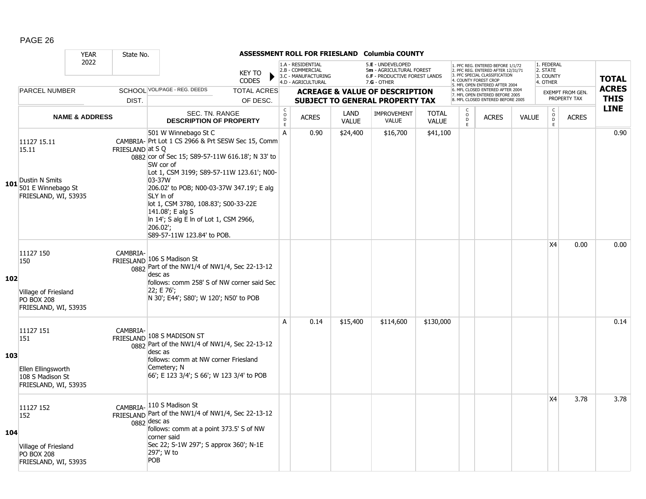|     |                                                                                            | <b>YEAR</b>               | State No.       |                                                                                                                                                                                                                                                                                                                                                                                                              |                                |                                        |                                                                                    |                      | ASSESSMENT ROLL FOR FRIESLAND Columbia COUNTY                                                   |                              |                        |                                                                                                                                                                 |              |                                                 |                                         |                             |
|-----|--------------------------------------------------------------------------------------------|---------------------------|-----------------|--------------------------------------------------------------------------------------------------------------------------------------------------------------------------------------------------------------------------------------------------------------------------------------------------------------------------------------------------------------------------------------------------------------|--------------------------------|----------------------------------------|------------------------------------------------------------------------------------|----------------------|-------------------------------------------------------------------------------------------------|------------------------------|------------------------|-----------------------------------------------------------------------------------------------------------------------------------------------------------------|--------------|-------------------------------------------------|-----------------------------------------|-----------------------------|
|     |                                                                                            | 2022                      |                 |                                                                                                                                                                                                                                                                                                                                                                                                              | <b>KEY TO</b><br><b>CODES</b>  |                                        | 1.A - RESIDENTIAL<br>2.B - COMMERCIAL<br>3.C - MANUFACTURING<br>4.D - AGRICULTURAL |                      | 5.E - UNDEVELOPED<br>5m - AGRICULTURAL FOREST<br>6.F - PRODUCTIVE FOREST LANDS<br>$7.G - OTHER$ |                              |                        | 1. PFC REG. ENTERED BEFORE 1/1/72<br>2. PFC REG. ENTERED AFTER 12/31/71<br>3 PEC SPECIAL CLASSIFICATION<br>COUNTY FOREST CROF<br>5. MFL OPEN ENTERED AFTER 2004 |              | 1. FEDERAL<br>2. STATE<br>3. COUNTY<br>4. OTHER |                                         | <b>TOTAL</b>                |
|     | <b>PARCEL NUMBER</b>                                                                       |                           | DIST.           | SCHOOL VOL/PAGE - REG. DEEDS                                                                                                                                                                                                                                                                                                                                                                                 | <b>TOTAL ACRES</b><br>OF DESC. |                                        |                                                                                    |                      | <b>ACREAGE &amp; VALUE OF DESCRIPTION</b><br><b>SUBJECT TO GENERAL PROPERTY TAX</b>             |                              |                        | 6. MFL CLOSED ENTERED AFTER 2004<br>7. MFL OPEN ENTERED BEFORE 2005<br>8. MFL CLOSED ENTERED BEFORE 2005                                                        |              |                                                 | <b>EXEMPT FROM GEN.</b><br>PROPERTY TAX | <b>ACRES</b><br><b>THIS</b> |
|     |                                                                                            | <b>NAME &amp; ADDRESS</b> |                 | <b>SEC. TN. RANGE</b><br><b>DESCRIPTION OF PROPERTY</b>                                                                                                                                                                                                                                                                                                                                                      |                                | $_{\rm o}^{\rm c}$<br>D<br>$\mathsf E$ | <b>ACRES</b>                                                                       | LAND<br><b>VALUE</b> | <b>IMPROVEMENT</b><br><b>VALUE</b>                                                              | <b>TOTAL</b><br><b>VALUE</b> | C<br>$\circ$<br>D<br>E | <b>ACRES</b>                                                                                                                                                    | <b>VALUE</b> | $\begin{matrix} 0 \\ 0 \\ 0 \end{matrix}$<br>E  | <b>ACRES</b>                            | <b>LINE</b>                 |
|     | 11127 15.11<br>15.11<br>Dustin N Smits<br>101 $501$ E Winnebago St<br>FRIESLAND, WI, 53935 |                           | FRIESLAND at SQ | 501 W Winnebago St C<br>CAMBRIA- Prt Lot 1 CS 2966 & Prt SESW Sec 15, Comm<br>0882 cor of Sec 15; S89-57-11W 616.18'; N 33' to<br>SW cor of<br>Lot 1, CSM 3199; S89-57-11W 123.61'; N00-<br>03-37W<br>206.02' to POB; N00-03-37W 347.19'; E alg<br>SLY In of<br>lot 1, CSM 3780, 108.83'; S00-33-22E<br>141.08'; E alg S<br>In 14'; S alg E In of Lot 1, CSM 2966,<br>206.02';<br>S89-57-11W 123.84' to POB. |                                | Α                                      | 0.90                                                                               | \$24,400             | \$16,700                                                                                        | \$41,100                     |                        |                                                                                                                                                                 |              |                                                 |                                         | 0.90                        |
| 102 | 11127 150<br>150<br>Village of Friesland<br><b>PO BOX 208</b><br>FRIESLAND, WI, 53935      |                           | CAMBRIA-        | FRIESLAND 106 S Madison St<br>0882 Part of the NW1/4 of NW1/4, Sec 22-13-12<br>desc as<br>follows: comm 258' S of NW corner said Sec<br>22; E 76';<br>N 30'; E44'; S80'; W 120'; N50' to POB                                                                                                                                                                                                                 |                                |                                        |                                                                                    |                      |                                                                                                 |                              |                        |                                                                                                                                                                 |              | X4                                              | 0.00                                    | 0.00                        |
| 103 | 11127 151<br>151<br>Ellen Ellingsworth<br>108 S Madison St<br>FRIESLAND, WI, 53935         |                           | CAMBRIA-        | FRIESLAND 108 S MADISON ST<br>$\frac{1}{0882}$ Part of the NW1/4 of NW1/4, Sec 22-13-12<br>desc as<br>follows: comm at NW corner Friesland<br>Cemetery; N<br>66'; E 123 3/4'; S 66'; W 123 3/4' to POB                                                                                                                                                                                                       |                                | A                                      | 0.14                                                                               | \$15,400             | \$114,600                                                                                       | \$130,000                    |                        |                                                                                                                                                                 |              |                                                 |                                         | 0.14                        |
| 104 | 11127 152<br>152<br>Village of Friesland<br><b>PO BOX 208</b><br>FRIESLAND, WI, 53935      |                           |                 | CAMBRIA-110 S Madison St<br>FRIESLAND Part of the NW1/4 of NW1/4, Sec 22-13-12<br>$0882$ desc as<br>follows: comm at a point 373.5' S of NW<br>corner said<br>Sec 22; S-1W 297'; S approx 360'; N-1E<br>297'; W to<br>POB                                                                                                                                                                                    |                                |                                        |                                                                                    |                      |                                                                                                 |                              |                        |                                                                                                                                                                 |              | X4                                              | 3.78                                    | 3.78                        |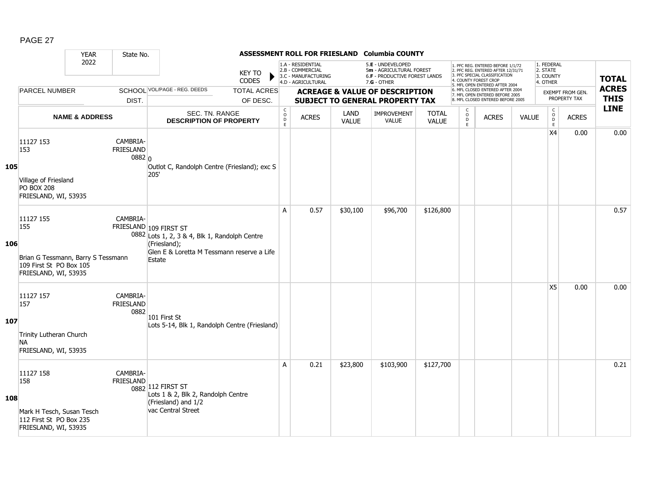|     |                                                                                                           | <b>YEAR</b>               | State No.                              |                                                                                                                                                 |                                |                                                |                                                                                    |               | ASSESSMENT ROLL FOR FRIESLAND Columbia COUNTY                                                 |                              |                                                          |                                                                                                                                                                     |              |                                                            |                                  |                             |
|-----|-----------------------------------------------------------------------------------------------------------|---------------------------|----------------------------------------|-------------------------------------------------------------------------------------------------------------------------------------------------|--------------------------------|------------------------------------------------|------------------------------------------------------------------------------------|---------------|-----------------------------------------------------------------------------------------------|------------------------------|----------------------------------------------------------|---------------------------------------------------------------------------------------------------------------------------------------------------------------------|--------------|------------------------------------------------------------|----------------------------------|-----------------------------|
|     |                                                                                                           | 2022                      |                                        |                                                                                                                                                 | <b>KEY TO</b><br><b>CODES</b>  |                                                | 1.A - RESIDENTIAL<br>2.B - COMMERCIAL<br>3.C - MANUFACTURING<br>4.D - AGRICULTURAL |               | 5.E - UNDEVELOPED<br>5m - AGRICULTURAL FOREST<br>6.F - PRODUCTIVE FOREST LANDS<br>7.G - OTHER |                              |                                                          | 1. PFC REG. ENTERED BEFORE 1/1/72<br>2. PFC REG. ENTERED AFTER 12/31/71<br>3. PFC SPECIAL CLASSIFICATION<br>4. COUNTY FOREST CROP<br>5. MFL OPEN ENTERED AFTER 2004 |              | 1. FEDERAL<br>2. STATE<br>3. COUNTY<br>4. OTHER            |                                  | <b>TOTAL</b>                |
|     | <b>PARCEL NUMBER</b>                                                                                      |                           | DIST.                                  | SCHOOL VOL/PAGE - REG. DEEDS                                                                                                                    | <b>TOTAL ACRES</b><br>OF DESC. |                                                |                                                                                    |               | <b>ACREAGE &amp; VALUE OF DESCRIPTION</b><br><b>SUBJECT TO GENERAL PROPERTY TAX</b>           |                              |                                                          | 6. MFL CLOSED ENTERED AFTER 2004<br>7. MFL OPEN ENTERED BEFORE 2005<br>8. MFL CLOSED ENTERED BEFORE 2005                                                            |              |                                                            | EXEMPT FROM GEN.<br>PROPERTY TAX | <b>ACRES</b><br><b>THIS</b> |
|     |                                                                                                           | <b>NAME &amp; ADDRESS</b> |                                        | SEC. TN. RANGE<br><b>DESCRIPTION OF PROPERTY</b>                                                                                                |                                | $\begin{matrix} 0 \\ 0 \\ D \end{matrix}$<br>E | <b>ACRES</b>                                                                       | LAND<br>VALUE | <b>IMPROVEMENT</b><br><b>VALUE</b>                                                            | <b>TOTAL</b><br><b>VALUE</b> | $\begin{smallmatrix} C \\ 0 \\ D \end{smallmatrix}$<br>E | <b>ACRES</b>                                                                                                                                                        | <b>VALUE</b> | $\begin{smallmatrix} C\\ O\\ O\\ D \end{smallmatrix}$<br>E | <b>ACRES</b>                     | <b>LINE</b>                 |
| 105 | 11127 153<br>153<br>Village of Friesland<br><b>PO BOX 208</b><br>FRIESLAND, WI, 53935                     |                           | CAMBRIA-<br><b>FRIESLAND</b><br>0882 0 | Outlot C, Randolph Centre (Friesland); exc S<br>205'                                                                                            |                                |                                                |                                                                                    |               |                                                                                               |                              |                                                          |                                                                                                                                                                     |              | X4                                                         | 0.00                             | 0.00                        |
| 106 | 11127 155<br>155<br>Brian G Tessmann, Barry S Tessmann<br>109 First St PO Box 105<br>FRIESLAND, WI, 53935 |                           | CAMBRIA-                               | FRIESLAND 109 FIRST ST<br>0882 Lots 1, 2, 3 & 4, Blk 1, Randolph Centre<br>(Friesland);<br>Glen E & Loretta M Tessmann reserve a Life<br>Estate |                                | A                                              | 0.57                                                                               | \$30,100      | \$96,700                                                                                      | \$126,800                    |                                                          |                                                                                                                                                                     |              |                                                            |                                  | 0.57                        |
| 107 | 11127 157<br>157<br>Trinity Lutheran Church<br><b>NA</b><br>FRIESLAND, WI, 53935                          |                           | CAMBRIA-<br><b>FRIESLAND</b><br>0882   | 101 First St<br>Lots 5-14, Blk 1, Randolph Centre (Friesland)                                                                                   |                                |                                                |                                                                                    |               |                                                                                               |                              |                                                          |                                                                                                                                                                     |              | X <sub>5</sub>                                             | 0.00                             | 0.00                        |
| 108 | 11127 158<br>158<br>Mark H Tesch, Susan Tesch<br>112 First St PO Box 235<br>FRIESLAND, WI, 53935          |                           | CAMBRIA-<br>FRIESLAND                  | 0882 112 FIRST ST<br>Lots 1 & 2, Blk 2, Randolph Centre<br>(Friesland) and 1/2<br>vac Central Street                                            |                                | A                                              | 0.21                                                                               | \$23,800      | \$103,900                                                                                     | \$127,700                    |                                                          |                                                                                                                                                                     |              |                                                            |                                  | 0.21                        |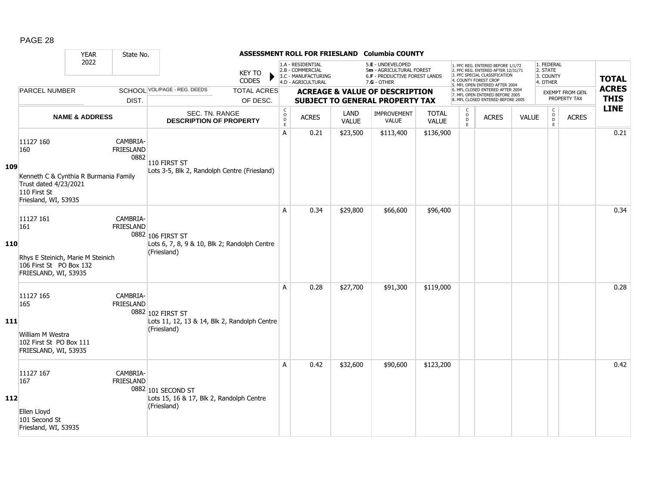|            |                                                                                                                            | <b>YEAR</b>               | State No.                            |                                                                                  |                                |                                                          |                                                                                    |               | ASSESSMENT ROLL FOR FRIESLAND Columbia COUNTY                                                 |                              |                          |                                                                                                                                                                     |              |                                                 |                                  |                             |
|------------|----------------------------------------------------------------------------------------------------------------------------|---------------------------|--------------------------------------|----------------------------------------------------------------------------------|--------------------------------|----------------------------------------------------------|------------------------------------------------------------------------------------|---------------|-----------------------------------------------------------------------------------------------|------------------------------|--------------------------|---------------------------------------------------------------------------------------------------------------------------------------------------------------------|--------------|-------------------------------------------------|----------------------------------|-----------------------------|
|            |                                                                                                                            | 2022                      |                                      |                                                                                  | <b>KEY TO</b><br><b>CODES</b>  |                                                          | 1.A - RESIDENTIAL<br>2.B - COMMERCIAL<br>3.C - MANUFACTURING<br>4.D - AGRICULTURAL |               | 5.E - UNDEVELOPED<br>5m - AGRICULTURAL FOREST<br>6.F - PRODUCTIVE FOREST LANDS<br>7.G - OTHER |                              |                          | 1. PFC REG. ENTERED BEFORE 1/1/72<br>2. PFC REG. ENTERED AFTER 12/31/71<br>3. PFC SPECIAL CLASSIFICATION<br>4. COUNTY FOREST CROP<br>5. MFL OPEN ENTERED AFTER 2004 |              | 1. FEDERAL<br>2. STATE<br>3. COUNTY<br>4. OTHER |                                  | <b>TOTAL</b>                |
|            | <b>PARCEL NUMBER</b>                                                                                                       |                           | DIST.                                | <b>SCHOOL VOL/PAGE - REG. DEEDS</b>                                              | <b>TOTAL ACRES</b><br>OF DESC. |                                                          |                                                                                    |               | <b>ACREAGE &amp; VALUE OF DESCRIPTION</b><br><b>SUBJECT TO GENERAL PROPERTY TAX</b>           |                              |                          | 6. MFL CLOSED ENTERED AFTER 2004<br>7. MFL OPEN ENTERED BEFORE 2005<br>8. MFL CLOSED ENTERED BEFORE 2005                                                            |              |                                                 | EXEMPT FROM GEN.<br>PROPERTY TAX | <b>ACRES</b><br><b>THIS</b> |
|            |                                                                                                                            | <b>NAME &amp; ADDRESS</b> |                                      | SEC. TN. RANGE<br><b>DESCRIPTION OF PROPERTY</b>                                 |                                | $\begin{matrix} 0 \\ 0 \\ D \end{matrix}$<br>$\mathsf E$ | <b>ACRES</b>                                                                       | LAND<br>VALUE | <b>IMPROVEMENT</b><br><b>VALUE</b>                                                            | <b>TOTAL</b><br><b>VALUE</b> | C<br>$\overline{0}$<br>E | <b>ACRES</b>                                                                                                                                                        | <b>VALUE</b> | $\begin{matrix} 0 \\ 0 \end{matrix}$<br>E       | <b>ACRES</b>                     | <b>LINE</b>                 |
| 109        | 11127 160<br>160<br>Kenneth C & Cynthia R Burmania Family<br>Trust dated 4/23/2021<br>110 First St<br>Friesland, WI, 53935 |                           | CAMBRIA-<br><b>FRIESLAND</b><br>0882 | 110 FIRST ST<br>Lots 3-5, Blk 2, Randolph Centre (Friesland)                     |                                | $\overline{A}$                                           | 0.21                                                                               | \$23,500      | \$113,400                                                                                     | \$136,900                    |                          |                                                                                                                                                                     |              |                                                 |                                  | 0.21                        |
| <b>110</b> | 11127 161<br>161<br>Rhys E Steinich, Marie M Steinich<br>106 First St PO Box 132<br>FRIESLAND, WI, 53935                   |                           | CAMBRIA-<br><b>FRIESLAND</b>         | 0882 106 FIRST ST<br>Lots 6, 7, 8, 9 & 10, Blk 2; Randolph Centre<br>(Friesland) |                                | A                                                        | 0.34                                                                               | \$29,800      | \$66,600                                                                                      | \$96,400                     |                          |                                                                                                                                                                     |              |                                                 |                                  | 0.34                        |
| <b>111</b> | 11127 165<br>165<br>William M Westra<br>102 First St PO Box 111<br>FRIESLAND, WI, 53935                                    |                           | CAMBRIA-<br><b>FRIESLAND</b>         | 0882 102 FIRST ST<br>Lots 11, 12, 13 & 14, Blk 2, Randolph Centre<br>(Friesland) |                                | A                                                        | 0.28                                                                               | \$27,700      | \$91,300                                                                                      | \$119,000                    |                          |                                                                                                                                                                     |              |                                                 |                                  | 0.28                        |
| 112        | 11127 167<br>167<br>Ellen Lloyd<br>101 Second St<br>Friesland, WI, 53935                                                   |                           | CAMBRIA-<br><b>FRIESLAND</b>         | 0882 101 SECOND ST<br>Lots 15, 16 & 17, Blk 2, Randolph Centre<br>(Friesland)    |                                | A                                                        | 0.42                                                                               | \$32,600      | \$90,600                                                                                      | \$123,200                    |                          |                                                                                                                                                                     |              |                                                 |                                  | 0.42                        |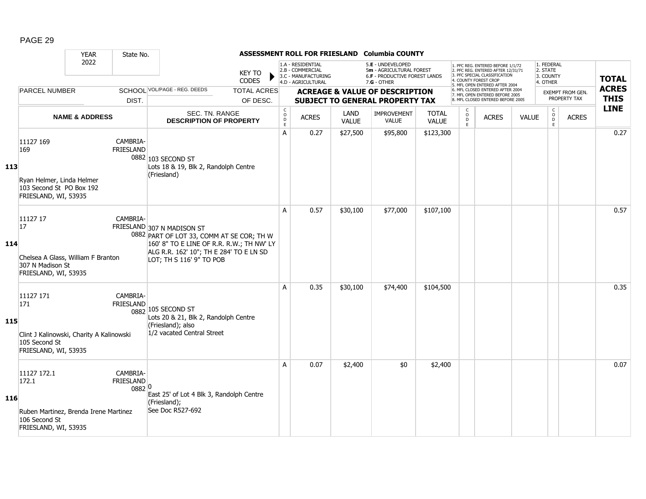|     |                                                                                                             | <b>YEAR</b>               | State No.                              |                                                                                                                                                                                             |                                |                                           |                                                                                    |          | ASSESSMENT ROLL FOR FRIESLAND Columbia COUNTY                                                   |              |                                                     |                                                                                                                                                                     |       |                                                 |                                  |                             |
|-----|-------------------------------------------------------------------------------------------------------------|---------------------------|----------------------------------------|---------------------------------------------------------------------------------------------------------------------------------------------------------------------------------------------|--------------------------------|-------------------------------------------|------------------------------------------------------------------------------------|----------|-------------------------------------------------------------------------------------------------|--------------|-----------------------------------------------------|---------------------------------------------------------------------------------------------------------------------------------------------------------------------|-------|-------------------------------------------------|----------------------------------|-----------------------------|
|     |                                                                                                             | 2022                      |                                        |                                                                                                                                                                                             | <b>KEY TO</b><br><b>CODES</b>  |                                           | 1.A - RESIDENTIAL<br>2.B - COMMERCIAL<br>3.C - MANUFACTURING<br>4.D - AGRICULTURAL |          | 5.E - UNDEVELOPED<br>5m - AGRICULTURAL FOREST<br>6.F - PRODUCTIVE FOREST LANDS<br>$7.G - OTHER$ |              |                                                     | 1. PFC REG. ENTERED BEFORE 1/1/72<br>2. PFC REG. ENTERED AFTER 12/31/71<br>3. PFC SPECIAL CLASSIFICATION<br>4. COUNTY FOREST CROP<br>5. MFL OPEN ENTERED AFTER 2004 |       | 1. FEDERAL<br>2. STATE<br>3. COUNTY<br>4. OTHER |                                  | <b>TOTAL</b>                |
|     | <b>PARCEL NUMBER</b>                                                                                        |                           | DIST.                                  | SCHOOL VOL/PAGE - REG. DEEDS                                                                                                                                                                | <b>TOTAL ACRES</b><br>OF DESC. |                                           |                                                                                    |          | <b>ACREAGE &amp; VALUE OF DESCRIPTION</b><br><b>SUBJECT TO GENERAL PROPERTY TAX</b>             |              |                                                     | 6. MFL CLOSED ENTERED AFTER 2004<br>7. MFL OPEN ENTERED BEFORE 2005<br>8. MFL CLOSED ENTERED BEFORE 2005                                                            |       |                                                 | EXEMPT FROM GEN.<br>PROPERTY TAX | <b>ACRES</b><br><b>THIS</b> |
|     |                                                                                                             |                           |                                        | SEC. TN. RANGE                                                                                                                                                                              |                                | $\begin{matrix} 0 \\ 0 \\ D \end{matrix}$ |                                                                                    | LAND     | IMPROVEMENT                                                                                     | <b>TOTAL</b> | $\begin{smallmatrix} C \\ O \\ D \end{smallmatrix}$ |                                                                                                                                                                     |       | $\begin{matrix} 0 \\ 0 \\ 0 \end{matrix}$       |                                  | <b>LINE</b>                 |
|     |                                                                                                             | <b>NAME &amp; ADDRESS</b> |                                        | <b>DESCRIPTION OF PROPERTY</b>                                                                                                                                                              |                                | E                                         | <b>ACRES</b>                                                                       | VALUE    | <b>VALUE</b>                                                                                    | <b>VALUE</b> | E                                                   | <b>ACRES</b>                                                                                                                                                        | VALUE | E                                               | <b>ACRES</b>                     |                             |
| 113 | 11127 169<br>169<br>Ryan Helmer, Linda Helmer<br>103 Second St PO Box 192<br>FRIESLAND, WI, 53935           |                           | CAMBRIA-<br><b>FRIESLAND</b>           | 0882 103 SECOND ST<br>Lots 18 & 19, Blk 2, Randolph Centre<br>(Friesland)                                                                                                                   |                                | A                                         | 0.27                                                                               | \$27,500 | \$95,800                                                                                        | \$123,300    |                                                     |                                                                                                                                                                     |       |                                                 |                                  | 0.27                        |
| 114 | 11127 17<br><sup>17</sup><br>Chelsea A Glass, William F Branton<br>307 N Madison St<br>FRIESLAND, WI, 53935 |                           | CAMBRIA-                               | FRIESLAND 307 N MADISON ST<br>0882 PART OF LOT 33, COMM AT SE COR; TH W<br>160' 8" TO E LINE OF R.R. R.W.; TH NW' LY<br>ALG R.R. 162' 10"; TH E 284' TO E LN SD<br>LOT; TH S 116' 9" TO POB |                                | A                                         | 0.57                                                                               | \$30,100 | \$77,000                                                                                        | \$107,100    |                                                     |                                                                                                                                                                     |       |                                                 |                                  | 0.57                        |
| 115 | 11127 171<br>171<br>Clint J Kalinowski, Charity A Kalinowski<br>105 Second St<br>FRIESLAND, WI, 53935       |                           | CAMBRIA-<br><b>FRIESLAND</b>           | 0882 105 SECOND ST<br>Lots 20 & 21, Blk 2, Randolph Centre<br>(Friesland); also<br>1/2 vacated Central Street                                                                               |                                | A                                         | 0.35                                                                               | \$30,100 | \$74,400                                                                                        | \$104,500    |                                                     |                                                                                                                                                                     |       |                                                 |                                  | 0.35                        |
| 116 | 11127 172.1<br>172.1<br>Ruben Martinez, Brenda Irene Martinez<br>106 Second St<br>FRIESLAND, WI, 53935      |                           | CAMBRIA-<br><b>FRIESLAND</b><br>0882 0 | East 25' of Lot 4 Blk 3, Randolph Centre<br>(Friesland);<br>See Doc R527-692                                                                                                                |                                | A                                         | 0.07                                                                               | \$2,400  | \$0                                                                                             | \$2,400      |                                                     |                                                                                                                                                                     |       |                                                 |                                  | 0.07                        |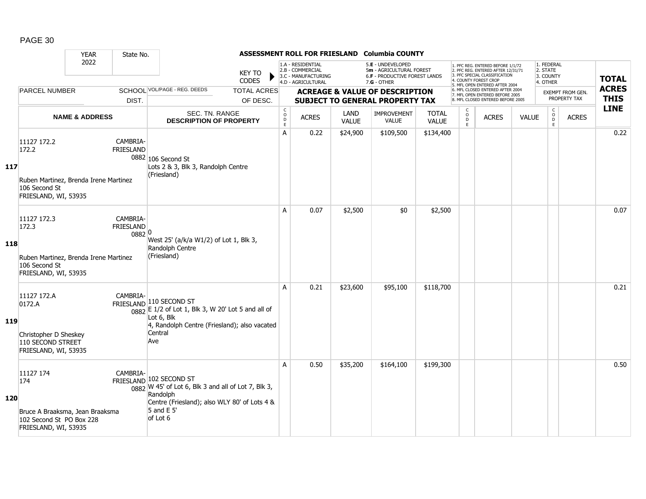|            |                                                                                                         | <b>YEAR</b>               | State No.                       |                                                                                                                                                                                  |                                                         |                                                                                    |                      | ASSESSMENT ROLL FOR FRIESLAND Columbia COUNTY                                                 |                              |                                                |                                                                                                                                                                     |              |                                                 |                                         |                             |
|------------|---------------------------------------------------------------------------------------------------------|---------------------------|---------------------------------|----------------------------------------------------------------------------------------------------------------------------------------------------------------------------------|---------------------------------------------------------|------------------------------------------------------------------------------------|----------------------|-----------------------------------------------------------------------------------------------|------------------------------|------------------------------------------------|---------------------------------------------------------------------------------------------------------------------------------------------------------------------|--------------|-------------------------------------------------|-----------------------------------------|-----------------------------|
|            |                                                                                                         | 2022                      |                                 | <b>KEY TO</b><br><b>CODES</b>                                                                                                                                                    |                                                         | 1.A - RESIDENTIAL<br>2.B - COMMERCIAL<br>3.C - MANUFACTURING<br>4.D - AGRICULTURAL |                      | 5.E - UNDEVELOPED<br>5m - AGRICULTURAL FOREST<br>6.F - PRODUCTIVE FOREST LANDS<br>7.G - OTHER |                              |                                                | 1. PFC REG. ENTERED BEFORE 1/1/72<br>2. PFC REG. ENTERED AFTER 12/31/71<br>3. PFC SPECIAL CLASSIFICATION<br>4. COUNTY FOREST CROP<br>5. MFL OPEN ENTERED AFTER 2004 |              | 1. FEDERAL<br>2. STATE<br>3. COUNTY<br>4. OTHER |                                         | <b>TOTAL</b>                |
|            | <b>PARCEL NUMBER</b>                                                                                    |                           | DIST.                           | SCHOOL VOL/PAGE - REG. DEEDS<br><b>TOTAL ACRES</b><br>OF DESC.                                                                                                                   |                                                         |                                                                                    |                      | <b>ACREAGE &amp; VALUE OF DESCRIPTION</b><br><b>SUBJECT TO GENERAL PROPERTY TAX</b>           |                              |                                                | 6. MFL CLOSED ENTERED AFTER 2004<br>7. MFL OPEN ENTERED BEFORE 2005<br>8. MFL CLOSED ENTERED BEFORE 2005                                                            |              |                                                 | <b>EXEMPT FROM GEN.</b><br>PROPERTY TAX | <b>ACRES</b><br><b>THIS</b> |
|            |                                                                                                         | <b>NAME &amp; ADDRESS</b> |                                 | SEC. TN. RANGE<br><b>DESCRIPTION OF PROPERTY</b>                                                                                                                                 | $\mathsf{C}$<br>$_\mathrm{D}^\mathrm{O}$<br>$\mathsf E$ | <b>ACRES</b>                                                                       | LAND<br><b>VALUE</b> | <b>IMPROVEMENT</b><br><b>VALUE</b>                                                            | <b>TOTAL</b><br><b>VALUE</b> | $\begin{matrix} 0 \\ 0 \\ D \end{matrix}$<br>E | <b>ACRES</b>                                                                                                                                                        | <b>VALUE</b> | $\mathsf C$<br>$_{\rm D}^{\rm O}$<br>E          | <b>ACRES</b>                            | <b>LINE</b>                 |
| 117        | 11127 172.2<br>172.2<br>Ruben Martinez, Brenda Irene Martinez<br>106 Second St<br>FRIESLAND, WI, 53935  |                           | CAMBRIA-<br><b>FRIESLAND</b>    | 0882 106 Second St<br>Lots 2 & 3, Blk 3, Randolph Centre<br>(Friesland)                                                                                                          | A                                                       | 0.22                                                                               | \$24,900             | \$109,500                                                                                     | \$134,400                    |                                                |                                                                                                                                                                     |              |                                                 |                                         | 0.22                        |
| 118        | 11127 172.3<br>172.3<br>Ruben Martinez, Brenda Irene Martinez<br>106 Second St<br>FRIESLAND, WI, 53935  |                           | CAMBRIA-<br>FRIESLAND<br>0882 0 | West 25' (a/k/a W1/2) of Lot 1, Blk 3,<br>Randolph Centre<br>(Friesland)                                                                                                         | A                                                       | 0.07                                                                               | \$2,500              | \$0                                                                                           | \$2,500                      |                                                |                                                                                                                                                                     |              |                                                 |                                         | 0.07                        |
| <b>119</b> | 11127 172.A<br>0172.A<br>Christopher D Sheskey<br>110 SECOND STREET<br>FRIESLAND, WI, 53935             |                           | CAMBRIA-                        | FRIESLAND 110 SECOND ST<br>$\frac{1}{0882}$ E 1/2 of Lot 1, Blk 3, W 20' Lot 5 and all of<br>Lot 6, Blk<br>4, Randolph Centre (Friesland); also vacated<br>Central<br>Ave        | A                                                       | 0.21                                                                               | \$23,600             | \$95,100                                                                                      | \$118,700                    |                                                |                                                                                                                                                                     |              |                                                 |                                         | 0.21                        |
| 120        | 11127 174<br>174<br>Bruce A Braaksma, Jean Braaksma<br>102 Second St PO Box 228<br>FRIESLAND, WI, 53935 |                           | CAMBRIA-                        | FRIESLAND 102 SECOND ST<br>$\frac{1}{0882}$ W 45' of Lot 6, Blk 3 and all of Lot 7, Blk 3,<br>Randolph<br>Centre (Friesland); also WLY 80' of Lots 4 &<br>5 and E 5'<br>of Lot 6 | A                                                       | 0.50                                                                               | \$35,200             | \$164,100                                                                                     | \$199,300                    |                                                |                                                                                                                                                                     |              |                                                 |                                         | 0.50                        |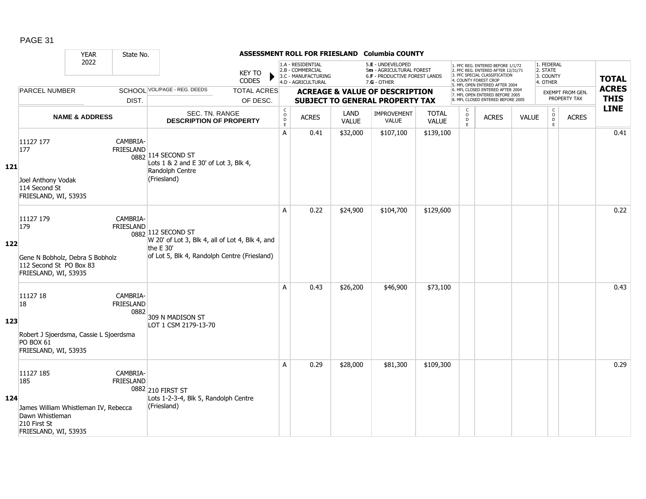|            |                                                                                 | <b>YEAR</b>                            | State No.                            |                                                                                                                                    |                                |                                                          |                                                                                    |                      | ASSESSMENT ROLL FOR FRIESLAND Columbia COUNTY                                                   |                       |                              |                                                                                                                                                                     |              |                                                 |                                         |                             |
|------------|---------------------------------------------------------------------------------|----------------------------------------|--------------------------------------|------------------------------------------------------------------------------------------------------------------------------------|--------------------------------|----------------------------------------------------------|------------------------------------------------------------------------------------|----------------------|-------------------------------------------------------------------------------------------------|-----------------------|------------------------------|---------------------------------------------------------------------------------------------------------------------------------------------------------------------|--------------|-------------------------------------------------|-----------------------------------------|-----------------------------|
|            |                                                                                 | 2022                                   |                                      |                                                                                                                                    | <b>KEY TO</b><br>CODES         |                                                          | 1.A - RESIDENTIAL<br>2.B - COMMERCIAL<br>3.C - MANUFACTURING<br>4.D - AGRICULTURAL |                      | 5.E - UNDEVELOPED<br>5m - AGRICULTURAL FOREST<br>6.F - PRODUCTIVE FOREST LANDS<br>$7.G - OTHER$ |                       |                              | 1. PFC REG. ENTERED BEFORE 1/1/72<br>2. PFC REG. ENTERED AFTER 12/31/71<br>3. PFC SPECIAL CLASSIFICATION<br>4. COUNTY FOREST CROP<br>5. MFL OPEN ENTERED AFTER 2004 |              | 1. FEDERAL<br>2. STATE<br>3. COUNTY<br>4. OTHER |                                         | <b>TOTAL</b>                |
|            | <b>PARCEL NUMBER</b>                                                            |                                        | DIST.                                | SCHOOL VOL/PAGE - REG. DEEDS                                                                                                       | <b>TOTAL ACRES</b><br>OF DESC. |                                                          |                                                                                    |                      | <b>ACREAGE &amp; VALUE OF DESCRIPTION</b><br><b>SUBJECT TO GENERAL PROPERTY TAX</b>             |                       |                              | 6. MFL CLOSED ENTERED AFTER 2004<br>7. MFL OPEN ENTERED BEFORE 2005<br>8. MFL CLOSED ENTERED BEFORE 2005                                                            |              |                                                 | <b>EXEMPT FROM GEN.</b><br>PROPERTY TAX | <b>ACRES</b><br><b>THIS</b> |
|            |                                                                                 | <b>NAME &amp; ADDRESS</b>              |                                      | SEC. TN. RANGE<br><b>DESCRIPTION OF PROPERTY</b>                                                                                   |                                | $\mathsf{C}$<br>$\mathsf O$<br>$\mathsf{D}_{\mathsf{E}}$ | <b>ACRES</b>                                                                       | LAND<br><b>VALUE</b> | IMPROVEMENT<br>VALUE                                                                            | <b>TOTAL</b><br>VALUE | C<br>$_{\rm D}^{\rm O}$<br>E | <b>ACRES</b>                                                                                                                                                        | <b>VALUE</b> | $\mathsf{C}$<br>$_{\rm D}^{\rm O}$<br>E         | <b>ACRES</b>                            | <b>LINE</b>                 |
| <b>121</b> | 11127 177<br>177<br>Joel Anthony Vodak<br>114 Second St<br>FRIESLAND, WI, 53935 |                                        | CAMBRIA-<br><b>FRIESLAND</b>         | 0882 114 SECOND ST<br>Lots 1 & 2 and E 30' of Lot 3, Blk 4,<br>Randolph Centre<br>(Friesland)                                      |                                | A                                                        | 0.41                                                                               | \$32,000             | \$107,100                                                                                       | \$139,100             |                              |                                                                                                                                                                     |              |                                                 |                                         | 0.41                        |
| 122        | 11127 179<br>179<br>112 Second St PO Box 83<br>FRIESLAND, WI, 53935             | Gene N Bobholz, Debra S Bobholz        | CAMBRIA-<br><b>FRIESLAND</b>         | 0882 112 SECOND ST<br>W 20' of Lot 3, Blk 4, all of Lot 4, Blk 4, and<br>the E 30'<br>of Lot 5, Blk 4, Randolph Centre (Friesland) |                                | A                                                        | 0.22                                                                               | \$24,900             | \$104,700                                                                                       | \$129,600             |                              |                                                                                                                                                                     |              |                                                 |                                         | 0.22                        |
| 123        | 11127 18<br>18<br><b>PO BOX 61</b><br>FRIESLAND, WI, 53935                      | Robert J Sjoerdsma, Cassie L Sjoerdsma | CAMBRIA-<br><b>FRIESLAND</b><br>0882 | 309 N MADISON ST<br>LOT 1 CSM 2179-13-70                                                                                           |                                | A                                                        | 0.43                                                                               | \$26,200             | \$46,900                                                                                        | \$73,100              |                              |                                                                                                                                                                     |              |                                                 |                                         | 0.43                        |
| 124        | 11127 185<br>185<br>Dawn Whistleman<br>210 First St<br>FRIESLAND, WI, 53935     | James William Whistleman IV, Rebecca   | CAMBRIA-<br><b>FRIESLAND</b>         | 0882 210 FIRST ST<br>Lots 1-2-3-4, Blk 5, Randolph Centre<br>(Friesland)                                                           |                                | A                                                        | 0.29                                                                               | \$28,000             | \$81,300                                                                                        | \$109,300             |                              |                                                                                                                                                                     |              |                                                 |                                         | 0.29                        |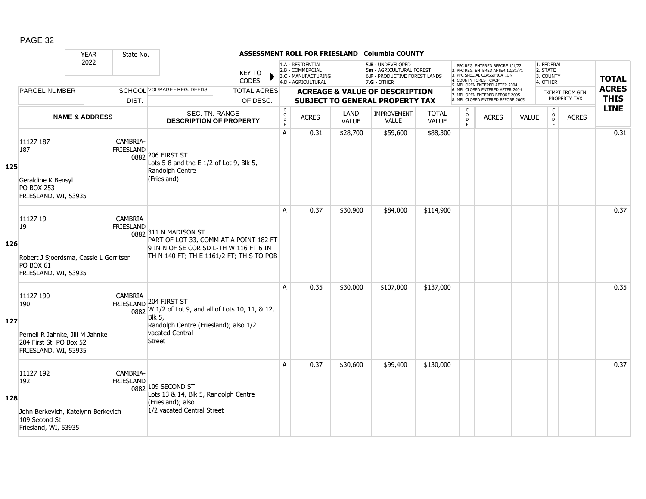|     |                                                                                                       | <b>YEAR</b>               | State No.                    |                                                                                                                                                                                        |                                |                                                  |                                                                                    |                      | ASSESSMENT ROLL FOR FRIESLAND Columbia COUNTY                                                   |                              |                                   |                                                                                                                                                                     |              |                                                 |                                         |                             |
|-----|-------------------------------------------------------------------------------------------------------|---------------------------|------------------------------|----------------------------------------------------------------------------------------------------------------------------------------------------------------------------------------|--------------------------------|--------------------------------------------------|------------------------------------------------------------------------------------|----------------------|-------------------------------------------------------------------------------------------------|------------------------------|-----------------------------------|---------------------------------------------------------------------------------------------------------------------------------------------------------------------|--------------|-------------------------------------------------|-----------------------------------------|-----------------------------|
|     |                                                                                                       | 2022                      |                              |                                                                                                                                                                                        | <b>KEY TO</b><br>CODES         |                                                  | 1.A - RESIDENTIAL<br>2.B - COMMERCIAL<br>3.C - MANUFACTURING<br>4.D - AGRICULTURAL |                      | 5.E - UNDEVELOPED<br>5m - AGRICULTURAL FOREST<br>6.F - PRODUCTIVE FOREST LANDS<br>$7.G - OTHER$ |                              |                                   | 1. PFC REG. ENTERED BEFORE 1/1/72<br>2. PFC REG. ENTERED AFTER 12/31/71<br>3. PFC SPECIAL CLASSIFICATION<br>4. COUNTY FOREST CROP<br>5. MFL OPEN ENTERED AFTER 2004 |              | 1. FEDERAL<br>2. STATE<br>3. COUNTY<br>4. OTHER |                                         | <b>TOTAL</b>                |
|     | <b>PARCEL NUMBER</b>                                                                                  |                           | DIST.                        | SCHOOL VOL/PAGE - REG. DEEDS                                                                                                                                                           | <b>TOTAL ACRES</b><br>OF DESC. |                                                  |                                                                                    |                      | <b>ACREAGE &amp; VALUE OF DESCRIPTION</b><br><b>SUBJECT TO GENERAL PROPERTY TAX</b>             |                              |                                   | 6. MFL CLOSED ENTERED AFTER 2004<br>7. MFL OPEN ENTERED BEFORE 2005<br>8. MFL CLOSED ENTERED BEFORE 2005                                                            |              |                                                 | <b>EXEMPT FROM GEN.</b><br>PROPERTY TAX | <b>ACRES</b><br><b>THIS</b> |
|     |                                                                                                       | <b>NAME &amp; ADDRESS</b> |                              | SEC. TN. RANGE<br><b>DESCRIPTION OF PROPERTY</b>                                                                                                                                       |                                | $_{\rm o}^{\rm c}$<br>$\mathsf D$<br>$\mathsf E$ | <b>ACRES</b>                                                                       | LAND<br><b>VALUE</b> | <b>IMPROVEMENT</b><br><b>VALUE</b>                                                              | <b>TOTAL</b><br><b>VALUE</b> | C<br>$\circ$<br>$\mathsf{D}$<br>E | <b>ACRES</b>                                                                                                                                                        | <b>VALUE</b> | $\begin{matrix} 0 \\ 0 \\ 0 \end{matrix}$<br>E  | <b>ACRES</b>                            | <b>LINE</b>                 |
| 125 | 11127 187<br>187<br>Geraldine K Bensyl<br><b>PO BOX 253</b><br>FRIESLAND, WI, 53935                   |                           | CAMBRIA-<br><b>FRIESLAND</b> | 0882 206 FIRST ST<br>Lots 5-8 and the E 1/2 of Lot 9, Blk 5,<br>Randolph Centre<br>(Friesland)                                                                                         |                                | A                                                | 0.31                                                                               | \$28,700             | \$59,600                                                                                        | \$88,300                     |                                   |                                                                                                                                                                     |              |                                                 |                                         | 0.31                        |
| 126 | 11127 19<br>19<br>Robert J Sjoerdsma, Cassie L Gerritsen<br><b>PO BOX 61</b><br>FRIESLAND, WI, 53935  |                           | CAMBRIA-<br><b>FRIESLAND</b> | 0882 311 N MADISON ST<br>PART OF LOT 33, COMM AT A POINT 182 FT<br>9 IN N OF SE COR SD L-TH W 116 FT 6 IN<br>TH N 140 FT; TH E 1161/2 FT; TH S TO POB                                  |                                | A                                                | 0.37                                                                               | \$30,900             | \$84,000                                                                                        | \$114,900                    |                                   |                                                                                                                                                                     |              |                                                 |                                         | 0.37                        |
| 127 | 11127 190<br>190<br>Pernell R Jahnke, Jill M Jahnke<br>204 First St PO Box 52<br>FRIESLAND, WI, 53935 |                           | CAMBRIA-                     | FRIESLAND 204 FIRST ST<br>$\frac{1}{0882}$ W 1/2 of Lot 9, and all of Lots 10, 11, & 12,<br><b>Blk 5,</b><br>Randolph Centre (Friesland); also 1/2<br>vacated Central<br><b>Street</b> |                                | A                                                | 0.35                                                                               | \$30,000             | \$107,000                                                                                       | \$137,000                    |                                   |                                                                                                                                                                     |              |                                                 |                                         | 0.35                        |
| 128 | 11127 192<br>192<br>John Berkevich, Katelynn Berkevich<br>109 Second St<br>Friesland, WI, 53935       |                           | CAMBRIA-<br><b>FRIESLAND</b> | 0882 109 SECOND ST<br>Lots 13 & 14, Blk 5, Randolph Centre<br>(Friesland); also<br>1/2 vacated Central Street                                                                          |                                | A                                                | 0.37                                                                               | \$30,600             | \$99,400                                                                                        | \$130,000                    |                                   |                                                                                                                                                                     |              |                                                 |                                         | 0.37                        |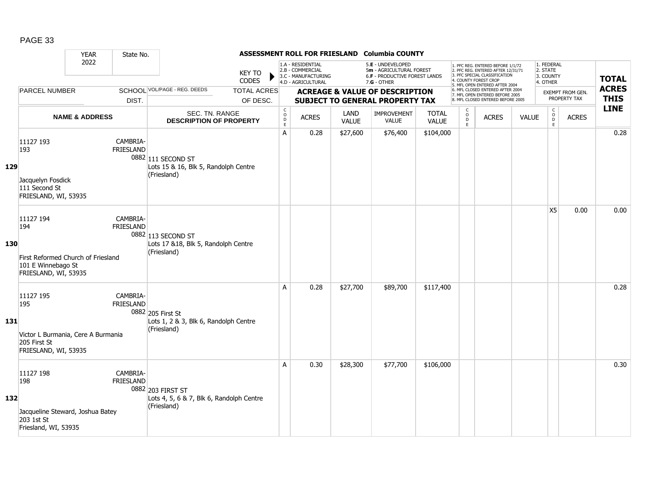|            |                                                                                                      | <b>YEAR</b>               | State No.                    |                                                                              |                                |                                                          |                                                                                    |               | ASSESSMENT ROLL FOR FRIESLAND Columbia COUNTY                                                   |                              |                                                          |                                                                                                                                                                     |              |                                                 |                                  |                             |
|------------|------------------------------------------------------------------------------------------------------|---------------------------|------------------------------|------------------------------------------------------------------------------|--------------------------------|----------------------------------------------------------|------------------------------------------------------------------------------------|---------------|-------------------------------------------------------------------------------------------------|------------------------------|----------------------------------------------------------|---------------------------------------------------------------------------------------------------------------------------------------------------------------------|--------------|-------------------------------------------------|----------------------------------|-----------------------------|
|            |                                                                                                      | 2022                      |                              |                                                                              | <b>KEY TO</b><br><b>CODES</b>  |                                                          | 1.A - RESIDENTIAL<br>2.B - COMMERCIAL<br>3.C - MANUFACTURING<br>4.D - AGRICULTURAL |               | 5.E - UNDEVELOPED<br>5m - AGRICULTURAL FOREST<br>6.F - PRODUCTIVE FOREST LANDS<br>$7.G - OTHER$ |                              |                                                          | 1. PFC REG. ENTERED BEFORE 1/1/72<br>2. PFC REG. ENTERED AFTER 12/31/71<br>3. PFC SPECIAL CLASSIFICATION<br>4. COUNTY FOREST CROP<br>5. MFL OPEN ENTERED AFTER 2004 |              | 1. FEDERAL<br>2. STATE<br>3. COUNTY<br>4. OTHER |                                  | <b>TOTAL</b>                |
|            | <b>PARCEL NUMBER</b>                                                                                 |                           | DIST.                        | SCHOOL VOL/PAGE - REG. DEEDS                                                 | <b>TOTAL ACRES</b><br>OF DESC. |                                                          |                                                                                    |               | <b>ACREAGE &amp; VALUE OF DESCRIPTION</b><br><b>SUBJECT TO GENERAL PROPERTY TAX</b>             |                              |                                                          | 6. MFL CLOSED ENTERED AFTER 2004<br>7. MFL OPEN ENTERED BEFORE 2005<br>8. MFL CLOSED ENTERED BEFORE 2005                                                            |              |                                                 | EXEMPT FROM GEN.<br>PROPERTY TAX | <b>ACRES</b><br><b>THIS</b> |
|            |                                                                                                      | <b>NAME &amp; ADDRESS</b> |                              | SEC. TN. RANGE<br><b>DESCRIPTION OF PROPERTY</b>                             |                                | $\begin{matrix} 0 \\ 0 \\ D \end{matrix}$<br>$\mathsf E$ | <b>ACRES</b>                                                                       | LAND<br>VALUE | <b>IMPROVEMENT</b><br><b>VALUE</b>                                                              | <b>TOTAL</b><br><b>VALUE</b> | $\begin{smallmatrix} C \\ O \\ D \end{smallmatrix}$<br>E | <b>ACRES</b>                                                                                                                                                        | <b>VALUE</b> | $\begin{matrix} 0 \\ 0 \\ 0 \end{matrix}$<br>E  | <b>ACRES</b>                     | <b>LINE</b>                 |
| 129        | 11127 193<br>193<br>Jacquelyn Fosdick<br>111 Second St<br>FRIESLAND, WI, 53935                       |                           | CAMBRIA-<br><b>FRIESLAND</b> | 0882 111 SECOND ST<br>Lots 15 & 16, Blk 5, Randolph Centre<br>(Friesland)    |                                | $\overline{A}$                                           | 0.28                                                                               | \$27,600      | \$76,400                                                                                        | \$104,000                    |                                                          |                                                                                                                                                                     |              |                                                 |                                  | 0.28                        |
| 130        | 11127 194<br>194<br>First Reformed Church of Friesland<br>101 E Winnebago St<br>FRIESLAND, WI, 53935 |                           | CAMBRIA-<br><b>FRIESLAND</b> | 0882 113 SECOND ST<br>Lots 17 &18, Blk 5, Randolph Centre<br>(Friesland)     |                                |                                                          |                                                                                    |               |                                                                                                 |                              |                                                          |                                                                                                                                                                     |              | X <sub>5</sub>                                  | 0.00                             | 0.00                        |
| <b>131</b> | 11127 195<br>195<br>Victor L Burmania, Cere A Burmania<br>205 First St<br>FRIESLAND, WI, 53935       |                           | CAMBRIA-<br><b>FRIESLAND</b> | 0882 205 First St<br>Lots 1, 2 & 3, Blk 6, Randolph Centre<br>(Friesland)    |                                | $\overline{A}$                                           | 0.28                                                                               | \$27,700      | \$89,700                                                                                        | \$117,400                    |                                                          |                                                                                                                                                                     |              |                                                 |                                  | 0.28                        |
| 132        | 11127 198<br>198<br>Jacqueline Steward, Joshua Batey<br>203 1st St<br>Friesland, WI, 53935           |                           | CAMBRIA-<br><b>FRIESLAND</b> | 0882 203 FIRST ST<br>Lots 4, 5, 6 & 7, Blk 6, Randolph Centre<br>(Friesland) |                                | A                                                        | 0.30                                                                               | \$28,300      | \$77,700                                                                                        | \$106,000                    |                                                          |                                                                                                                                                                     |              |                                                 |                                  | 0.30                        |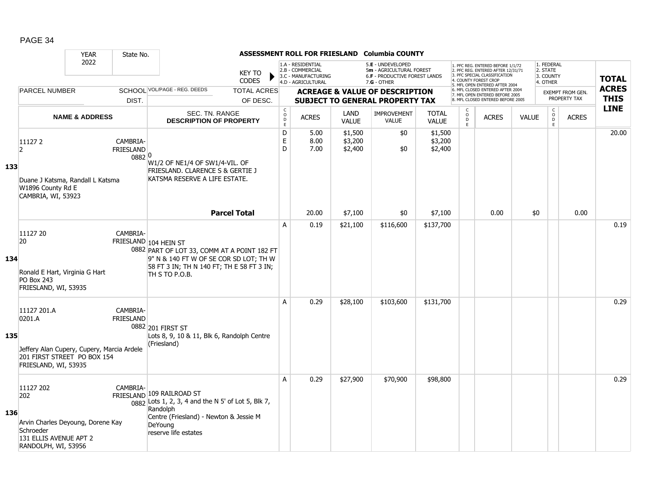|     |                                                                                                                            | <b>YEAR</b>               | State No.                              |                                                                                                                                                                               |                                |                                              |                                                                                    |                               | ASSESSMENT ROLL FOR FRIESLAND Columbia COUNTY                                                   |                               |                                     |                                                                                                                                            |              |                                                 |                                  |                             |
|-----|----------------------------------------------------------------------------------------------------------------------------|---------------------------|----------------------------------------|-------------------------------------------------------------------------------------------------------------------------------------------------------------------------------|--------------------------------|----------------------------------------------|------------------------------------------------------------------------------------|-------------------------------|-------------------------------------------------------------------------------------------------|-------------------------------|-------------------------------------|--------------------------------------------------------------------------------------------------------------------------------------------|--------------|-------------------------------------------------|----------------------------------|-----------------------------|
|     |                                                                                                                            | 2022                      |                                        |                                                                                                                                                                               | <b>KEY TO</b><br><b>CODES</b>  |                                              | 1.A - RESIDENTIAL<br>2.B - COMMERCIAL<br>3.C - MANUFACTURING<br>4.D - AGRICULTURAL |                               | 5.E - UNDEVELOPED<br>5m - AGRICULTURAL FOREST<br>6.F - PRODUCTIVE FOREST LANDS<br>$7.G - OTHER$ |                               |                                     | 1. PFC REG. ENTERED BEFORE 1/1/72<br>2. PFC REG. ENTERED AFTER 12/31/71<br>3. PFC SPECIAL CLASSIFICATION<br>4. COUNTY FOREST CROP          |              | 1. FEDERAL<br>2. STATE<br>3. COUNTY<br>4. OTHER |                                  | <b>TOTAL</b>                |
|     | <b>PARCEL NUMBER</b>                                                                                                       |                           | DIST.                                  | SCHOOL VOL/PAGE - REG. DEEDS                                                                                                                                                  | <b>TOTAL ACRES</b><br>OF DESC. |                                              |                                                                                    |                               | <b>ACREAGE &amp; VALUE OF DESCRIPTION</b><br><b>SUBJECT TO GENERAL PROPERTY TAX</b>             |                               |                                     | 5. MFL OPEN ENTERED AFTER 2004<br>6. MFL CLOSED ENTERED AFTER 2004<br>7. MFL OPEN ENTERED BEFORE 2005<br>8. MFL CLOSED ENTERED BEFORE 2005 |              |                                                 | EXEMPT FROM GEN.<br>PROPERTY TAX | <b>ACRES</b><br><b>THIS</b> |
|     |                                                                                                                            | <b>NAME &amp; ADDRESS</b> |                                        | SEC. TN. RANGE<br><b>DESCRIPTION OF PROPERTY</b>                                                                                                                              |                                | $\mathsf C$<br>$\overline{D}$<br>$\mathsf E$ | <b>ACRES</b>                                                                       | LAND<br><b>VALUE</b>          | <b>IMPROVEMENT</b><br><b>VALUE</b>                                                              | <b>TOTAL</b><br><b>VALUE</b>  | C<br>$\overset{\mathsf{O}}{D}$<br>E | <b>ACRES</b>                                                                                                                               | <b>VALUE</b> | $\begin{matrix} 0 \\ 0 \\ 0 \end{matrix}$<br>E  | <b>ACRES</b>                     | <b>LINE</b>                 |
| 133 | 111272<br>2<br>Duane J Katsma, Randall L Katsma<br>W1896 County Rd E<br>CAMBRIA, WI, 53923                                 |                           | CAMBRIA-<br><b>FRIESLAND</b><br>0882 0 | W1/2 OF NE1/4 OF SW1/4-VIL. OF<br>FRIESLAND. CLARENCE S & GERTIE J<br>KATSMA RESERVE A LIFE ESTATE.                                                                           |                                | D<br>$\mathsf E$<br>D                        | 5.00<br>8.00<br>7.00                                                               | \$1,500<br>\$3,200<br>\$2,400 | \$0<br>\$0                                                                                      | \$1,500<br>\$3,200<br>\$2,400 |                                     |                                                                                                                                            |              |                                                 |                                  | 20.00                       |
|     |                                                                                                                            |                           |                                        |                                                                                                                                                                               | <b>Parcel Total</b>            |                                              | 20.00                                                                              | \$7,100                       | \$0                                                                                             | \$7,100                       |                                     | 0.00                                                                                                                                       | \$0          |                                                 | 0.00                             |                             |
| 134 | 11127 20<br>20<br>Ronald E Hart, Virginia G Hart<br><b>PO Box 243</b><br>FRIESLAND, WI, 53935                              |                           | CAMBRIA-                               | FRIESLAND 104 HEIN ST<br>0882 PART OF LOT 33, COMM AT A POINT 182 FT<br>9" N & 140 FT W OF SE COR SD LOT; TH W<br>58 FT 3 IN; TH N 140 FT; TH E 58 FT 3 IN;<br>TH S TO P.O.B. |                                | A                                            | 0.19                                                                               | \$21,100                      | \$116,600                                                                                       | \$137,700                     |                                     |                                                                                                                                            |              |                                                 |                                  | 0.19                        |
| 135 | 11127 201.A<br>0201.A<br>Jeffery Alan Cupery, Cupery, Marcia Ardele<br>201 FIRST STREET PO BOX 154<br>FRIESLAND, WI, 53935 |                           | CAMBRIA-<br><b>FRIESLAND</b>           | 0882 201 FIRST ST<br>Lots 8, 9, 10 & 11, Blk 6, Randolph Centre<br>(Friesland)                                                                                                |                                | A                                            | 0.29                                                                               | \$28,100                      | \$103,600                                                                                       | \$131,700                     |                                     |                                                                                                                                            |              |                                                 |                                  | 0.29                        |
| 136 | 11127 202<br>202<br>Arvin Charles Deyoung, Dorene Kay<br>Schroeder<br>131 ELLIS AVENUE APT 2<br>RANDOLPH, WI, 53956        |                           | CAMBRIA-                               | FRIESLAND 109 RAILROAD ST<br>0882 Lots 1, 2, 3, 4 and the N 5' of Lot 5, Blk 7,<br>Randolph<br>Centre (Friesland) - Newton & Jessie M<br>DeYoung<br>reserve life estates      |                                | A                                            | 0.29                                                                               | \$27,900                      | \$70,900                                                                                        | \$98,800                      |                                     |                                                                                                                                            |              |                                                 |                                  | 0.29                        |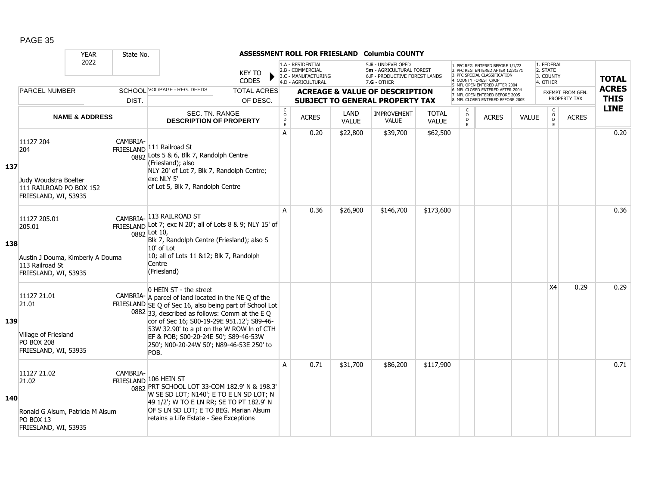|     |                                                                                                       | <b>YEAR</b>               | State No. |                                                                                                                                                                                                                                                                                                                                                                                      |                                |                                                          |                                                                                    |                      | ASSESSMENT ROLL FOR FRIESLAND Columbia COUNTY                                                   |                              |                        |                                                                                                                                                                     |              |                                                 |                                         |                             |
|-----|-------------------------------------------------------------------------------------------------------|---------------------------|-----------|--------------------------------------------------------------------------------------------------------------------------------------------------------------------------------------------------------------------------------------------------------------------------------------------------------------------------------------------------------------------------------------|--------------------------------|----------------------------------------------------------|------------------------------------------------------------------------------------|----------------------|-------------------------------------------------------------------------------------------------|------------------------------|------------------------|---------------------------------------------------------------------------------------------------------------------------------------------------------------------|--------------|-------------------------------------------------|-----------------------------------------|-----------------------------|
|     |                                                                                                       | 2022                      |           |                                                                                                                                                                                                                                                                                                                                                                                      | <b>KEY TO</b><br><b>CODES</b>  |                                                          | 1.A - RESIDENTIAL<br>2.B - COMMERCIAL<br>3.C - MANUFACTURING<br>4.D - AGRICULTURAL |                      | 5.E - UNDEVELOPED<br>5m - AGRICULTURAL FOREST<br>6.F - PRODUCTIVE FOREST LANDS<br>$7.G - OTHER$ |                              |                        | I. PFC REG. ENTERED BEFORE 1/1/72<br>2. PFC REG. ENTERED AFTER 12/31/71<br>3. PFC SPECIAL CLASSIFICATION<br>4. COUNTY FOREST CROP<br>5. MFL OPEN ENTERED AFTER 2004 |              | 1. FEDERAL<br>2. STATE<br>3. COUNTY<br>4. OTHER |                                         | <b>TOTAL</b>                |
|     | <b>PARCEL NUMBER</b>                                                                                  |                           | DIST.     | SCHOOL VOL/PAGE - REG. DEEDS                                                                                                                                                                                                                                                                                                                                                         | <b>TOTAL ACRES</b><br>OF DESC. |                                                          |                                                                                    |                      | <b>ACREAGE &amp; VALUE OF DESCRIPTION</b><br><b>SUBJECT TO GENERAL PROPERTY TAX</b>             |                              |                        | 6. MFL CLOSED ENTERED AFTER 2004<br>7. MFL OPEN ENTERED BEFORE 2005<br>8. MFL CLOSED ENTERED BEFORE 2005                                                            |              |                                                 | <b>EXEMPT FROM GEN.</b><br>PROPERTY TAX | <b>ACRES</b><br><b>THIS</b> |
|     |                                                                                                       | <b>NAME &amp; ADDRESS</b> |           | SEC. TN. RANGE<br><b>DESCRIPTION OF PROPERTY</b>                                                                                                                                                                                                                                                                                                                                     |                                | $\begin{matrix} 0 \\ 0 \\ 0 \end{matrix}$<br>$\mathsf E$ | <b>ACRES</b>                                                                       | LAND<br><b>VALUE</b> | <b>IMPROVEMENT</b><br><b>VALUE</b>                                                              | <b>TOTAL</b><br><b>VALUE</b> | C<br>$\circ$<br>D<br>E | <b>ACRES</b>                                                                                                                                                        | <b>VALUE</b> | $\mathsf{C}$<br>$_{\rm D}^{\rm O}$<br>F.        | <b>ACRES</b>                            | <b>LINE</b>                 |
| 137 | 11127 204<br>204<br>Judy Woudstra Boelter<br>111 RAILROAD PO BOX 152<br>FRIESLAND, WI, 53935          |                           | CAMBRIA-  | FRIESLAND 111 Railroad St<br>0882 Lots 5 & 6, Blk 7, Randolph Centre<br>(Friesland); also<br>NLY 20' of Lot 7, Blk 7, Randolph Centre;<br>exc NLY 5'<br>of Lot 5, Blk 7, Randolph Centre                                                                                                                                                                                             |                                | A                                                        | 0.20                                                                               | \$22,800             | \$39,700                                                                                        | \$62,500                     |                        |                                                                                                                                                                     |              |                                                 |                                         | 0.20                        |
| 138 | 11127 205.01<br>205.01<br>Austin J Douma, Kimberly A Douma<br>113 Railroad St<br>FRIESLAND, WI, 53935 |                           |           | CAMBRIA-113 RAILROAD ST<br>FRIESLAND Lot 7; exc N 20'; all of Lots 8 & 9; NLY 15' of<br>0882 Lot 10,<br>Blk 7, Randolph Centre (Friesland); also S<br>$10'$ of Lot<br>10; all of Lots 11 &12; Blk 7, Randolph<br>Centre<br>(Friesland)                                                                                                                                               |                                | A                                                        | 0.36                                                                               | \$26,900             | \$146,700                                                                                       | \$173,600                    |                        |                                                                                                                                                                     |              |                                                 |                                         | 0.36                        |
| 139 | 11127 21.01<br>21.01<br>Village of Friesland<br><b>PO BOX 208</b><br>FRIESLAND, WI, 53935             |                           |           | 0 HEIN ST - the street<br>CAMBRIA- $A$ parcel of land located in the NE Q of the<br>FRIESLAND SE Q of Sec 16, also being part of School Lot<br>0882 33, described as follows: Comm at the E Q<br>cor of Sec 16; S00-19-29E 951.12'; S89-46-<br>53W 32.90' to a pt on the W ROW In of CTH<br>EF & POB; S00-20-24E 50'; S89-46-53W<br>250'; N00-20-24W 50'; N89-46-53E 250' to<br>POB. |                                |                                                          |                                                                                    |                      |                                                                                                 |                              |                        |                                                                                                                                                                     |              | X <sub>4</sub>                                  | 0.29                                    | 0.29                        |
| 140 | 11127 21.02<br>21.02<br>Ronald G Alsum, Patricia M Alsum<br>PO BOX 13<br>FRIESLAND, WI, 53935         |                           | CAMBRIA-  | FRIESLAND 106 HEIN ST<br>0882 PRT SCHOOL LOT 33-COM 182.9' N & 198.3'<br>W SE SD LOT; N140'; E TO E LN SD LOT; N<br>49 1/2'; W TO E LN RR; SE TO PT 182.9' N<br>OF S LN SD LOT; E TO BEG. Marian Alsum<br>retains a Life Estate - See Exceptions                                                                                                                                     |                                | $\overline{A}$                                           | 0.71                                                                               | \$31,700             | \$86,200                                                                                        | \$117,900                    |                        |                                                                                                                                                                     |              |                                                 |                                         | 0.71                        |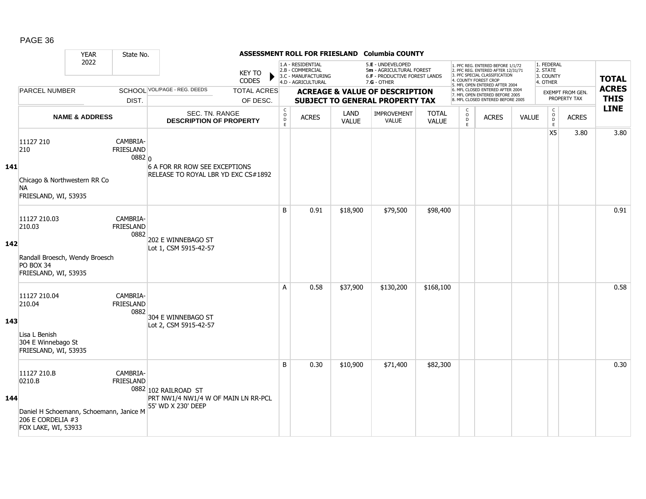|     |                                                                                                              | <b>YEAR</b>               | State No.                                |                                                                                   |                                |                   |                                                                                    |                      | ASSESSMENT ROLL FOR FRIESLAND Columbia COUNTY                                                   |                              |                             |                                                                                                                                            |              |                                                 |                                  |                             |
|-----|--------------------------------------------------------------------------------------------------------------|---------------------------|------------------------------------------|-----------------------------------------------------------------------------------|--------------------------------|-------------------|------------------------------------------------------------------------------------|----------------------|-------------------------------------------------------------------------------------------------|------------------------------|-----------------------------|--------------------------------------------------------------------------------------------------------------------------------------------|--------------|-------------------------------------------------|----------------------------------|-----------------------------|
|     |                                                                                                              | 2022                      |                                          |                                                                                   | <b>KEY TO</b><br><b>CODES</b>  |                   | 1.A - RESIDENTIAL<br>2.B - COMMERCIAL<br>3.C - MANUFACTURING<br>4.D - AGRICULTURAL |                      | 5.E - UNDEVELOPED<br>5m - AGRICULTURAL FOREST<br>6.F - PRODUCTIVE FOREST LANDS<br>$7.G - OTHER$ |                              |                             | 1. PFC REG. ENTERED BEFORE 1/1/72<br>2. PFC REG. ENTERED AFTER 12/31/71<br>3. PFC SPECIAL CLASSIFICATION<br>4. COUNTY FOREST CROP          |              | 1. FEDERAL<br>2. STATE<br>3. COUNTY<br>4. OTHER |                                  | <b>TOTAL</b>                |
|     | <b>PARCEL NUMBER</b>                                                                                         |                           | DIST.                                    | SCHOOL VOL/PAGE - REG. DEEDS                                                      | <b>TOTAL ACRES</b><br>OF DESC. |                   |                                                                                    |                      | <b>ACREAGE &amp; VALUE OF DESCRIPTION</b><br><b>SUBJECT TO GENERAL PROPERTY TAX</b>             |                              |                             | 5. MFL OPEN ENTERED AFTER 2004<br>6. MFL CLOSED ENTERED AFTER 2004<br>7. MFL OPEN ENTERED BEFORE 2005<br>8. MFL CLOSED ENTERED BEFORE 2005 |              |                                                 | EXEMPT FROM GEN.<br>PROPERTY TAX | <b>ACRES</b><br><b>THIS</b> |
|     |                                                                                                              |                           |                                          |                                                                                   |                                | $\mathsf{C}$      |                                                                                    |                      |                                                                                                 |                              | $\mathsf{C}$                |                                                                                                                                            |              |                                                 |                                  | <b>LINE</b>                 |
|     |                                                                                                              | <b>NAME &amp; ADDRESS</b> |                                          | SEC. TN. RANGE<br><b>DESCRIPTION OF PROPERTY</b>                                  |                                | $\circ$<br>D<br>E | <b>ACRES</b>                                                                       | LAND<br><b>VALUE</b> | <b>IMPROVEMENT</b><br><b>VALUE</b>                                                              | <b>TOTAL</b><br><b>VALUE</b> | $\circ$<br>$\mathsf D$<br>E | <b>ACRES</b>                                                                                                                               | <b>VALUE</b> | $\begin{matrix} 0 \\ 0 \\ D \end{matrix}$<br>E  | <b>ACRES</b>                     |                             |
| 141 | 11127 210<br>210<br>Chicago & Northwestern RR Co<br><b>NA</b><br>FRIESLAND, WI, 53935                        |                           | CAMBRIA-<br><b>FRIESLAND</b><br>$0882$ 0 | 6 A FOR RR ROW SEE EXCEPTIONS<br>RELEASE TO ROYAL LBR YD EXC CS#1892              |                                |                   |                                                                                    |                      |                                                                                                 |                              |                             |                                                                                                                                            |              | X <sub>5</sub>                                  | 3.80                             | 3.80                        |
| 142 | 11127 210.03<br>210.03<br>Randall Broesch, Wendy Broesch<br>PO BOX 34<br>FRIESLAND, WI, 53935                |                           | CAMBRIA-<br><b>FRIESLAND</b><br>0882     | 202 E WINNEBAGO ST<br>Lot 1, CSM 5915-42-57                                       |                                | B                 | 0.91                                                                               | \$18,900             | \$79,500                                                                                        | \$98,400                     |                             |                                                                                                                                            |              |                                                 |                                  | 0.91                        |
| 143 | 11127 210.04<br>210.04<br>Lisa L Benish<br>304 E Winnebago St<br>FRIESLAND, WI, 53935                        |                           | CAMBRIA-<br><b>FRIESLAND</b><br>0882     | 304 E WINNEBAGO ST<br>Lot 2, CSM 5915-42-57                                       |                                | A                 | 0.58                                                                               | \$37,900             | \$130,200                                                                                       | \$168,100                    |                             |                                                                                                                                            |              |                                                 |                                  | 0.58                        |
| 144 | 11127 210.B<br>0210.B<br>Daniel H Schoemann, Schoemann, Janice M<br>206 E CORDELIA #3<br>FOX LAKE, WI, 53933 |                           | CAMBRIA-<br><b>FRIESLAND</b>             | 0882 102 RAILROAD ST<br>PRT NW1/4 NW1/4 W OF MAIN LN RR-PCL<br>55' WD X 230' DEEP |                                | B                 | 0.30                                                                               | \$10,900             | \$71,400                                                                                        | \$82,300                     |                             |                                                                                                                                            |              |                                                 |                                  | 0.30                        |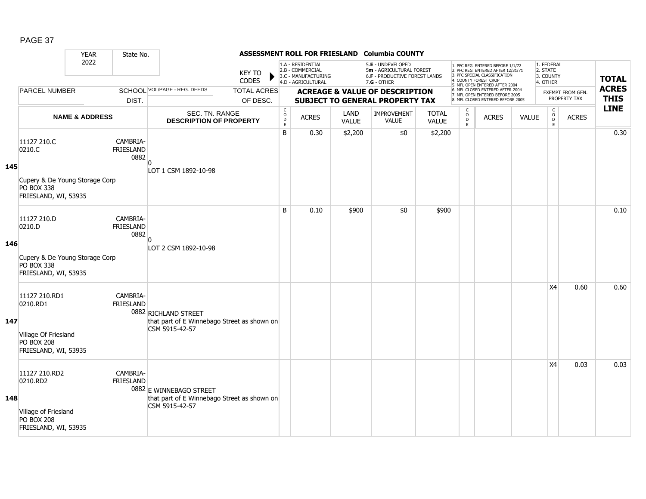|     |                                                                                                      | <b>YEAR</b>               | State No.                            |                                                                                          |                                |                                              |                                                                                    |                      | ASSESSMENT ROLL FOR FRIESLAND Columbia COUNTY                                                 |                              |                                                         |                                                                                                                                                                     |              |                                                 |                                  |                             |
|-----|------------------------------------------------------------------------------------------------------|---------------------------|--------------------------------------|------------------------------------------------------------------------------------------|--------------------------------|----------------------------------------------|------------------------------------------------------------------------------------|----------------------|-----------------------------------------------------------------------------------------------|------------------------------|---------------------------------------------------------|---------------------------------------------------------------------------------------------------------------------------------------------------------------------|--------------|-------------------------------------------------|----------------------------------|-----------------------------|
|     |                                                                                                      | 2022                      |                                      |                                                                                          | <b>KEY TO</b><br>CODES         |                                              | 1.A - RESIDENTIAL<br>2.B - COMMERCIAL<br>3.C - MANUFACTURING<br>4.D - AGRICULTURAL |                      | 5.E - UNDEVELOPED<br>5m - AGRICULTURAL FOREST<br>6.F - PRODUCTIVE FOREST LANDS<br>7.G - OTHER |                              |                                                         | 1. PFC REG. ENTERED BEFORE 1/1/72<br>2. PFC REG. ENTERED AFTER 12/31/71<br>3. PFC SPECIAL CLASSIFICATION<br>4. COUNTY FOREST CROP<br>5. MFL OPEN ENTERED AFTER 2004 |              | 1. FEDERAL<br>2. STATE<br>3. COUNTY<br>4. OTHER |                                  | <b>TOTAL</b>                |
|     | <b>PARCEL NUMBER</b>                                                                                 |                           | DIST.                                | SCHOOL VOL/PAGE - REG. DEEDS                                                             | <b>TOTAL ACRES</b><br>OF DESC. |                                              |                                                                                    |                      | <b>ACREAGE &amp; VALUE OF DESCRIPTION</b><br><b>SUBJECT TO GENERAL PROPERTY TAX</b>           |                              |                                                         | 6. MFL CLOSED ENTERED AFTER 2004<br>7. MFL OPEN ENTERED BEFORE 2005<br>8. MFL CLOSED ENTERED BEFORE 2005                                                            |              |                                                 | EXEMPT FROM GEN.<br>PROPERTY TAX | <b>ACRES</b><br><b>THIS</b> |
|     |                                                                                                      | <b>NAME &amp; ADDRESS</b> |                                      | SEC. TN. RANGE<br><b>DESCRIPTION OF PROPERTY</b>                                         |                                | $\mathsf C$<br>$\overline{0}$<br>$\mathsf E$ | <b>ACRES</b>                                                                       | LAND<br><b>VALUE</b> | <b>IMPROVEMENT</b><br><b>VALUE</b>                                                            | <b>TOTAL</b><br><b>VALUE</b> | $\mathsf{C}$<br>$\ddot{\mathbf{O}}$<br>$\mathsf D$<br>E | <b>ACRES</b>                                                                                                                                                        | <b>VALUE</b> | $\mathsf{C}$<br>$\overline{0}$<br>E             | <b>ACRES</b>                     | <b>LINE</b>                 |
| 145 | 11127 210.C<br>0210.C<br>Cupery & De Young Storage Corp<br><b>PO BOX 338</b><br>FRIESLAND, WI, 53935 |                           | CAMBRIA-<br><b>FRIESLAND</b><br>0882 | LOT 1 CSM 1892-10-98                                                                     |                                | B                                            | 0.30                                                                               | \$2,200              | \$0                                                                                           | \$2,200                      |                                                         |                                                                                                                                                                     |              |                                                 |                                  | 0.30                        |
| 146 | 11127 210.D<br>0210.D<br>Cupery & De Young Storage Corp<br><b>PO BOX 338</b><br>FRIESLAND, WI, 53935 |                           | CAMBRIA-<br><b>FRIESLAND</b><br>0882 | n<br>LOT 2 CSM 1892-10-98                                                                |                                | B                                            | 0.10                                                                               | \$900                | \$0                                                                                           | \$900                        |                                                         |                                                                                                                                                                     |              |                                                 |                                  | 0.10                        |
| 147 | 11127 210.RD1<br>0210.RD1<br>Village Of Friesland<br><b>PO BOX 208</b><br>FRIESLAND, WI, 53935       |                           | CAMBRIA-<br>FRIESLAND                | 0882 RICHLAND STREET<br>that part of E Winnebago Street as shown on<br>CSM 5915-42-57    |                                |                                              |                                                                                    |                      |                                                                                               |                              |                                                         |                                                                                                                                                                     |              | X <sub>4</sub>                                  | 0.60                             | 0.60                        |
| 148 | 11127 210.RD2<br>0210.RD2<br>Village of Friesland<br><b>PO BOX 208</b><br>FRIESLAND, WI, 53935       |                           | CAMBRIA-<br>FRIESLAND                | 0882 E WINNEBAGO STREET<br>that part of E Winnebago Street as shown on<br>CSM 5915-42-57 |                                |                                              |                                                                                    |                      |                                                                                               |                              |                                                         |                                                                                                                                                                     |              | X4                                              | 0.03                             | 0.03                        |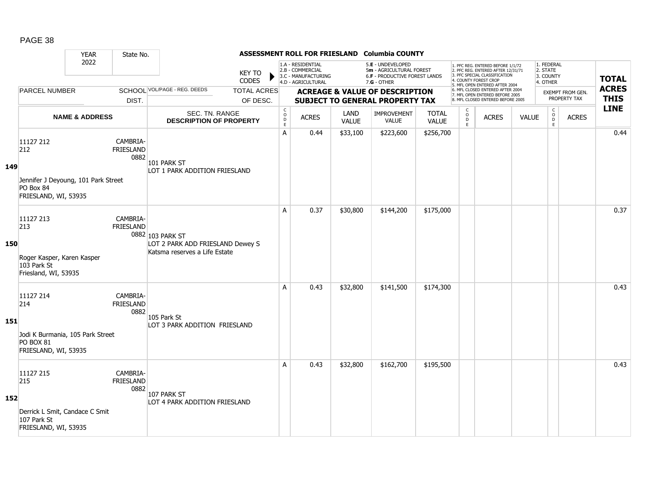|     |                                                                                              | <b>YEAR</b>               | State No.                            |                                                                                       |                                |                                                           |                                                                                    |                      | ASSESSMENT ROLL FOR FRIESLAND Columbia COUNTY                                                 |                              |                                                |                                                                                                                                                                     |              |                                                 |                                  |                             |
|-----|----------------------------------------------------------------------------------------------|---------------------------|--------------------------------------|---------------------------------------------------------------------------------------|--------------------------------|-----------------------------------------------------------|------------------------------------------------------------------------------------|----------------------|-----------------------------------------------------------------------------------------------|------------------------------|------------------------------------------------|---------------------------------------------------------------------------------------------------------------------------------------------------------------------|--------------|-------------------------------------------------|----------------------------------|-----------------------------|
|     |                                                                                              | 2022                      |                                      |                                                                                       | <b>KEY TO</b><br><b>CODES</b>  |                                                           | 1.A - RESIDENTIAL<br>2.B - COMMERCIAL<br>3.C - MANUFACTURING<br>4.D - AGRICULTURAL |                      | 5.E - UNDEVELOPED<br>5m - AGRICULTURAL FOREST<br>6.F - PRODUCTIVE FOREST LANDS<br>7.G - OTHER |                              |                                                | 1. PFC REG. ENTERED BEFORE 1/1/72<br>2. PFC REG. ENTERED AFTER 12/31/71<br>3. PFC SPECIAL CLASSIFICATION<br>4. COUNTY FOREST CROP<br>5. MFL OPEN ENTERED AFTER 2004 |              | 1. FEDERAL<br>2. STATE<br>3. COUNTY<br>4. OTHER |                                  | <b>TOTAL</b>                |
|     | <b>PARCEL NUMBER</b>                                                                         |                           | DIST.                                | SCHOOL VOL/PAGE - REG. DEEDS                                                          | <b>TOTAL ACRES</b><br>OF DESC. |                                                           |                                                                                    |                      | <b>ACREAGE &amp; VALUE OF DESCRIPTION</b><br><b>SUBJECT TO GENERAL PROPERTY TAX</b>           |                              |                                                | 6. MFL CLOSED ENTERED AFTER 2004<br>7. MFL OPEN ENTERED BEFORE 2005<br>8. MFL CLOSED ENTERED BEFORE 2005                                                            |              |                                                 | EXEMPT FROM GEN.<br>PROPERTY TAX | <b>ACRES</b><br><b>THIS</b> |
|     |                                                                                              | <b>NAME &amp; ADDRESS</b> |                                      | SEC. TN. RANGE<br><b>DESCRIPTION OF PROPERTY</b>                                      |                                | $\begin{array}{c} C \\ O \\ D \end{array}$<br>$\mathsf E$ | <b>ACRES</b>                                                                       | LAND<br><b>VALUE</b> | <b>IMPROVEMENT</b><br><b>VALUE</b>                                                            | <b>TOTAL</b><br><b>VALUE</b> | $\begin{matrix} 0 \\ 0 \\ D \end{matrix}$<br>E | <b>ACRES</b>                                                                                                                                                        | <b>VALUE</b> | $\begin{matrix} 0 \\ 0 \\ 0 \end{matrix}$<br>E  | <b>ACRES</b>                     | <b>LINE</b>                 |
| 149 | 11127 212<br>212<br>Jennifer J Deyoung, 101 Park Street<br>PO Box 84<br>FRIESLAND, WI, 53935 |                           | CAMBRIA-<br><b>FRIESLAND</b><br>0882 | 101 PARK ST<br>LOT 1 PARK ADDITION FRIESLAND                                          |                                | Α                                                         | 0.44                                                                               | \$33,100             | \$223,600                                                                                     | \$256,700                    |                                                |                                                                                                                                                                     |              |                                                 |                                  | 0.44                        |
| 150 | 11127 213<br>213<br>Roger Kasper, Karen Kasper<br>103 Park St<br>Friesland, WI, 53935        |                           | CAMBRIA-<br><b>FRIESLAND</b>         | 0882 103 PARK ST<br>LOT 2 PARK ADD FRIESLAND Dewey S<br>Katsma reserves a Life Estate |                                | A                                                         | 0.37                                                                               | \$30,800             | \$144,200                                                                                     | \$175,000                    |                                                |                                                                                                                                                                     |              |                                                 |                                  | 0.37                        |
| 151 | 11127 214<br>214<br>Jodi K Burmania, 105 Park Street<br>PO BOX 81<br>FRIESLAND, WI, 53935    |                           | CAMBRIA-<br><b>FRIESLAND</b><br>0882 | 105 Park St<br>LOT 3 PARK ADDITION FRIESLAND                                          |                                | A                                                         | 0.43                                                                               | \$32,800             | \$141,500                                                                                     | \$174,300                    |                                                |                                                                                                                                                                     |              |                                                 |                                  | 0.43                        |
| 152 | 11127 215<br>215<br>Derrick L Smit, Candace C Smit<br>107 Park St<br>FRIESLAND, WI, 53935    |                           | CAMBRIA-<br><b>FRIESLAND</b><br>0882 | 107 PARK ST<br>LOT 4 PARK ADDITION FRIESLAND                                          |                                | A                                                         | 0.43                                                                               | \$32,800             | \$162,700                                                                                     | \$195,500                    |                                                |                                                                                                                                                                     |              |                                                 |                                  | 0.43                        |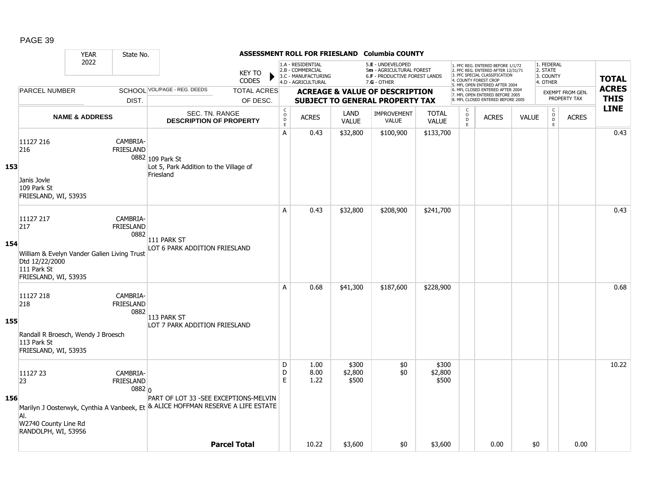|     |                                                                                                                          | <b>YEAR</b>               | State No.                              |                                                                                                                           |                               |                                        |                                                                                    |                           | ASSESSMENT ROLL FOR FRIESLAND Columbia COUNTY                                                   |                              |                                               |                                                                                                                                            |              |                                                 |                  |                            |
|-----|--------------------------------------------------------------------------------------------------------------------------|---------------------------|----------------------------------------|---------------------------------------------------------------------------------------------------------------------------|-------------------------------|----------------------------------------|------------------------------------------------------------------------------------|---------------------------|-------------------------------------------------------------------------------------------------|------------------------------|-----------------------------------------------|--------------------------------------------------------------------------------------------------------------------------------------------|--------------|-------------------------------------------------|------------------|----------------------------|
|     |                                                                                                                          | 2022                      |                                        |                                                                                                                           | <b>KEY TO</b><br><b>CODES</b> |                                        | 1.A - RESIDENTIAL<br>2.B - COMMERCIAL<br>3.C - MANUFACTURING<br>4.D - AGRICULTURAL |                           | 5.E - UNDEVELOPED<br>5m - AGRICULTURAL FOREST<br>6.F - PRODUCTIVE FOREST LANDS<br>$7.G - OTHER$ |                              | 4. COUNTY FOREST CROP                         | 1. PFC REG. ENTERED BEFORE 1/1/72<br>2. PFC REG. ENTERED AFTER 12/31/71<br>3. PFC SPECIAL CLASSIFICATION<br>5. MFL OPEN ENTERED AFTER 2004 |              | 1. FEDERAL<br>2. STATE<br>3. COUNTY<br>4. OTHER |                  | <b>TOTAL</b>               |
|     | <b>PARCEL NUMBER</b>                                                                                                     |                           |                                        | SCHOOL VOL/PAGE - REG. DEEDS                                                                                              | <b>TOTAL ACRES</b>            |                                        |                                                                                    |                           | <b>ACREAGE &amp; VALUE OF DESCRIPTION</b>                                                       |                              |                                               | 6. MFL CLOSED ENTERED AFTER 2004<br>7. MFL OPEN ENTERED BEFORE 2005                                                                        |              |                                                 | EXEMPT FROM GEN. | <b>ACRES</b>               |
|     |                                                                                                                          |                           | DIST.                                  |                                                                                                                           | OF DESC.                      |                                        |                                                                                    |                           | <b>SUBJECT TO GENERAL PROPERTY TAX</b>                                                          |                              |                                               | 8. MFL CLOSED ENTERED BEFORE 2005                                                                                                          |              |                                                 | PROPERTY TAX     | <b>THIS</b><br><b>LINE</b> |
|     |                                                                                                                          | <b>NAME &amp; ADDRESS</b> |                                        | <b>SEC. TN. RANGE</b><br><b>DESCRIPTION OF PROPERTY</b>                                                                   |                               | $_{\rm o}^{\rm c}$<br>$\mathsf D$<br>E | <b>ACRES</b>                                                                       | LAND<br><b>VALUE</b>      | <b>IMPROVEMENT</b><br><b>VALUE</b>                                                              | <b>TOTAL</b><br><b>VALUE</b> | $\mathsf{C}$<br>$_\mathrm{D}^\mathrm{O}$<br>E | <b>ACRES</b>                                                                                                                               | <b>VALUE</b> | $\begin{array}{c} C \\ O \\ D \end{array}$<br>E | <b>ACRES</b>     |                            |
| 153 | 11127 216<br>216<br>Janis Jovle<br>109 Park St<br>FRIESLAND, WI, 53935                                                   |                           | CAMBRIA-<br><b>FRIESLAND</b>           | 0882 109 Park St<br>Lot 5, Park Addition to the Village of<br>Friesland                                                   |                               | A                                      | 0.43                                                                               | \$32,800                  | \$100,900                                                                                       | \$133,700                    |                                               |                                                                                                                                            |              |                                                 |                  | 0.43                       |
| 154 | 11127 217<br>217<br>William & Evelyn Vander Galien Living Trust<br>Dtd 12/22/2000<br>111 Park St<br>FRIESLAND, WI, 53935 |                           | CAMBRIA-<br><b>FRIESLAND</b><br>0882   | 111 PARK ST<br>LOT 6 PARK ADDITION FRIESLAND                                                                              |                               | A                                      | 0.43                                                                               | \$32,800                  | \$208,900                                                                                       | \$241,700                    |                                               |                                                                                                                                            |              |                                                 |                  | 0.43                       |
| 155 | 11127 218<br>218<br>Randall R Broesch, Wendy J Broesch<br>113 Park St<br>FRIESLAND, WI, 53935                            |                           | CAMBRIA-<br><b>FRIESLAND</b><br>0882   | 113 PARK ST<br>LOT 7 PARK ADDITION FRIESLAND                                                                              |                               | A                                      | 0.68                                                                               | \$41,300                  | \$187,600                                                                                       | \$228,900                    |                                               |                                                                                                                                            |              |                                                 |                  | 0.68                       |
| 156 | 11127 23<br>23<br>AI.<br>W2740 County Line Rd<br>RANDOLPH, WI, 53956                                                     |                           | CAMBRIA-<br><b>FRIESLAND</b><br>0882 0 | PART OF LOT 33 -SEE EXCEPTIONS-MELVIN<br>Marilyn J Oosterwyk, Cynthia A Vanbeek, Et & ALICE HOFFMAN RESERVE A LIFE ESTATE |                               | D<br>D<br>E                            | 1.00<br>8.00<br>1.22                                                               | \$300<br>\$2,800<br>\$500 | \$0<br>\$0                                                                                      | \$300<br>\$2,800<br>\$500    |                                               |                                                                                                                                            |              |                                                 |                  | 10.22                      |
|     |                                                                                                                          |                           |                                        |                                                                                                                           | <b>Parcel Total</b>           |                                        | 10.22                                                                              | \$3,600                   | \$0                                                                                             | \$3,600                      |                                               | 0.00                                                                                                                                       | \$0          |                                                 | 0.00             |                            |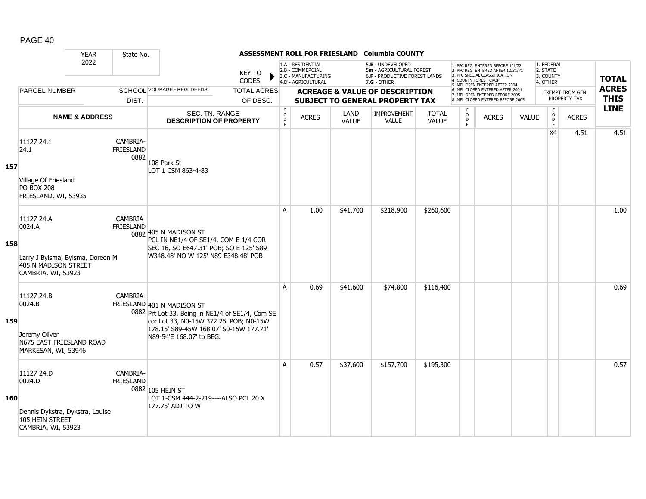|     |                                                                                                        | <b>YEAR</b>               | State No.                            |                                                                                                                                                                                                |                                |                 |                                                                                    |                      | ASSESSMENT ROLL FOR FRIESLAND Columbia COUNTY                                                   |                              |                          |                                                                                                                                                                     |              |                                                 |                                  |                             |
|-----|--------------------------------------------------------------------------------------------------------|---------------------------|--------------------------------------|------------------------------------------------------------------------------------------------------------------------------------------------------------------------------------------------|--------------------------------|-----------------|------------------------------------------------------------------------------------|----------------------|-------------------------------------------------------------------------------------------------|------------------------------|--------------------------|---------------------------------------------------------------------------------------------------------------------------------------------------------------------|--------------|-------------------------------------------------|----------------------------------|-----------------------------|
|     |                                                                                                        | 2022                      |                                      |                                                                                                                                                                                                | <b>KEY TO</b><br><b>CODES</b>  |                 | 1.A - RESIDENTIAL<br>2.B - COMMERCIAL<br>3.C - MANUFACTURING<br>4.D - AGRICULTURAL |                      | 5.E - UNDEVELOPED<br>5m - AGRICULTURAL FOREST<br>6.F - PRODUCTIVE FOREST LANDS<br>$7.G - OTHER$ |                              |                          | 1. PFC REG. ENTERED BEFORE 1/1/72<br>2. PFC REG. ENTERED AFTER 12/31/71<br>3. PFC SPECIAL CLASSIFICATION<br>4. COUNTY FOREST CROP<br>5. MFL OPEN ENTERED AFTER 2004 |              | 1. FEDERAL<br>2. STATE<br>3. COUNTY<br>4. OTHER |                                  | <b>TOTAL</b>                |
|     | <b>PARCEL NUMBER</b>                                                                                   |                           | DIST.                                | SCHOOL VOL/PAGE - REG. DEEDS                                                                                                                                                                   | <b>TOTAL ACRES</b><br>OF DESC. |                 |                                                                                    |                      | <b>ACREAGE &amp; VALUE OF DESCRIPTION</b><br><b>SUBJECT TO GENERAL PROPERTY TAX</b>             |                              |                          | 6. MFL CLOSED ENTERED AFTER 2004<br>7. MFL OPEN ENTERED BEFORE 2005<br>8. MFL CLOSED ENTERED BEFORE 2005                                                            |              |                                                 | EXEMPT FROM GEN.<br>PROPERTY TAX | <b>ACRES</b><br><b>THIS</b> |
|     |                                                                                                        | <b>NAME &amp; ADDRESS</b> |                                      | SEC. TN. RANGE<br><b>DESCRIPTION OF PROPERTY</b>                                                                                                                                               |                                | $\rm _o^C$<br>E | <b>ACRES</b>                                                                       | LAND<br><b>VALUE</b> | IMPROVEMENT<br><b>VALUE</b>                                                                     | <b>TOTAL</b><br><b>VALUE</b> | C<br>$\overline{0}$<br>E | <b>ACRES</b>                                                                                                                                                        | <b>VALUE</b> | $\begin{matrix} 0 \\ 0 \\ 0 \end{matrix}$<br>E  | <b>ACRES</b>                     | <b>LINE</b>                 |
| 157 | 11127 24.1<br>24.1<br>Village Of Friesland<br><b>PO BOX 208</b><br>FRIESLAND, WI, 53935                |                           | CAMBRIA-<br><b>FRIESLAND</b><br>0882 | 108 Park St<br>LOT 1 CSM 863-4-83                                                                                                                                                              |                                |                 |                                                                                    |                      |                                                                                                 |                              |                          |                                                                                                                                                                     |              | X <sub>4</sub>                                  | 4.51                             | 4.51                        |
| 158 | 11127 24.A<br>0024.A<br>Larry J Bylsma, Bylsma, Doreen M<br>405 N MADISON STREET<br>CAMBRIA, WI, 53923 |                           | CAMBRIA-<br><b>FRIESLAND</b>         | 0882 405 N MADISON ST<br>PCL IN NE1/4 OF SE1/4, COM E 1/4 COR<br>SEC 16, SO E647.31' POB; SO E 125' S89<br>W348.48' NO W 125' N89 E348.48' POB                                                 |                                | A               | 1.00                                                                               | \$41,700             | \$218,900                                                                                       | \$260,600                    |                          |                                                                                                                                                                     |              |                                                 |                                  | 1.00                        |
| 159 | 11127 24.B<br>0024.B<br>Jeremy Oliver<br>N675 EAST FRIESLAND ROAD<br>MARKESAN, WI, 53946               |                           | CAMBRIA-                             | FRIESLAND 401 N MADISON ST<br>0882 Prt Lot 33, Being in NE1/4 of SE1/4, Com SE<br>cor Lot 33, N0-15W 372.25' POB; N0-15W<br>178.15' S89-45W 168.07' S0-15W 177.71'<br>N89-54'E 168.07' to BEG. |                                | A               | 0.69                                                                               | \$41,600             | \$74,800                                                                                        | \$116,400                    |                          |                                                                                                                                                                     |              |                                                 |                                  | 0.69                        |
| 160 | 11127 24.D<br>0024.D<br>Dennis Dykstra, Dykstra, Louise<br>105 HEIN STREET<br>CAMBRIA, WI, 53923       |                           | CAMBRIA-<br><b>FRIESLAND</b>         | 0882 105 HEIN ST<br>LOT 1-CSM 444-2-219----ALSO PCL 20 X<br>177.75' ADJ TO W                                                                                                                   |                                | A               | 0.57                                                                               | \$37,600             | \$157,700                                                                                       | \$195,300                    |                          |                                                                                                                                                                     |              |                                                 |                                  | 0.57                        |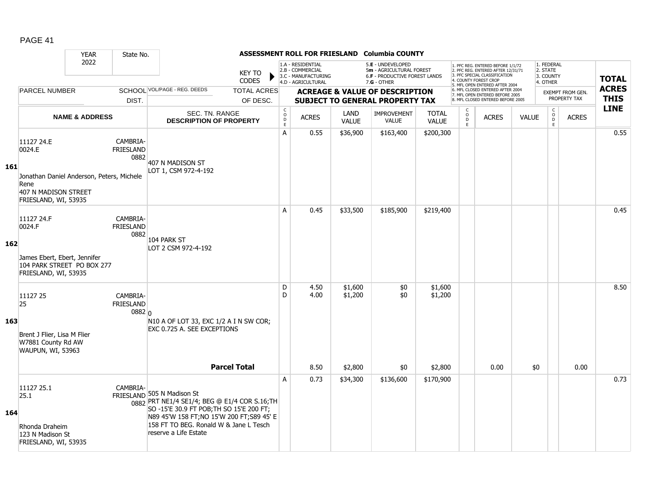|     |                                                                                                                           | <b>YEAR</b>               | State No.                              |                                                                                                                                                                                                                                         |                                |                                           |                                                                                    |                               | ASSESSMENT ROLL FOR FRIESLAND Columbia COUNTY                                                   |                               |                         |                                                                                                                                                                     |              |                                                 |                                         |                             |
|-----|---------------------------------------------------------------------------------------------------------------------------|---------------------------|----------------------------------------|-----------------------------------------------------------------------------------------------------------------------------------------------------------------------------------------------------------------------------------------|--------------------------------|-------------------------------------------|------------------------------------------------------------------------------------|-------------------------------|-------------------------------------------------------------------------------------------------|-------------------------------|-------------------------|---------------------------------------------------------------------------------------------------------------------------------------------------------------------|--------------|-------------------------------------------------|-----------------------------------------|-----------------------------|
|     |                                                                                                                           | 2022                      |                                        |                                                                                                                                                                                                                                         | <b>KEY TO</b><br><b>CODES</b>  |                                           | 1.A - RESIDENTIAL<br>2.B - COMMERCIAL<br>3.C - MANUFACTURING<br>4.D - AGRICULTURAL |                               | 5.E - UNDEVELOPED<br>5m - AGRICULTURAL FOREST<br>6.F - PRODUCTIVE FOREST LANDS<br>$7.G - OTHER$ |                               |                         | 1. PFC REG. ENTERED BEFORE 1/1/72<br>2. PFC REG. ENTERED AFTER 12/31/71<br>3. PFC SPECIAL CLASSIFICATION<br>4. COUNTY FOREST CROP<br>5. MFL OPEN ENTERED AFTER 2004 |              | 1. FEDERAL<br>2. STATE<br>3. COUNTY<br>4. OTHER |                                         | <b>TOTAL</b>                |
|     | <b>PARCEL NUMBER</b>                                                                                                      |                           | DIST.                                  | SCHOOL VOL/PAGE - REG. DEEDS                                                                                                                                                                                                            | <b>TOTAL ACRES</b><br>OF DESC. |                                           |                                                                                    |                               | <b>ACREAGE &amp; VALUE OF DESCRIPTION</b><br><b>SUBJECT TO GENERAL PROPERTY TAX</b>             |                               |                         | 6. MFL CLOSED ENTERED AFTER 2004<br>7. MFL OPEN ENTERED BEFORE 2005<br>8. MFL CLOSED ENTERED BEFORE 2005                                                            |              |                                                 | <b>EXEMPT FROM GEN.</b><br>PROPERTY TAX | <b>ACRES</b><br><b>THIS</b> |
|     |                                                                                                                           | <b>NAME &amp; ADDRESS</b> |                                        | SEC. TN. RANGE<br><b>DESCRIPTION OF PROPERTY</b>                                                                                                                                                                                        |                                | $\mathsf{C}$<br>$\circ$<br>D<br>$\bar{E}$ | <b>ACRES</b>                                                                       | LAND<br><b>VALUE</b>          | IMPROVEMENT<br><b>VALUE</b>                                                                     | <b>TOTAL</b><br><b>VALUE</b>  | C<br>$\circ$<br>D<br>E. | <b>ACRES</b>                                                                                                                                                        | <b>VALUE</b> | C<br>$\overline{0}$<br>E                        | <b>ACRES</b>                            | <b>LINE</b>                 |
| 161 | 11127 24.E<br>0024.E<br>Jonathan Daniel Anderson, Peters, Michele<br>Rene<br>407 N MADISON STREET<br>FRIESLAND, WI, 53935 |                           | CAMBRIA-<br><b>FRIESLAND</b><br>0882   | 407 N MADISON ST<br>LOT 1, CSM 972-4-192                                                                                                                                                                                                |                                | A                                         | 0.55                                                                               | \$36,900                      | \$163,400                                                                                       | \$200,300                     |                         |                                                                                                                                                                     |              |                                                 |                                         | 0.55                        |
| 162 | 11127 24.F<br>0024.F<br>James Ebert, Ebert, Jennifer<br>104 PARK STREET PO BOX 277<br>FRIESLAND, WI, 53935                |                           | CAMBRIA-<br><b>FRIESLAND</b><br>0882   | 104 PARK ST<br>LOT 2 CSM 972-4-192                                                                                                                                                                                                      |                                | A                                         | 0.45                                                                               | \$33,500                      | \$185,900                                                                                       | \$219,400                     |                         |                                                                                                                                                                     |              |                                                 |                                         | 0.45                        |
| 163 | 11127 25<br>25<br>Brent J Flier, Lisa M Flier<br>W7881 County Rd AW<br>WAUPUN, WI, 53963                                  |                           | CAMBRIA-<br><b>FRIESLAND</b><br>0882 0 | N10 A OF LOT 33, EXC 1/2 A I N SW COR;<br>EXC 0.725 A. SEE EXCEPTIONS                                                                                                                                                                   | <b>Parcel Total</b>            | D<br>D                                    | 4.50<br>4.00<br>8.50                                                               | \$1,600<br>\$1,200<br>\$2,800 | \$0<br>\$0<br>\$0                                                                               | \$1,600<br>\$1,200<br>\$2,800 |                         | 0.00                                                                                                                                                                | \$0          |                                                 | 0.00                                    | 8.50                        |
| 164 | 11127 25.1<br>25.1<br>Rhonda Draheim<br>123 N Madison St<br>FRIESLAND, WI, 53935                                          |                           | CAMBRIA-                               | FRIESLAND 505 N Madison St<br>0882 PRT NE1/4 SE1/4; BEG @ E1/4 COR S.16;TH<br>SO -15'E 30.9 FT POB; TH SO 15'E 200 FT;<br>N89 45'W 158 FT; NO 15'W 200 FT; S89 45' E<br>158 FT TO BEG. Ronald W & Jane L Tesch<br>reserve a Life Estate |                                | A                                         | 0.73                                                                               | \$34,300                      | \$136,600                                                                                       | \$170,900                     |                         |                                                                                                                                                                     |              |                                                 |                                         | 0.73                        |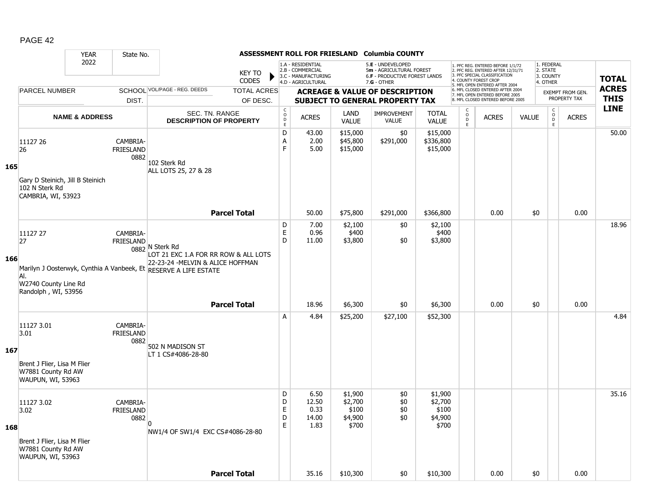|     |                                                                                              | <b>YEAR</b>                                                                   | State No.                            |                                                                                                                                                                  |                             |                                                          |                                                              |                                                 | ASSESSMENT ROLL FOR FRIESLAND Columbia COUNTY                                       |                                                 |                                     |                                                                                                                                   |              |                                                            |                                         |              |
|-----|----------------------------------------------------------------------------------------------|-------------------------------------------------------------------------------|--------------------------------------|------------------------------------------------------------------------------------------------------------------------------------------------------------------|-----------------------------|----------------------------------------------------------|--------------------------------------------------------------|-------------------------------------------------|-------------------------------------------------------------------------------------|-------------------------------------------------|-------------------------------------|-----------------------------------------------------------------------------------------------------------------------------------|--------------|------------------------------------------------------------|-----------------------------------------|--------------|
|     |                                                                                              | 2022<br><b>KEY TO</b><br>SCHOOL VOL/PAGE - REG. DEEDS<br><b>PARCEL NUMBER</b> |                                      |                                                                                                                                                                  |                             |                                                          | 1.A - RESIDENTIAL<br>2.B - COMMERCIAL<br>3.C - MANUFACTURING |                                                 | 5.E - UNDEVELOPED<br>5m - AGRICULTURAL FOREST<br>6.F - PRODUCTIVE FOREST LANDS      |                                                 |                                     | 1. PFC REG. ENTERED BEFORE 1/1/72<br>2. PFC REG. ENTERED AFTER 12/31/71<br>3. PFC SPECIAL CLASSIFICATION<br>4. COUNTY FOREST CROP |              | 1. FEDERAL<br>2. STATE<br>3. COUNTY                        |                                         | <b>TOTAL</b> |
|     |                                                                                              |                                                                               |                                      |                                                                                                                                                                  | CODES<br><b>TOTAL ACRES</b> |                                                          | 4.D - AGRICULTURAL                                           |                                                 | $7.G - OTHER$                                                                       |                                                 |                                     | 5. MFL OPEN ENTERED AFTER 2004<br>6. MFL CLOSED ENTERED AFTER 2004                                                                |              | 4. OTHER                                                   |                                         | <b>ACRES</b> |
|     |                                                                                              |                                                                               | DIST.                                |                                                                                                                                                                  | OF DESC.                    |                                                          |                                                              |                                                 | <b>ACREAGE &amp; VALUE OF DESCRIPTION</b><br><b>SUBJECT TO GENERAL PROPERTY TAX</b> |                                                 |                                     | 7. MFL OPEN ENTERED BEFORE 2005<br>8. MFL CLOSED ENTERED BEFORE 2005                                                              |              |                                                            | <b>EXEMPT FROM GEN.</b><br>PROPERTY TAX | <b>THIS</b>  |
|     |                                                                                              | <b>NAME &amp; ADDRESS</b>                                                     |                                      | SEC. TN. RANGE<br><b>DESCRIPTION OF PROPERTY</b>                                                                                                                 |                             | $\begin{matrix} 0 \\ 0 \\ D \end{matrix}$<br>$\mathsf E$ | <b>ACRES</b>                                                 | LAND<br><b>VALUE</b>                            | <b>IMPROVEMENT</b><br><b>VALUE</b>                                                  | <b>TOTAL</b><br><b>VALUE</b>                    | $\mathsf{C}$<br>$\overline{D}$<br>E | <b>ACRES</b>                                                                                                                      | <b>VALUE</b> | $\begin{smallmatrix} C\\ O\\ O\\ D \end{smallmatrix}$<br>E | <b>ACRES</b>                            | <b>LINE</b>  |
| 165 | 11127 26<br>26<br>Gary D Steinich, Jill B Steinich<br>102 N Sterk Rd<br>CAMBRIA, WI, 53923   |                                                                               | CAMBRIA-<br><b>FRIESLAND</b><br>0882 | 102 Sterk Rd<br>ALL LOTS 25, 27 & 28                                                                                                                             |                             | D<br>Α<br>F                                              | 43.00<br>2.00<br>5.00                                        | \$15,000<br>\$45,800<br>\$15,000                | \$0<br>\$291,000                                                                    | \$15,000<br>\$336,800<br>\$15,000               |                                     |                                                                                                                                   |              |                                                            |                                         | 50.00        |
|     |                                                                                              |                                                                               |                                      |                                                                                                                                                                  | <b>Parcel Total</b>         |                                                          | 50.00                                                        | \$75,800                                        | \$291,000                                                                           | \$366,800                                       |                                     | 0.00                                                                                                                              | \$0          |                                                            | 0.00                                    |              |
| 166 | 11127 27<br>27<br>Al.<br>W2740 County Line Rd<br>Randolph, WI, 53956                         |                                                                               | CAMBRIA-<br>FRIESLAND                | 0882 N Sterk Rd<br>LOT 21 EXC 1.A FOR RR ROW & ALL LOTS<br>22-23-24 - MELVIN & ALICE HOFFMAN<br>Marilyn J Oosterwyk, Cynthia A Vanbeek, Et RESERVE A LIFE ESTATE |                             | D<br>$\mathsf E$<br>D                                    | 7.00<br>0.96<br>11.00                                        | \$2,100<br>\$400<br>\$3,800                     | \$0<br>\$0                                                                          | \$2,100<br>\$400<br>\$3,800                     |                                     |                                                                                                                                   |              |                                                            |                                         | 18.96        |
|     |                                                                                              |                                                                               |                                      |                                                                                                                                                                  | <b>Parcel Total</b>         |                                                          | 18.96                                                        | \$6,300                                         | \$0                                                                                 | \$6,300                                         |                                     | 0.00                                                                                                                              | \$0          |                                                            | 0.00                                    |              |
| 167 | 11127 3.01<br>3.01<br>Brent J Flier, Lisa M Flier<br>W7881 County Rd AW<br>WAUPUN, WI, 53963 |                                                                               | CAMBRIA-<br><b>FRIESLAND</b><br>0882 | 502 N MADISON ST<br>LT 1 CS#4086-28-80                                                                                                                           |                             | A                                                        | 4.84                                                         | \$25,200                                        | \$27,100                                                                            | \$52,300                                        |                                     |                                                                                                                                   |              |                                                            |                                         | 4.84         |
| 168 | 11127 3.02<br>3.02<br>Brent J Flier, Lisa M Flier<br>W7881 County Rd AW<br>WAUPUN, WI, 53963 |                                                                               | CAMBRIA-<br><b>FRIESLAND</b><br>0882 | $\overline{0}$<br>NW1/4 OF SW1/4 EXC CS#4086-28-80                                                                                                               |                             | D<br>D<br>E<br>D<br>E                                    | 6.50<br>12.50<br>0.33<br>14.00<br>1.83                       | \$1,900<br>\$2,700<br>\$100<br>\$4,900<br>\$700 | \$0<br>\$0<br>\$0<br>$$0$$                                                          | \$1,900<br>\$2,700<br>\$100<br>\$4,900<br>\$700 |                                     |                                                                                                                                   |              |                                                            |                                         | 35.16        |
|     |                                                                                              |                                                                               |                                      |                                                                                                                                                                  | <b>Parcel Total</b>         |                                                          | 35.16                                                        | \$10,300                                        | \$0                                                                                 | \$10,300                                        |                                     | 0.00                                                                                                                              | \$0          |                                                            | 0.00                                    |              |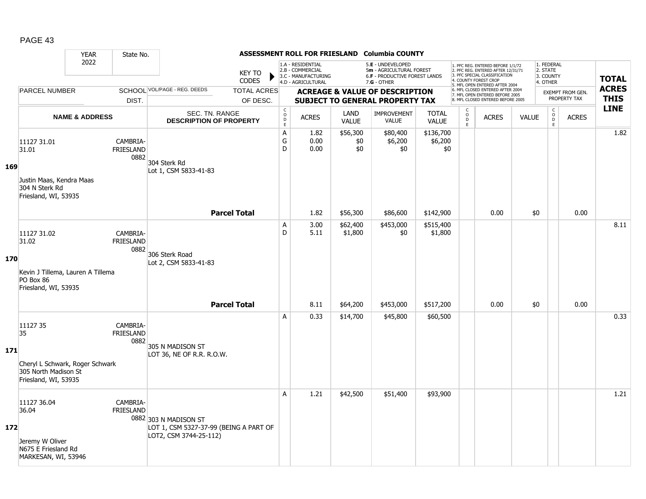|     |                                                                                                   | <b>YEAR</b>               | State No.                            |                                                                                           |                                |                                                              |                                                                                    |                             | ASSESSMENT ROLL FOR FRIESLAND Columbia COUNTY                                                   |                              |                                    |                                                                                                                                                                     |              |                                                 |                                         |                             |
|-----|---------------------------------------------------------------------------------------------------|---------------------------|--------------------------------------|-------------------------------------------------------------------------------------------|--------------------------------|--------------------------------------------------------------|------------------------------------------------------------------------------------|-----------------------------|-------------------------------------------------------------------------------------------------|------------------------------|------------------------------------|---------------------------------------------------------------------------------------------------------------------------------------------------------------------|--------------|-------------------------------------------------|-----------------------------------------|-----------------------------|
|     |                                                                                                   | 2022                      |                                      |                                                                                           | <b>KEY TO</b><br><b>CODES</b>  |                                                              | 1.A - RESIDENTIAL<br>2.B - COMMERCIAL<br>3.C - MANUFACTURING<br>4.D - AGRICULTURAL |                             | 5.E - UNDEVELOPED<br>5m - AGRICULTURAL FOREST<br>6.F - PRODUCTIVE FOREST LANDS<br>$7.G - OTHER$ |                              |                                    | 1. PFC REG. ENTERED BEFORE 1/1/72<br>2. PFC REG. ENTERED AFTER 12/31/71<br>3. PFC SPECIAL CLASSIFICATION<br>4. COUNTY FOREST CROP<br>5. MFL OPEN ENTERED AFTER 2004 |              | 1. FEDERAL<br>2. STATE<br>3. COUNTY<br>4. OTHER |                                         | <b>TOTAL</b>                |
|     | <b>PARCEL NUMBER</b>                                                                              |                           | DIST.                                | SCHOOL VOL/PAGE - REG. DEEDS                                                              | <b>TOTAL ACRES</b><br>OF DESC. |                                                              |                                                                                    |                             | <b>ACREAGE &amp; VALUE OF DESCRIPTION</b><br><b>SUBJECT TO GENERAL PROPERTY TAX</b>             |                              |                                    | 6. MFL CLOSED ENTERED AFTER 2004<br>7. MFL OPEN ENTERED BEFORE 2005<br>8. MFL CLOSED ENTERED BEFORE 2005                                                            |              |                                                 | <b>EXEMPT FROM GEN.</b><br>PROPERTY TAX | <b>ACRES</b><br><b>THIS</b> |
|     |                                                                                                   | <b>NAME &amp; ADDRESS</b> |                                      | SEC. TN. RANGE<br><b>DESCRIPTION OF PROPERTY</b>                                          |                                | $\mathsf{C}$<br>$\overset{\circ}{\mathsf{D}}$<br>$\mathsf E$ | <b>ACRES</b>                                                                       | <b>LAND</b><br><b>VALUE</b> | <b>IMPROVEMENT</b><br><b>VALUE</b>                                                              | <b>TOTAL</b><br><b>VALUE</b> | C<br>$_\mathrm{D}^\mathrm{O}$<br>E | <b>ACRES</b>                                                                                                                                                        | <b>VALUE</b> | $\mathsf{C}$<br>$\overline{0}$<br>E             | <b>ACRES</b>                            | <b>LINE</b>                 |
| 169 | 11127 31.01<br>31.01<br>Justin Maas, Kendra Maas<br>304 N Sterk Rd                                |                           | CAMBRIA-<br><b>FRIESLAND</b><br>0882 | 304 Sterk Rd<br>Lot 1, CSM 5833-41-83                                                     |                                | $\mathsf A$<br>G<br>D                                        | 1.82<br>0.00<br>0.00                                                               | \$56,300<br>\$0<br>\$0      | \$80,400<br>\$6,200<br>\$0                                                                      | \$136,700<br>\$6,200<br>\$0  |                                    |                                                                                                                                                                     |              |                                                 |                                         | 1.82                        |
|     | Friesland, WI, 53935                                                                              |                           |                                      | <b>Parcel Total</b>                                                                       |                                |                                                              | 1.82                                                                               | \$56,300                    | \$86,600                                                                                        | \$142,900                    |                                    | 0.00                                                                                                                                                                | \$0          |                                                 | 0.00                                    |                             |
| 170 | 11127 31.02<br>31.02                                                                              |                           | CAMBRIA-<br><b>FRIESLAND</b><br>0882 | 306 Sterk Road<br>Lot 2, CSM 5833-41-83                                                   |                                | Α<br>D                                                       | 3.00<br>5.11                                                                       | \$62,400<br>\$1,800         | \$453,000<br>\$0                                                                                | \$515,400<br>\$1,800         |                                    |                                                                                                                                                                     |              |                                                 |                                         | 8.11                        |
|     | Kevin J Tillema, Lauren A Tillema<br>PO Box 86<br>Friesland, WI, 53935                            |                           |                                      | <b>Parcel Total</b>                                                                       |                                |                                                              | 8.11                                                                               | \$64,200                    | \$453,000                                                                                       | \$517,200                    |                                    | 0.00                                                                                                                                                                | \$0          |                                                 | 0.00                                    |                             |
| 171 | 11127 35<br>35<br>Cheryl L Schwark, Roger Schwark<br>305 North Madison St<br>Friesland, WI, 53935 |                           | CAMBRIA-<br><b>FRIESLAND</b><br>0882 | 305 N MADISON ST<br>LOT 36, NE OF R.R. R.O.W.                                             |                                | A                                                            | 0.33                                                                               | \$14,700                    | \$45,800                                                                                        | \$60,500                     |                                    |                                                                                                                                                                     |              |                                                 |                                         | 0.33                        |
| 172 | 11127 36.04<br>36.04<br>Jeremy W Oliver<br>N675 E Friesland Rd<br>MARKESAN, WI, 53946             |                           | CAMBRIA-<br><b>FRIESLAND</b>         | 0882 303 N MADISON ST<br>LOT 1, CSM 5327-37-99 (BEING A PART OF<br>LOT2, CSM 3744-25-112) |                                | A                                                            | 1.21                                                                               | \$42,500                    | \$51,400                                                                                        | \$93,900                     |                                    |                                                                                                                                                                     |              |                                                 |                                         | 1.21                        |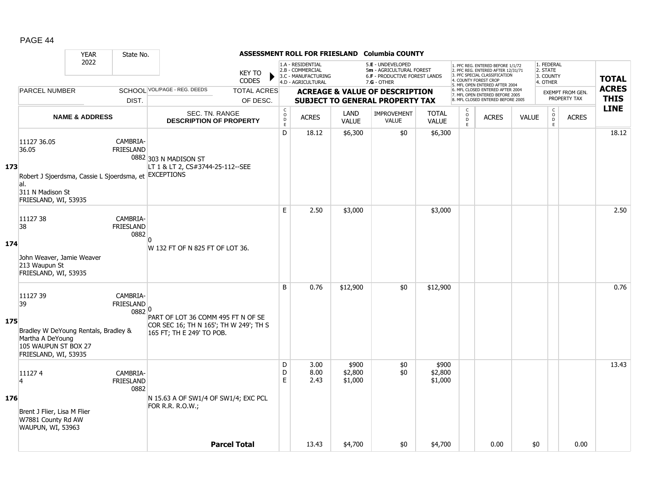|     |                                                                                                                                  | <b>YEAR</b>               | State No.                             |                                                                                                           |                        |                              |                                                                                    |                             | ASSESSMENT ROLL FOR FRIESLAND Columbia COUNTY                                                   |                              |                          |                                                                                                                                           |              |                                                 |                         |                            |
|-----|----------------------------------------------------------------------------------------------------------------------------------|---------------------------|---------------------------------------|-----------------------------------------------------------------------------------------------------------|------------------------|------------------------------|------------------------------------------------------------------------------------|-----------------------------|-------------------------------------------------------------------------------------------------|------------------------------|--------------------------|-------------------------------------------------------------------------------------------------------------------------------------------|--------------|-------------------------------------------------|-------------------------|----------------------------|
|     |                                                                                                                                  | 2022                      |                                       |                                                                                                           | KEY TO<br><b>CODES</b> |                              | 1.A - RESIDENTIAL<br>2.B - COMMERCIAL<br>3.C - MANUFACTURING<br>4.D - AGRICULTURAL |                             | 5.E - UNDEVELOPED<br>5m - AGRICULTURAL FOREST<br>6.F - PRODUCTIVE FOREST LANDS<br>$7.G - OTHER$ |                              | 4. COUNTY FOREST CROP    | . PFC REG. ENTERED BEFORE 1/1/72<br>2. PFC REG. ENTERED AFTER 12/31/71<br>3. PFC SPECIAL CLASSIFICATION<br>5. MFL OPEN ENTERED AFTER 2004 |              | 1. FEDERAL<br>2. STATE<br>3. COUNTY<br>4. OTHER |                         | <b>TOTAL</b>               |
|     | <b>PARCEL NUMBER</b>                                                                                                             |                           |                                       | SCHOOL VOL/PAGE - REG. DEEDS                                                                              | <b>TOTAL ACRES</b>     |                              |                                                                                    |                             | <b>ACREAGE &amp; VALUE OF DESCRIPTION</b>                                                       |                              |                          | 6. MFL CLOSED ENTERED AFTER 2004<br>7. MFL OPEN ENTERED BEFORE 2005                                                                       |              |                                                 | <b>EXEMPT FROM GEN.</b> | <b>ACRES</b>               |
|     |                                                                                                                                  |                           | DIST.                                 |                                                                                                           | OF DESC.               |                              |                                                                                    |                             | <b>SUBJECT TO GENERAL PROPERTY TAX</b>                                                          |                              |                          | 8. MFL CLOSED ENTERED BEFORE 2005                                                                                                         |              |                                                 | PROPERTY TAX            | <b>THIS</b><br><b>LINE</b> |
|     |                                                                                                                                  | <b>NAME &amp; ADDRESS</b> |                                       | SEC. TN. RANGE<br><b>DESCRIPTION OF PROPERTY</b>                                                          |                        | $_{\rm o}^{\rm c}$<br>D<br>E | <b>ACRES</b>                                                                       | LAND<br><b>VALUE</b>        | <b>IMPROVEMENT</b><br><b>VALUE</b>                                                              | <b>TOTAL</b><br><b>VALUE</b> | C<br>$\overline{0}$<br>E | <b>ACRES</b>                                                                                                                              | <b>VALUE</b> | $\begin{matrix} 0 \\ 0 \\ 0 \end{matrix}$<br>E  | <b>ACRES</b>            |                            |
| 173 | 11127 36.05<br>36.05<br>Robert J Sjoerdsma, Cassie L Sjoerdsma, et EXCEPTIONS<br>al.<br>311 N Madison St<br>FRIESLAND, WI, 53935 |                           | CAMBRIA-<br><b>FRIESLAND</b>          | 0882 303 N MADISON ST<br>LT 1 & LT 2, CS#3744-25-112--SEE                                                 |                        | D                            | 18.12                                                                              | \$6,300                     | \$0                                                                                             | \$6,300                      |                          |                                                                                                                                           |              |                                                 |                         | 18.12                      |
| 174 | 11127 38<br>38<br>John Weaver, Jamie Weaver<br>213 Waupun St<br>FRIESLAND, WI, 53935                                             |                           | CAMBRIA-<br><b>FRIESLAND</b><br>0882  | W 132 FT OF N 825 FT OF LOT 36.                                                                           |                        | E                            | 2.50                                                                               | \$3,000                     |                                                                                                 | \$3,000                      |                          |                                                                                                                                           |              |                                                 |                         | 2.50                       |
| 175 | 11127 39<br>39<br>Bradley W DeYoung Rentals, Bradley &<br>Martha A DeYoung<br>105 WAUPUN ST BOX 27<br>FRIESLAND, WI, 53935       |                           | CAMBRIA-<br><b>FRIESLAND</b><br>08820 | PART OF LOT 36 COMM 495 FT N OF SE<br>COR SEC 16; TH N 165'; TH W 249'; TH S<br>165 FT; TH E 249' TO POB. |                        | B                            | 0.76                                                                               | \$12,900                    | \$0                                                                                             | \$12,900                     |                          |                                                                                                                                           |              |                                                 |                         | 0.76                       |
| 176 | 111274<br>$\overline{4}$<br>Brent J Flier, Lisa M Flier<br>W7881 County Rd AW<br>WAUPUN, WI, 53963                               |                           | CAMBRIA-<br><b>FRIESLAND</b><br>0882  | N 15.63 A OF SW1/4 OF SW1/4; EXC PCL<br>FOR R.R. R.O.W.;                                                  |                        | D<br>D<br>E                  | 3.00<br>8.00<br>2.43                                                               | \$900<br>\$2,800<br>\$1,000 | \$0<br>\$0                                                                                      | \$900<br>\$2,800<br>\$1,000  |                          |                                                                                                                                           |              |                                                 |                         | 13.43                      |
|     |                                                                                                                                  |                           |                                       |                                                                                                           | <b>Parcel Total</b>    |                              | 13.43                                                                              | \$4,700                     | \$0                                                                                             | \$4,700                      |                          | 0.00                                                                                                                                      | \$0          |                                                 | 0.00                    |                            |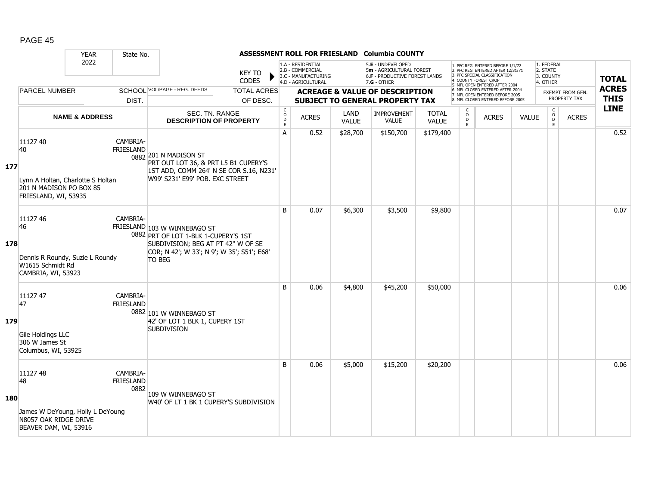|     |                                                                                                        | <b>YEAR</b>               | State No.                            |                                                                                                                                                                           |                                |                                                |                                                                                    |               | ASSESSMENT ROLL FOR FRIESLAND Columbia COUNTY                                                   |                              |                          |                                                                                                                                                                     |              |                                                 |                                  |                             |
|-----|--------------------------------------------------------------------------------------------------------|---------------------------|--------------------------------------|---------------------------------------------------------------------------------------------------------------------------------------------------------------------------|--------------------------------|------------------------------------------------|------------------------------------------------------------------------------------|---------------|-------------------------------------------------------------------------------------------------|------------------------------|--------------------------|---------------------------------------------------------------------------------------------------------------------------------------------------------------------|--------------|-------------------------------------------------|----------------------------------|-----------------------------|
|     |                                                                                                        | 2022                      |                                      |                                                                                                                                                                           | <b>KEY TO</b><br><b>CODES</b>  |                                                | 1.A - RESIDENTIAL<br>2.B - COMMERCIAL<br>3.C - MANUFACTURING<br>4.D - AGRICULTURAL |               | 5.E - UNDEVELOPED<br>5m - AGRICULTURAL FOREST<br>6.F - PRODUCTIVE FOREST LANDS<br>$7.G - OTHER$ |                              |                          | 1. PFC REG. ENTERED BEFORE 1/1/72<br>2. PFC REG. ENTERED AFTER 12/31/71<br>3. PFC SPECIAL CLASSIFICATION<br>4. COUNTY FOREST CROF<br>5. MFL OPEN ENTERED AFTER 2004 |              | 1. FEDERAL<br>2. STATE<br>3. COUNTY<br>4. OTHER |                                  | <b>TOTAL</b>                |
|     | <b>PARCEL NUMBER</b>                                                                                   |                           | DIST.                                | SCHOOL VOL/PAGE - REG. DEEDS                                                                                                                                              | <b>TOTAL ACRES</b><br>OF DESC. |                                                |                                                                                    |               | <b>ACREAGE &amp; VALUE OF DESCRIPTION</b><br><b>SUBJECT TO GENERAL PROPERTY TAX</b>             |                              |                          | 6. MFL CLOSED ENTERED AFTER 2004<br>7. MFL OPEN ENTERED BEFORE 2005<br>8. MFL CLOSED ENTERED BEFORE 2005                                                            |              |                                                 | EXEMPT FROM GEN.<br>PROPERTY TAX | <b>ACRES</b><br><b>THIS</b> |
|     |                                                                                                        | <b>NAME &amp; ADDRESS</b> |                                      | SEC. TN. RANGE<br><b>DESCRIPTION OF PROPERTY</b>                                                                                                                          |                                | $\begin{matrix} 0 \\ 0 \\ D \end{matrix}$<br>E | <b>ACRES</b>                                                                       | LAND<br>VALUE | <b>IMPROVEMENT</b><br><b>VALUE</b>                                                              | <b>TOTAL</b><br><b>VALUE</b> | C<br>$\overline{0}$<br>E | <b>ACRES</b>                                                                                                                                                        | <b>VALUE</b> | $\begin{matrix} 0 \\ 0 \\ 0 \end{matrix}$<br>E  | <b>ACRES</b>                     | <b>LINE</b>                 |
| 177 | 11127 40<br>40<br>Lynn A Holtan, Charlotte S Holtan<br>201 N MADISON PO BOX 85<br>FRIESLAND, WI, 53935 |                           | CAMBRIA-<br><b>FRIESLAND</b>         | 0882 201 N MADISON ST<br>PRT OUT LOT 36, & PRT L5 B1 CUPERY'S<br>1ST ADD, COMM 264' N SE COR S.16, N231'<br>W99' S231' E99' POB. EXC STREET                               |                                | A                                              | 0.52                                                                               | \$28,700      | \$150,700                                                                                       | \$179,400                    |                          |                                                                                                                                                                     |              |                                                 |                                  | 0.52                        |
| 178 | 11127 46<br>46<br>Dennis R Roundy, Suzie L Roundy<br>W1615 Schmidt Rd<br>CAMBRIA, WI, 53923            |                           | CAMBRIA-                             | FRIESLAND 103 W WINNEBAGO ST<br>0882 PRT OF LOT 1-BLK 1-CUPERY'S 1ST<br>SUBDIVISION; BEG AT PT 42" W OF SE<br>COR; N 42'; W 33'; N 9'; W 35'; S51'; E68'<br><b>TO BEG</b> |                                | <sub>B</sub>                                   | 0.07                                                                               | \$6,300       | \$3,500                                                                                         | \$9,800                      |                          |                                                                                                                                                                     |              |                                                 |                                  | 0.07                        |
| 179 | 11127 47<br>47<br>Gile Holdings LLC<br>306 W James St<br>Columbus, WI, 53925                           |                           | CAMBRIA-<br><b>FRIESLAND</b>         | 0882 101 W WINNEBAGO ST<br>42' OF LOT 1 BLK 1, CUPERY 1ST<br><b>SUBDIVISION</b>                                                                                           |                                | B                                              | 0.06                                                                               | \$4,800       | \$45,200                                                                                        | \$50,000                     |                          |                                                                                                                                                                     |              |                                                 |                                  | 0.06                        |
| 180 | 1112748<br>48<br>James W DeYoung, Holly L DeYoung<br>N8057 OAK RIDGE DRIVE<br>BEAVER DAM, WI, 53916    |                           | CAMBRIA-<br><b>FRIESLAND</b><br>0882 | 109 W WINNEBAGO ST<br>W40' OF LT 1 BK 1 CUPERY'S SUBDIVISION                                                                                                              |                                | B                                              | 0.06                                                                               | \$5,000       | \$15,200                                                                                        | \$20,200                     |                          |                                                                                                                                                                     |              |                                                 |                                  | 0.06                        |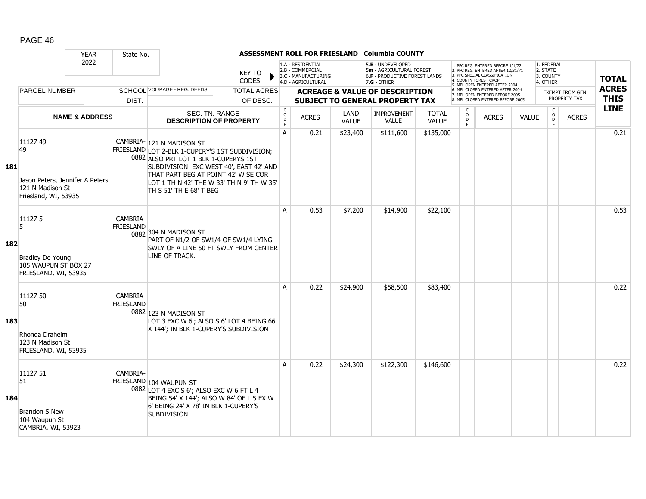|            |                                                                                               | <b>YEAR</b>               | State No.                    |                                                                                                                                                                                                                                                                                |                                |                               |                                                                                    |          | ASSESSMENT ROLL FOR FRIESLAND Columbia COUNTY                                                        |              |                                                          |                                                                                                                                                                     |              |                                                 |                                  |                             |
|------------|-----------------------------------------------------------------------------------------------|---------------------------|------------------------------|--------------------------------------------------------------------------------------------------------------------------------------------------------------------------------------------------------------------------------------------------------------------------------|--------------------------------|-------------------------------|------------------------------------------------------------------------------------|----------|------------------------------------------------------------------------------------------------------|--------------|----------------------------------------------------------|---------------------------------------------------------------------------------------------------------------------------------------------------------------------|--------------|-------------------------------------------------|----------------------------------|-----------------------------|
|            |                                                                                               | 2022                      |                              |                                                                                                                                                                                                                                                                                | <b>KEY TO</b><br>CODES         |                               | 1.A - RESIDENTIAL<br>2.B - COMMERCIAL<br>3.C - MANUFACTURING<br>4.D - AGRICULTURAL |          | 5.E - UNDEVELOPED<br>5m - AGRICULTURAL FOREST<br><b>6.F - PRODUCTIVE FOREST LANDS</b><br>7.G - OTHER |              |                                                          | 1. PFC REG. ENTERED BEFORE 1/1/72<br>2. PFC REG. ENTERED AFTER 12/31/71<br>3. PFC SPECIAL CLASSIFICATION<br>4. COUNTY FOREST CROP<br>5. MFL OPEN ENTERED AFTER 2004 |              | 1. FEDERAL<br>2. STATE<br>3. COUNTY<br>4. OTHER |                                  | <b>TOTAL</b>                |
|            | <b>PARCEL NUMBER</b>                                                                          |                           | DIST.                        | SCHOOL VOL/PAGE - REG. DEEDS                                                                                                                                                                                                                                                   | <b>TOTAL ACRES</b><br>OF DESC. |                               |                                                                                    |          | <b>ACREAGE &amp; VALUE OF DESCRIPTION</b><br><b>SUBJECT TO GENERAL PROPERTY TAX</b>                  |              |                                                          | 6. MFL CLOSED ENTERED AFTER 2004<br>7. MFL OPEN ENTERED BEFORE 2005<br>8. MFL CLOSED ENTERED BEFORE 2005                                                            |              |                                                 | EXEMPT FROM GEN.<br>PROPERTY TAX | <b>ACRES</b><br><b>THIS</b> |
|            |                                                                                               |                           |                              |                                                                                                                                                                                                                                                                                |                                | $\mathsf{C}$                  |                                                                                    | LAND     |                                                                                                      | <b>TOTAL</b> |                                                          |                                                                                                                                                                     |              |                                                 |                                  | <b>LINE</b>                 |
|            |                                                                                               | <b>NAME &amp; ADDRESS</b> |                              | SEC. TN. RANGE<br><b>DESCRIPTION OF PROPERTY</b>                                                                                                                                                                                                                               |                                | $\overline{0}$<br>$\mathsf E$ | <b>ACRES</b>                                                                       | VALUE    | <b>IMPROVEMENT</b><br><b>VALUE</b>                                                                   | <b>VALUE</b> | $\begin{smallmatrix} C \\ O \\ D \end{smallmatrix}$<br>E | <b>ACRES</b>                                                                                                                                                        | <b>VALUE</b> | $\begin{matrix} 0 \\ 0 \\ 0 \end{matrix}$<br>E  | <b>ACRES</b>                     |                             |
| <b>181</b> | 11127 49<br>49<br>Jason Peters, Jennifer A Peters<br>121 N Madison St<br>Friesland, WI, 53935 |                           |                              | CAMBRIA- 121 N MADISON ST<br>FRIESLAND LOT 2-BLK 1-CUPERY'S 1ST SUBDIVISION;<br>0882 ALSO PRT LOT 1 BLK 1-CUPERYS 1ST<br>SUBDIVISION EXC WEST 40', EAST 42' AND<br>THAT PART BEG AT POINT 42' W SE COR<br>LOT 1 TH N 42' THE W 33' TH N 9' TH W 35'<br>TH S 51' TH E 68' T BEG |                                | A                             | 0.21                                                                               | \$23,400 | \$111,600                                                                                            | \$135,000    |                                                          |                                                                                                                                                                     |              |                                                 |                                  | 0.21                        |
| 182        | 111275<br>5<br>Bradley De Young<br>105 WAUPUN ST BOX 27<br>FRIESLAND, WI, 53935               |                           | CAMBRIA-<br><b>FRIESLAND</b> | 0882 304 N MADISON ST<br>PART OF N1/2 OF SW1/4 OF SW1/4 LYING<br>SWLY OF A LINE 50 FT SWLY FROM CENTER<br>LINE OF TRACK.                                                                                                                                                       |                                | A                             | 0.53                                                                               | \$7,200  | \$14,900                                                                                             | \$22,100     |                                                          |                                                                                                                                                                     |              |                                                 |                                  | 0.53                        |
| 183        | 11127 50<br>50<br>Rhonda Draheim<br>123 N Madison St<br>FRIESLAND, WI, 53935                  |                           | CAMBRIA-<br><b>FRIESLAND</b> | 0882 123 N MADISON ST<br>LOT 3 EXC W 6'; ALSO S 6' LOT 4 BEING 66'<br>X 144'; IN BLK 1-CUPERY'S SUBDIVISION                                                                                                                                                                    |                                | A                             | 0.22                                                                               | \$24,900 | \$58,500                                                                                             | \$83,400     |                                                          |                                                                                                                                                                     |              |                                                 |                                  | 0.22                        |
| 184        | 11127 51<br>51<br><b>Brandon S New</b><br>104 Waupun St<br>CAMBRIA, WI, 53923                 |                           | CAMBRIA-                     | FRIESLAND 104 WAUPUN ST<br>0882 LOT 4 EXC S 6'; ALSO EXC W 6 FT L 4<br>BEING 54' X 144'; ALSO W 84' OF L 5 EX W<br>6' BEING 24' X 78' IN BLK 1-CUPERY'S<br><b>SUBDIVISION</b>                                                                                                  |                                | A                             | 0.22                                                                               | \$24,300 | \$122,300                                                                                            | \$146,600    |                                                          |                                                                                                                                                                     |              |                                                 |                                  | 0.22                        |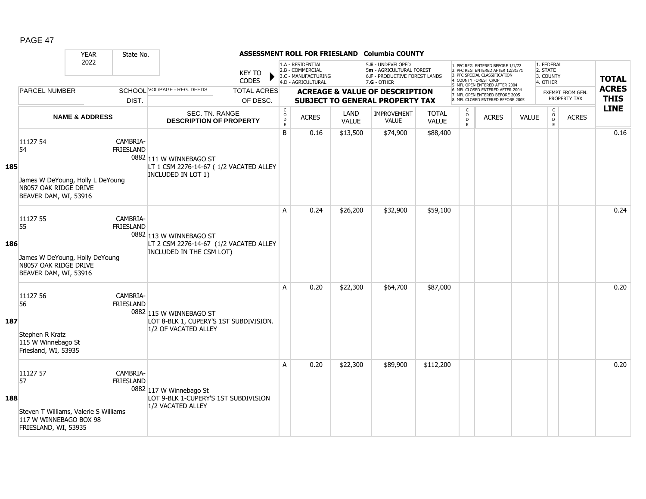|     |                                                                                                           | <b>YEAR</b>               | State No.                    |                                                                                               |                                |                   |                                                                                    |                      | ASSESSMENT ROLL FOR FRIESLAND Columbia COUNTY                                                   |                              |                     |                                                                                                                                            |              |                                                 |                                         |                             |
|-----|-----------------------------------------------------------------------------------------------------------|---------------------------|------------------------------|-----------------------------------------------------------------------------------------------|--------------------------------|-------------------|------------------------------------------------------------------------------------|----------------------|-------------------------------------------------------------------------------------------------|------------------------------|---------------------|--------------------------------------------------------------------------------------------------------------------------------------------|--------------|-------------------------------------------------|-----------------------------------------|-----------------------------|
|     |                                                                                                           | 2022<br>DIST.             |                              |                                                                                               | <b>KEY TO</b><br><b>CODES</b>  |                   | 1.A - RESIDENTIAL<br>2.B - COMMERCIAL<br>3.C - MANUFACTURING<br>4.D - AGRICULTURAL |                      | 5.E - UNDEVELOPED<br>5m - AGRICULTURAL FOREST<br>6.F - PRODUCTIVE FOREST LANDS<br>$7.G - OTHER$ |                              |                     | 1. PFC REG. ENTERED BEFORE 1/1/72<br>2. PFC REG. ENTERED AFTER 12/31/71<br>3. PFC SPECIAL CLASSIFICATION<br>4. COUNTY FOREST CROP          |              | 1. FEDERAL<br>2. STATE<br>3. COUNTY<br>4. OTHER |                                         | <b>TOTAL</b>                |
|     | <b>PARCEL NUMBER</b>                                                                                      |                           |                              | SCHOOL VOL/PAGE - REG. DEEDS                                                                  | <b>TOTAL ACRES</b><br>OF DESC. |                   |                                                                                    |                      | <b>ACREAGE &amp; VALUE OF DESCRIPTION</b><br><b>SUBJECT TO GENERAL PROPERTY TAX</b>             |                              |                     | 5. MFL OPEN ENTERED AFTER 2004<br>6. MFL CLOSED ENTERED AFTER 2004<br>7. MFL OPEN ENTERED BEFORE 2005<br>8. MFL CLOSED ENTERED BEFORE 2005 |              |                                                 | <b>EXEMPT FROM GEN.</b><br>PROPERTY TAX | <b>ACRES</b><br><b>THIS</b> |
|     |                                                                                                           |                           |                              |                                                                                               |                                | $\mathsf{C}$      |                                                                                    |                      |                                                                                                 |                              | C                   |                                                                                                                                            |              |                                                 |                                         | <b>LINE</b>                 |
|     |                                                                                                           | <b>NAME &amp; ADDRESS</b> |                              | <b>SEC. TN. RANGE</b><br><b>DESCRIPTION OF PROPERTY</b>                                       |                                | $\circ$<br>D<br>E | <b>ACRES</b>                                                                       | LAND<br><b>VALUE</b> | <b>IMPROVEMENT</b><br><b>VALUE</b>                                                              | <b>TOTAL</b><br><b>VALUE</b> | $\overline{0}$<br>E | <b>ACRES</b>                                                                                                                               | <b>VALUE</b> | $\begin{matrix} 0 \\ 0 \\ 0 \end{matrix}$<br>E  | <b>ACRES</b>                            |                             |
| 185 | 11127 54<br>54<br>James W DeYoung, Holly L DeYoung<br>N8057 OAK RIDGE DRIVE<br>BEAVER DAM, WI, 53916      |                           | CAMBRIA-<br><b>FRIESLAND</b> | 0882 111 W WINNEBAGO ST<br>LT 1 CSM 2276-14-67 (1/2 VACATED ALLEY<br>INCLUDED IN LOT 1)       |                                | B                 | 0.16                                                                               | \$13,500             | \$74,900                                                                                        | \$88,400                     |                     |                                                                                                                                            |              |                                                 |                                         | 0.16                        |
| 186 | 11127 55<br>55<br>James W DeYoung, Holly DeYoung<br>N8057 OAK RIDGE DRIVE<br>BEAVER DAM, WI, 53916        |                           | CAMBRIA-<br><b>FRIESLAND</b> | 0882 113 W WINNEBAGO ST<br>LT 2 CSM 2276-14-67 (1/2 VACATED ALLEY<br>INCLUDED IN THE CSM LOT) |                                | A                 | 0.24                                                                               | \$26,200             | \$32,900                                                                                        | \$59,100                     |                     |                                                                                                                                            |              |                                                 |                                         | 0.24                        |
| 187 | 11127 56<br>56<br>Stephen R Kratz<br>115 W Winnebago St<br>Friesland, WI, 53935                           |                           | CAMBRIA-<br><b>FRIESLAND</b> | 0882 115 W WINNEBAGO ST<br>LOT 8-BLK 1, CUPERY'S 1ST SUBDIVISION.<br>1/2 OF VACATED ALLEY     |                                | A                 | 0.20                                                                               | \$22,300             | \$64,700                                                                                        | \$87,000                     |                     |                                                                                                                                            |              |                                                 |                                         | 0.20                        |
| 188 | 11127 57<br>57<br>Steven T Williams, Valerie S Williams<br>117 W WINNEBAGO BOX 98<br>FRIESLAND, WI, 53935 |                           | CAMBRIA-<br><b>FRIESLAND</b> | 0882 117 W Winnebago St<br>LOT 9-BLK 1-CUPERY'S 1ST SUBDIVISION<br>1/2 VACATED ALLEY          |                                | A                 | 0.20                                                                               | \$22,300             | \$89,900                                                                                        | \$112,200                    |                     |                                                                                                                                            |              |                                                 |                                         | 0.20                        |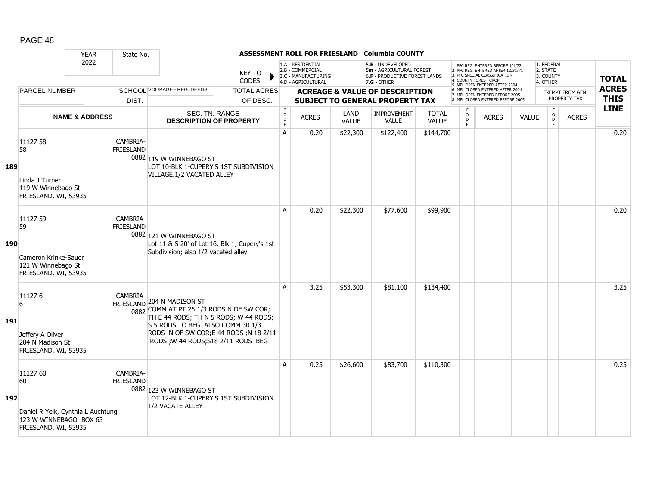|            |                                                                                                       | <b>YEAR</b>               | State No.                    |                                                                                                                                                                                                                                       |                                |                                                          |                                                                                    |                      | ASSESSMENT ROLL FOR FRIESLAND Columbia COUNTY                                                        |                              |                          |                                                                                                                                                                     |              |                                                 |                                  |                             |
|------------|-------------------------------------------------------------------------------------------------------|---------------------------|------------------------------|---------------------------------------------------------------------------------------------------------------------------------------------------------------------------------------------------------------------------------------|--------------------------------|----------------------------------------------------------|------------------------------------------------------------------------------------|----------------------|------------------------------------------------------------------------------------------------------|------------------------------|--------------------------|---------------------------------------------------------------------------------------------------------------------------------------------------------------------|--------------|-------------------------------------------------|----------------------------------|-----------------------------|
|            |                                                                                                       | 2022                      |                              |                                                                                                                                                                                                                                       | <b>KEY TO</b><br><b>CODES</b>  |                                                          | 1.A - RESIDENTIAL<br>2.B - COMMERCIAL<br>3.C - MANUFACTURING<br>4.D - AGRICULTURAL |                      | 5.E - UNDEVELOPED<br>5m - AGRICULTURAL FOREST<br><b>6.F - PRODUCTIVE FOREST LANDS</b><br>7.G - OTHER |                              |                          | 1. PFC REG. ENTERED BEFORE 1/1/72<br>2. PFC REG. ENTERED AFTER 12/31/71<br>3. PFC SPECIAL CLASSIFICATION<br>4. COUNTY FOREST CROP<br>5. MFL OPEN ENTERED AFTER 2004 |              | 1. FEDERAL<br>2. STATE<br>3. COUNTY<br>4. OTHER |                                  | <b>TOTAL</b>                |
|            | <b>PARCEL NUMBER</b>                                                                                  |                           | DIST.                        | SCHOOL VOL/PAGE - REG. DEEDS                                                                                                                                                                                                          | <b>TOTAL ACRES</b><br>OF DESC. |                                                          |                                                                                    |                      | <b>ACREAGE &amp; VALUE OF DESCRIPTION</b><br><b>SUBJECT TO GENERAL PROPERTY TAX</b>                  |                              |                          | 6. MFL CLOSED ENTERED AFTER 2004<br>7. MFL OPEN ENTERED BEFORE 2005<br>8. MFL CLOSED ENTERED BEFORE 2005                                                            |              |                                                 | EXEMPT FROM GEN.<br>PROPERTY TAX | <b>ACRES</b><br><b>THIS</b> |
|            |                                                                                                       | <b>NAME &amp; ADDRESS</b> |                              | SEC. TN. RANGE<br><b>DESCRIPTION OF PROPERTY</b>                                                                                                                                                                                      |                                | $\begin{matrix} 0 \\ 0 \\ D \end{matrix}$<br>$\mathsf E$ | <b>ACRES</b>                                                                       | LAND<br><b>VALUE</b> | <b>IMPROVEMENT</b><br><b>VALUE</b>                                                                   | <b>TOTAL</b><br><b>VALUE</b> | C<br>$\overline{0}$<br>E | <b>ACRES</b>                                                                                                                                                        | <b>VALUE</b> | $\begin{matrix} 0 \\ 0 \\ 0 \end{matrix}$<br>E  | <b>ACRES</b>                     | <b>LINE</b>                 |
| 189        | 11127 58<br>58<br>Linda J Turner<br>119 W Winnebago St<br>FRIESLAND, WI, 53935                        |                           | CAMBRIA-<br><b>FRIESLAND</b> | 0882 119 W WINNEBAGO ST<br>LOT 10-BLK 1-CUPERY'S 1ST SUBDIVISION<br>VILLAGE.1/2 VACATED ALLEY                                                                                                                                         |                                | A                                                        | 0.20                                                                               | \$22,300             | \$122,400                                                                                            | \$144,700                    |                          |                                                                                                                                                                     |              |                                                 |                                  | 0.20                        |
| <b>190</b> | 11127 59<br>59<br>Cameron Krinke-Sauer<br>121 W Winnebago St<br>FRIESLAND, WI, 53935                  |                           | CAMBRIA-<br><b>FRIESLAND</b> | 0882 121 W WINNEBAGO ST<br>Lot 11 & S 20' of Lot 16, Blk 1, Cupery's 1st<br>Subdivision; also 1/2 vacated alley                                                                                                                       |                                | A                                                        | 0.20                                                                               | \$22,300             | \$77,600                                                                                             | \$99,900                     |                          |                                                                                                                                                                     |              |                                                 |                                  | 0.20                        |
| 191        | 111276<br>$\overline{6}$<br>Jeffery A Oliver<br>204 N Madison St<br>FRIESLAND, WI, 53935              |                           | CAMBRIA-                     | FRIESLAND 204 N MADISON ST<br>0882 COMM AT PT 25 1/3 RODS N OF SW COR;<br>TH E 44 RODS; TH N 5 RODS; W 44 RODS;<br>S 5 RODS TO BEG. ALSO COMM 30 1/3<br>RODS N OF SW COR; E 44 RODS; N 18 2/11<br>RODS ; W 44 RODS; S18 2/11 RODS BEG |                                | A                                                        | 3.25                                                                               | \$53,300             | \$81,100                                                                                             | \$134,400                    |                          |                                                                                                                                                                     |              |                                                 |                                  | 3.25                        |
| 192        | 11127 60<br>60<br>Daniel R Yelk, Cynthia L Auchtung<br>123 W WINNEBAGO BOX 63<br>FRIESLAND, WI, 53935 |                           | CAMBRIA-<br><b>FRIESLAND</b> | 0882 123 W WINNEBAGO ST<br>LOT 12-BLK 1-CUPERY'S 1ST SUBDIVISION.<br>1/2 VACATE ALLEY                                                                                                                                                 |                                | A                                                        | 0.25                                                                               | \$26,600             | \$83,700                                                                                             | \$110,300                    |                          |                                                                                                                                                                     |              |                                                 |                                  | 0.25                        |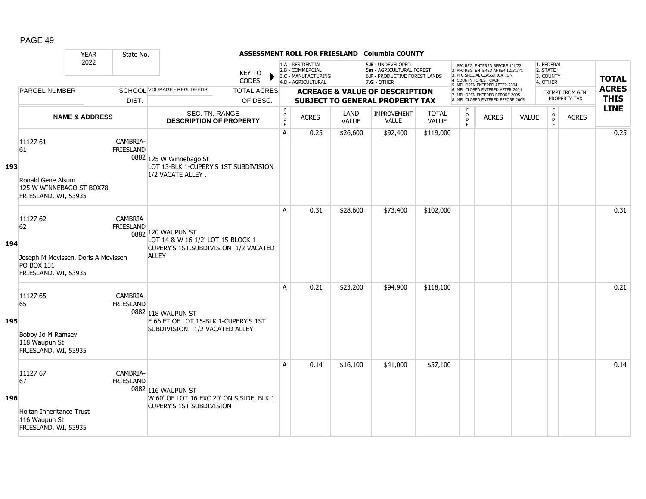|     |                                                                                             | <b>YEAR</b>               | State No.                    |                                                                                                                  |                                |                                                          |                                                                                    |               | ASSESSMENT ROLL FOR FRIESLAND Columbia COUNTY                                                        |                              |                                                           |                                                                                                                                                                     |              |                                                 |                                  |                             |
|-----|---------------------------------------------------------------------------------------------|---------------------------|------------------------------|------------------------------------------------------------------------------------------------------------------|--------------------------------|----------------------------------------------------------|------------------------------------------------------------------------------------|---------------|------------------------------------------------------------------------------------------------------|------------------------------|-----------------------------------------------------------|---------------------------------------------------------------------------------------------------------------------------------------------------------------------|--------------|-------------------------------------------------|----------------------------------|-----------------------------|
|     |                                                                                             | 2022                      |                              |                                                                                                                  | <b>KEY TO</b><br>CODES         |                                                          | 1.A - RESIDENTIAL<br>2.B - COMMERCIAL<br>3.C - MANUFACTURING<br>4.D - AGRICULTURAL |               | 5.E - UNDEVELOPED<br>5m - AGRICULTURAL FOREST<br><b>6.F - PRODUCTIVE FOREST LANDS</b><br>7.G - OTHER |                              |                                                           | 1. PFC REG. ENTERED BEFORE 1/1/72<br>2. PFC REG. ENTERED AFTER 12/31/71<br>3. PFC SPECIAL CLASSIFICATION<br>4. COUNTY FOREST CROF<br>5. MFL OPEN ENTERED AFTER 2004 |              | 1. FEDERAL<br>2. STATE<br>3. COUNTY<br>4. OTHER |                                  | <b>TOTAL</b>                |
|     | <b>PARCEL NUMBER</b>                                                                        |                           | DIST.                        | SCHOOL VOL/PAGE - REG. DEEDS                                                                                     | <b>TOTAL ACRES</b><br>OF DESC. |                                                          |                                                                                    |               | <b>ACREAGE &amp; VALUE OF DESCRIPTION</b><br><b>SUBJECT TO GENERAL PROPERTY TAX</b>                  |                              |                                                           | 6. MFL CLOSED ENTERED AFTER 2004<br>7. MFL OPEN ENTERED BEFORE 2005<br>8. MFL CLOSED ENTERED BEFORE 2005                                                            |              |                                                 | EXEMPT FROM GEN.<br>PROPERTY TAX | <b>ACRES</b><br><b>THIS</b> |
|     |                                                                                             | <b>NAME &amp; ADDRESS</b> |                              | SEC. TN. RANGE<br><b>DESCRIPTION OF PROPERTY</b>                                                                 |                                | $\begin{matrix} 0 \\ 0 \\ D \end{matrix}$<br>$\mathsf E$ | <b>ACRES</b>                                                                       | LAND<br>VALUE | <b>IMPROVEMENT</b><br><b>VALUE</b>                                                                   | <b>TOTAL</b><br><b>VALUE</b> | $\begin{smallmatrix} C \\ 0 \\ D \end{smallmatrix}$<br>E. | <b>ACRES</b>                                                                                                                                                        | <b>VALUE</b> | $\begin{matrix} 0 \\ 0 \\ 0 \end{matrix}$<br>E  | <b>ACRES</b>                     | <b>LINE</b>                 |
| 193 | 11127 61<br>61<br>Ronald Gene Alsum<br>125 W WINNEBAGO ST BOX78<br>FRIESLAND, WI, 53935     |                           | CAMBRIA-<br><b>FRIESLAND</b> | 0882 125 W Winnebago St<br>LOT 13-BLK 1-CUPERY'S 1ST SUBDIVISION<br>1/2 VACATE ALLEY.                            |                                | A                                                        | 0.25                                                                               | \$26,600      | \$92,400                                                                                             | \$119,000                    |                                                           |                                                                                                                                                                     |              |                                                 |                                  | 0.25                        |
| 194 | 11127 62<br>62<br>Joseph M Mevissen, Doris A Mevissen<br>PO BOX 131<br>FRIESLAND, WI, 53935 |                           | CAMBRIA-<br><b>FRIESLAND</b> | 0882 120 WAUPUN ST<br>LOT 14 & W 16 1/2' LOT 15-BLOCK 1-<br>CUPERY'S 1ST.SUBDIVISION 1/2 VACATED<br><b>ALLEY</b> |                                | A                                                        | 0.31                                                                               | \$28,600      | \$73,400                                                                                             | \$102,000                    |                                                           |                                                                                                                                                                     |              |                                                 |                                  | 0.31                        |
| 195 | 11127 65<br>65<br>Bobby Jo M Ramsey<br>118 Waupun St<br>FRIESLAND, WI, 53935                |                           | CAMBRIA-<br><b>FRIESLAND</b> | 0882 118 WAUPUN ST<br>E 66 FT OF LOT 15-BLK 1-CUPERY'S 1ST<br>SUBDIVISION. 1/2 VACATED ALLEY                     |                                | A                                                        | 0.21                                                                               | \$23,200      | \$94,900                                                                                             | \$118,100                    |                                                           |                                                                                                                                                                     |              |                                                 |                                  | 0.21                        |
| 196 | 11127 67<br>67<br><b>Holtan Inheritance Trust</b><br>116 Waupun St<br>FRIESLAND, WI, 53935  |                           | CAMBRIA-<br><b>FRIESLAND</b> | 0882 116 WAUPUN ST<br>W 60' OF LOT 16 EXC 20' ON S SIDE, BLK 1<br><b>CUPERY'S 1ST SUBDIVISION</b>                |                                | A                                                        | 0.14                                                                               | \$16,100      | \$41,000                                                                                             | \$57,100                     |                                                           |                                                                                                                                                                     |              |                                                 |                                  | 0.14                        |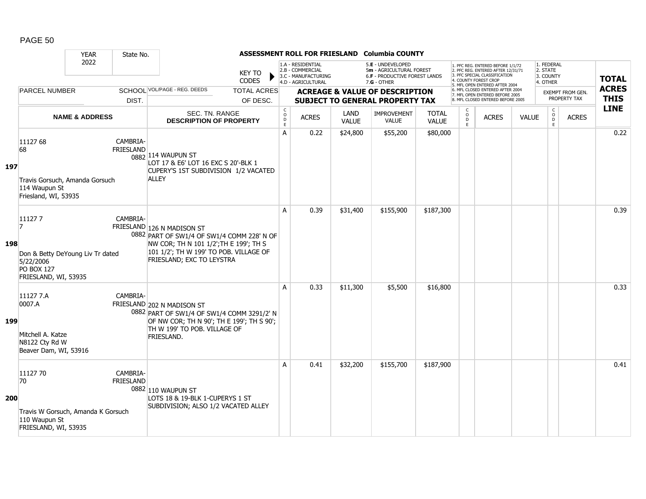|     |                                                                                                            | <b>YEAR</b>               | State No.                    |                                                                                                                                                                                           |                                |                                                                   |                                                                                    |                      | ASSESSMENT ROLL FOR FRIESLAND Columbia COUNTY                                                        |                              |                          |                                                                                                                                                                     |              |                                                 |                                  |                             |
|-----|------------------------------------------------------------------------------------------------------------|---------------------------|------------------------------|-------------------------------------------------------------------------------------------------------------------------------------------------------------------------------------------|--------------------------------|-------------------------------------------------------------------|------------------------------------------------------------------------------------|----------------------|------------------------------------------------------------------------------------------------------|------------------------------|--------------------------|---------------------------------------------------------------------------------------------------------------------------------------------------------------------|--------------|-------------------------------------------------|----------------------------------|-----------------------------|
|     |                                                                                                            | 2022                      |                              |                                                                                                                                                                                           | <b>KEY TO</b><br><b>CODES</b>  |                                                                   | 1.A - RESIDENTIAL<br>2.B - COMMERCIAL<br>3.C - MANUFACTURING<br>4.D - AGRICULTURAL |                      | 5.E - UNDEVELOPED<br>5m - AGRICULTURAL FOREST<br><b>6.F - PRODUCTIVE FOREST LANDS</b><br>7.G - OTHER |                              |                          | 1. PFC REG. ENTERED BEFORE 1/1/72<br>2. PFC REG. ENTERED AFTER 12/31/71<br>3. PFC SPECIAL CLASSIFICATION<br>4. COUNTY FOREST CROP<br>5. MFL OPEN ENTERED AFTER 2004 |              | 1. FEDERAL<br>2. STATE<br>3. COUNTY<br>4. OTHER |                                  | <b>TOTAL</b>                |
|     | <b>PARCEL NUMBER</b>                                                                                       |                           | DIST.                        | SCHOOL VOL/PAGE - REG. DEEDS                                                                                                                                                              | <b>TOTAL ACRES</b><br>OF DESC. |                                                                   |                                                                                    |                      | <b>ACREAGE &amp; VALUE OF DESCRIPTION</b><br><b>SUBJECT TO GENERAL PROPERTY TAX</b>                  |                              |                          | 6. MFL CLOSED ENTERED AFTER 2004<br>7. MFL OPEN ENTERED BEFORE 2005<br>8. MFL CLOSED ENTERED BEFORE 2005                                                            |              |                                                 | EXEMPT FROM GEN.<br>PROPERTY TAX | <b>ACRES</b><br><b>THIS</b> |
|     |                                                                                                            | <b>NAME &amp; ADDRESS</b> |                              | <b>SEC. TN. RANGE</b><br><b>DESCRIPTION OF PROPERTY</b>                                                                                                                                   |                                | $\begin{smallmatrix} C\\O\\O\\D \end{smallmatrix}$<br>$\mathsf E$ | <b>ACRES</b>                                                                       | LAND<br><b>VALUE</b> | <b>IMPROVEMENT</b><br><b>VALUE</b>                                                                   | <b>TOTAL</b><br><b>VALUE</b> | C<br>$\overline{0}$<br>E | <b>ACRES</b>                                                                                                                                                        | <b>VALUE</b> | $_{\rm o}^{\rm c}$<br>D.<br>E                   | <b>ACRES</b>                     | <b>LINE</b>                 |
| 197 | 11127 68<br>68<br>Travis Gorsuch, Amanda Gorsuch<br>114 Waupun St<br>Friesland, WI, 53935                  |                           | CAMBRIA-<br><b>FRIESLAND</b> | 0882 114 WAUPUN ST<br>LOT 17 & E6' LOT 16 EXC S 20'-BLK 1<br>CUPERY'S 1ST SUBDIVISION 1/2 VACATED<br><b>ALLEY</b>                                                                         |                                | A                                                                 | 0.22                                                                               | \$24,800             | \$55,200                                                                                             | \$80,000                     |                          |                                                                                                                                                                     |              |                                                 |                                  | 0.22                        |
| 198 | 111277<br>17<br>Don & Betty DeYoung Liv Tr dated<br>5/22/2006<br><b>PO BOX 127</b><br>FRIESLAND, WI, 53935 |                           | CAMBRIA-                     | FRIESLAND 126 N MADISON ST<br>0882 PART OF SW1/4 OF SW1/4 COMM 228' N OF<br>NW COR; TH N 101 1/2'; TH E 199'; TH S<br>101 1/2'; TH W 199' TO POB. VILLAGE OF<br>FRIESLAND; EXC TO LEYSTRA |                                | A                                                                 | 0.39                                                                               | \$31,400             | \$155,900                                                                                            | \$187,300                    |                          |                                                                                                                                                                     |              |                                                 |                                  | 0.39                        |
| 199 | 11127 7.A<br>0007.A<br>Mitchell A. Katze<br>N8122 Cty Rd W<br>Beaver Dam, WI, 53916                        |                           | CAMBRIA-                     | FRIESLAND 202 N MADISON ST<br>0882 PART OF SW1/4 OF SW1/4 COMM 3291/2' N<br>OF NW COR; TH N 90'; TH E 199'; TH S 90';<br>TH W 199' TO POB. VILLAGE OF<br>FRIESLAND.                       |                                | A                                                                 | 0.33                                                                               | \$11,300             | \$5,500                                                                                              | \$16,800                     |                          |                                                                                                                                                                     |              |                                                 |                                  | 0.33                        |
| 200 | 11127 70<br>70<br>Travis W Gorsuch, Amanda K Gorsuch<br>110 Waupun St<br>FRIESLAND, WI, 53935              |                           | CAMBRIA-<br><b>FRIESLAND</b> | 0882 110 WAUPUN ST<br>LOTS 18 & 19-BLK 1-CUPERYS 1 ST<br>SUBDIVISION; ALSO 1/2 VACATED ALLEY                                                                                              |                                | A                                                                 | 0.41                                                                               | \$32,200             | \$155,700                                                                                            | \$187,900                    |                          |                                                                                                                                                                     |              |                                                 |                                  | 0.41                        |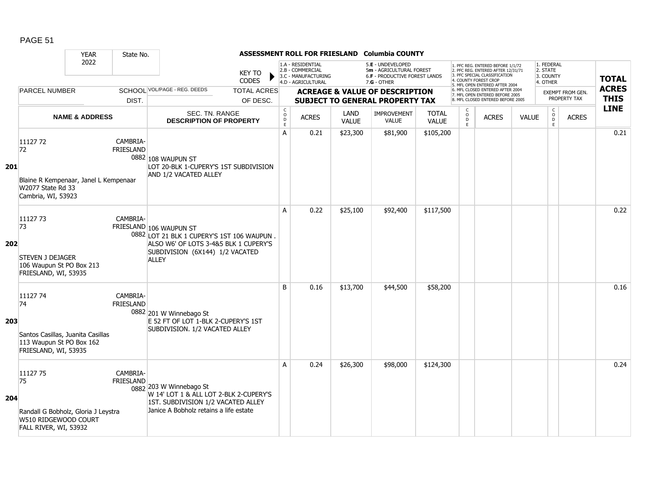|     |                                                                                                         | <b>YEAR</b>               | State No.                    |                                                                                                                                                                  |                                |                                                             |                                                                                    |                      | ASSESSMENT ROLL FOR FRIESLAND Columbia COUNTY                                                   |                              |                                     |                                                                                                                                                                     |              |                                                 |                                         |                             |
|-----|---------------------------------------------------------------------------------------------------------|---------------------------|------------------------------|------------------------------------------------------------------------------------------------------------------------------------------------------------------|--------------------------------|-------------------------------------------------------------|------------------------------------------------------------------------------------|----------------------|-------------------------------------------------------------------------------------------------|------------------------------|-------------------------------------|---------------------------------------------------------------------------------------------------------------------------------------------------------------------|--------------|-------------------------------------------------|-----------------------------------------|-----------------------------|
|     |                                                                                                         | 2022                      |                              |                                                                                                                                                                  | <b>KEY TO</b><br><b>CODES</b>  |                                                             | 1.A - RESIDENTIAL<br>2.B - COMMERCIAL<br>3.C - MANUFACTURING<br>4.D - AGRICULTURAL |                      | 5.E - UNDEVELOPED<br>5m - AGRICULTURAL FOREST<br>6.F - PRODUCTIVE FOREST LANDS<br>$7.G - OTHER$ |                              |                                     | 1. PFC REG. ENTERED BEFORE 1/1/72<br>2. PFC REG. ENTERED AFTER 12/31/71<br>3. PFC SPECIAL CLASSIFICATION<br>4. COUNTY FOREST CROP<br>5. MFL OPEN ENTERED AFTER 2004 |              | 1. FEDERAL<br>2. STATE<br>3. COUNTY<br>4. OTHER |                                         | <b>TOTAL</b>                |
|     | <b>PARCEL NUMBER</b>                                                                                    |                           | DIST.                        | SCHOOL VOL/PAGE - REG. DEEDS                                                                                                                                     | <b>TOTAL ACRES</b><br>OF DESC. |                                                             |                                                                                    |                      | <b>ACREAGE &amp; VALUE OF DESCRIPTION</b><br>SUBJECT TO GENERAL PROPERTY TAX                    |                              |                                     | 6. MFL CLOSED ENTERED AFTER 2004<br>7. MFL OPEN ENTERED BEFORE 2005<br>8. MFL CLOSED ENTERED BEFORE 2005                                                            |              |                                                 | <b>EXEMPT FROM GEN.</b><br>PROPERTY TAX | <b>ACRES</b><br><b>THIS</b> |
|     |                                                                                                         | <b>NAME &amp; ADDRESS</b> |                              | SEC. TN. RANGE<br><b>DESCRIPTION OF PROPERTY</b>                                                                                                                 |                                | $\mathsf C$<br>$\overset{\circ}{\mathsf{D}}$<br>$\mathsf E$ | <b>ACRES</b>                                                                       | LAND<br><b>VALUE</b> | IMPROVEMENT<br><b>VALUE</b>                                                                     | <b>TOTAL</b><br><b>VALUE</b> | C<br>$\overset{\mathsf{O}}{D}$<br>E | <b>ACRES</b>                                                                                                                                                        | <b>VALUE</b> | $\mathsf{C}$<br>$_{\rm D}^{\rm O}$<br>E.        | <b>ACRES</b>                            | <b>LINE</b>                 |
| 201 | 1112772<br>72<br>Blaine R Kempenaar, Janel L Kempenaar<br>W2077 State Rd 33<br>Cambria, WI, 53923       |                           | CAMBRIA-<br><b>FRIESLAND</b> | 0882 108 WAUPUN ST<br>LOT 20-BLK 1-CUPERY'S 1ST SUBDIVISION<br>AND 1/2 VACATED ALLEY                                                                             |                                | A                                                           | 0.21                                                                               | \$23,300             | \$81,900                                                                                        | \$105,200                    |                                     |                                                                                                                                                                     |              |                                                 |                                         | 0.21                        |
| 202 | 11127 73<br>73<br>STEVEN J DEJAGER<br>106 Waupun St PO Box 213<br>FRIESLAND, WI, 53935                  |                           | CAMBRIA-                     | FRIESLAND 106 WAUPUN ST<br>0882 LOT 21 BLK 1 CUPERY'S 1ST 106 WAUPUN<br>ALSO W6' OF LOTS 3-4&5 BLK 1 CUPERY'S<br>SUBDIVISION (6X144) 1/2 VACATED<br><b>ALLEY</b> |                                | A                                                           | 0.22                                                                               | \$25,100             | \$92,400                                                                                        | \$117,500                    |                                     |                                                                                                                                                                     |              |                                                 |                                         | 0.22                        |
| 203 | 11127 74<br>74<br>Santos Casillas, Juanita Casillas<br>113 Waupun St PO Box 162<br>FRIESLAND, WI, 53935 |                           | CAMBRIA-<br><b>FRIESLAND</b> | 0882 201 W Winnebago St<br>E 52 FT OF LOT 1-BLK 2-CUPERY'S 1ST<br>SUBDIVISION. 1/2 VACATED ALLEY                                                                 |                                | B                                                           | 0.16                                                                               | \$13,700             | \$44,500                                                                                        | \$58,200                     |                                     |                                                                                                                                                                     |              |                                                 |                                         | 0.16                        |
| 204 | 11127 75<br>75<br>Randall G Bobholz, Gloria J Leystra<br>W510 RIDGEWOOD COURT<br>FALL RIVER, WI, 53932  |                           | CAMBRIA-<br><b>FRIESLAND</b> | 0882 203 W Winnebago St<br>W 14' LOT 1 & ALL LOT 2-BLK 2-CUPERY'S<br>1ST. SUBDIVISION 1/2 VACATED ALLEY<br>Janice A Bobholz retains a life estate                |                                | A                                                           | 0.24                                                                               | \$26,300             | \$98,000                                                                                        | \$124,300                    |                                     |                                                                                                                                                                     |              |                                                 |                                         | 0.24                        |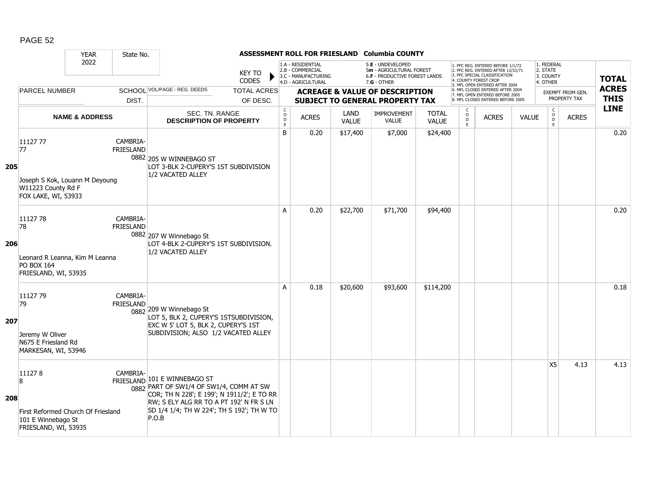|     |                                                                                                 | <b>YEAR</b>               | State No.                    |                                                                                                                                                                                                                        |                                |                                        |                                                                                    |                      | ASSESSMENT ROLL FOR FRIESLAND Columbia COUNTY                                                   |                              |                              |                                                                                                                                                                     |              |                                                 |                                         |                             |
|-----|-------------------------------------------------------------------------------------------------|---------------------------|------------------------------|------------------------------------------------------------------------------------------------------------------------------------------------------------------------------------------------------------------------|--------------------------------|----------------------------------------|------------------------------------------------------------------------------------|----------------------|-------------------------------------------------------------------------------------------------|------------------------------|------------------------------|---------------------------------------------------------------------------------------------------------------------------------------------------------------------|--------------|-------------------------------------------------|-----------------------------------------|-----------------------------|
|     |                                                                                                 | 2022                      |                              |                                                                                                                                                                                                                        | <b>KEY TO</b><br><b>CODES</b>  |                                        | 1.A - RESIDENTIAL<br>2.B - COMMERCIAL<br>3.C - MANUFACTURING<br>4.D - AGRICULTURAL |                      | 5.E - UNDEVELOPED<br>5m - AGRICULTURAL FOREST<br>6.F - PRODUCTIVE FOREST LANDS<br>$7.G - OTHER$ |                              |                              | 1. PFC REG. ENTERED BEFORE 1/1/72<br>2. PFC REG. ENTERED AFTER 12/31/71<br>3. PFC SPECIAL CLASSIFICATION<br>4. COUNTY FOREST CROP<br>5. MFL OPEN ENTERED AFTER 2004 |              | 1. FEDERAL<br>2. STATE<br>3. COUNTY<br>4. OTHER |                                         | <b>TOTAL</b>                |
|     | <b>PARCEL NUMBER</b>                                                                            |                           | DIST.                        | SCHOOL VOL/PAGE - REG. DEEDS                                                                                                                                                                                           | <b>TOTAL ACRES</b><br>OF DESC. |                                        |                                                                                    |                      | <b>ACREAGE &amp; VALUE OF DESCRIPTION</b><br><b>SUBJECT TO GENERAL PROPERTY TAX</b>             |                              |                              | 6. MFL CLOSED ENTERED AFTER 2004<br>7. MFL OPEN ENTERED BEFORE 2005<br>8. MFL CLOSED ENTERED BEFORE 2005                                                            |              |                                                 | <b>EXEMPT FROM GEN.</b><br>PROPERTY TAX | <b>ACRES</b><br><b>THIS</b> |
|     |                                                                                                 | <b>NAME &amp; ADDRESS</b> |                              | SEC. TN. RANGE<br><b>DESCRIPTION OF PROPERTY</b>                                                                                                                                                                       |                                | C<br>$_{\rm D}^{\rm O}$<br>$\mathsf E$ | <b>ACRES</b>                                                                       | LAND<br><b>VALUE</b> | <b>IMPROVEMENT</b><br><b>VALUE</b>                                                              | <b>TOTAL</b><br><b>VALUE</b> | C<br>$_{\rm D}^{\rm O}$<br>E | <b>ACRES</b>                                                                                                                                                        | <b>VALUE</b> | $\mathsf{C}$<br>$_{\rm D}^{\rm O}$<br>E         | <b>ACRES</b>                            | <b>LINE</b>                 |
| 205 | 11127 77<br>77<br>Joseph S Kok, Louann M Deyoung<br>W11223 County Rd F<br>FOX LAKE, WI, 53933   |                           | CAMBRIA-<br>FRIESLAND        | 0882 205 W WINNEBAGO ST<br>LOT 3-BLK 2-CUPERY'S 1ST SUBDIVISION<br>1/2 VACATED ALLEY                                                                                                                                   |                                | B                                      | 0.20                                                                               | \$17,400             | \$7,000                                                                                         | \$24,400                     |                              |                                                                                                                                                                     |              |                                                 |                                         | 0.20                        |
| 206 | 11127 78<br>78<br>Leonard R Leanna, Kim M Leanna<br><b>PO BOX 164</b><br>FRIESLAND, WI, 53935   |                           | CAMBRIA-<br><b>FRIESLAND</b> | 0882 207 W Winnebago St<br>LOT 4-BLK 2-CUPERY'S 1ST SUBDIVISION.<br>1/2 VACATED ALLEY                                                                                                                                  |                                | A                                      | 0.20                                                                               | \$22,700             | \$71,700                                                                                        | \$94,400                     |                              |                                                                                                                                                                     |              |                                                 |                                         | 0.20                        |
| 207 | 11127 79<br>79<br>Jeremy W Oliver<br>N675 E Friesland Rd<br>MARKESAN, WI, 53946                 |                           | CAMBRIA-<br><b>FRIESLAND</b> | 0882 209 W Winnebago St<br>LOT 5, BLK 2, CUPERY'S 1STSUBDIVISION,<br>EXC W 5' LOT 5, BLK 2, CUPERY'S 1ST<br>SUBDIVISION; ALSO 1/2 VACATED ALLEY                                                                        |                                | A                                      | 0.18                                                                               | \$20,600             | \$93,600                                                                                        | \$114,200                    |                              |                                                                                                                                                                     |              |                                                 |                                         | 0.18                        |
| 208 | 111278<br>8<br>First Reformed Church Of Friesland<br>101 E Winnebago St<br>FRIESLAND, WI, 53935 |                           | CAMBRIA-                     | FRIESLAND 101 E WINNEBAGO ST<br>0882 PART OF SW1/4 OF SW1/4, COMM AT SW<br>COR; TH N 228'; E 199'; N 1911/2'; E TO RR<br>RW; S ELY ALG RR TO A PT 192' N FR S LN<br>SD 1/4 1/4; TH W 224'; TH S 192'; TH W TO<br>P.O.B |                                |                                        |                                                                                    |                      |                                                                                                 |                              |                              |                                                                                                                                                                     |              | X5                                              | 4.13                                    | 4.13                        |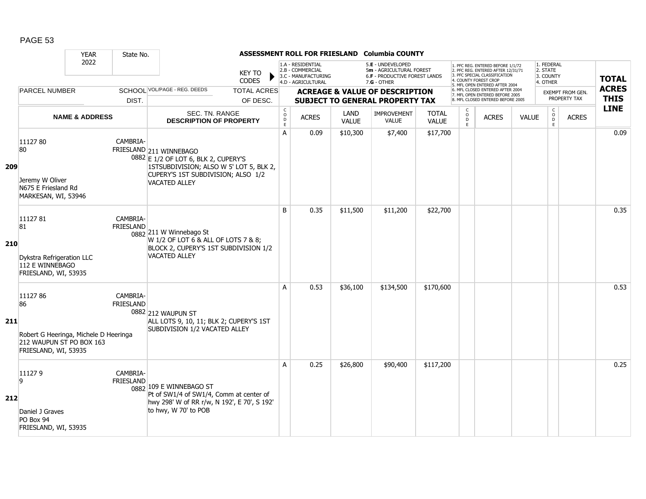|     |                                                                                                            | <b>YEAR</b>               | State No.                    |                                                                                                                                                                          |                                |                                     |                                                                                    |               | ASSESSMENT ROLL FOR FRIESLAND Columbia COUNTY                                                   |                              |                                                          |                                                                                                                                                                     |       |                                                 |                                  |                             |
|-----|------------------------------------------------------------------------------------------------------------|---------------------------|------------------------------|--------------------------------------------------------------------------------------------------------------------------------------------------------------------------|--------------------------------|-------------------------------------|------------------------------------------------------------------------------------|---------------|-------------------------------------------------------------------------------------------------|------------------------------|----------------------------------------------------------|---------------------------------------------------------------------------------------------------------------------------------------------------------------------|-------|-------------------------------------------------|----------------------------------|-----------------------------|
|     |                                                                                                            | 2022                      |                              |                                                                                                                                                                          | <b>KEY TO</b><br><b>CODES</b>  |                                     | 1.A - RESIDENTIAL<br>2.B - COMMERCIAL<br>3.C - MANUFACTURING<br>4.D - AGRICULTURAL |               | 5.E - UNDEVELOPED<br>5m - AGRICULTURAL FOREST<br>6.F - PRODUCTIVE FOREST LANDS<br>$7.G - OTHER$ |                              |                                                          | 1. PFC REG. ENTERED BEFORE 1/1/72<br>2. PFC REG. ENTERED AFTER 12/31/71<br>3. PFC SPECIAL CLASSIFICATION<br>4. COUNTY FOREST CROP<br>5. MFL OPEN ENTERED AFTER 2004 |       | 1. FEDERAL<br>2. STATE<br>3. COUNTY<br>4. OTHER |                                  | <b>TOTAL</b>                |
|     | <b>PARCEL NUMBER</b>                                                                                       |                           | DIST.                        | SCHOOL VOL/PAGE - REG. DEEDS                                                                                                                                             | <b>TOTAL ACRES</b><br>OF DESC. |                                     |                                                                                    |               | <b>ACREAGE &amp; VALUE OF DESCRIPTION</b><br><b>SUBJECT TO GENERAL PROPERTY TAX</b>             |                              |                                                          | 6. MFL CLOSED ENTERED AFTER 2004<br>7. MFL OPEN ENTERED BEFORE 2005<br>8. MFL CLOSED ENTERED BEFORE 2005                                                            |       |                                                 | EXEMPT FROM GEN.<br>PROPERTY TAX | <b>ACRES</b><br><b>THIS</b> |
|     |                                                                                                            | <b>NAME &amp; ADDRESS</b> |                              | SEC. TN. RANGE<br><b>DESCRIPTION OF PROPERTY</b>                                                                                                                         |                                | $\mathsf{C}$<br>$\overline{0}$<br>E | <b>ACRES</b>                                                                       | LAND<br>VALUE | IMPROVEMENT<br><b>VALUE</b>                                                                     | <b>TOTAL</b><br><b>VALUE</b> | $\begin{smallmatrix} C \\ 0 \\ D \end{smallmatrix}$<br>E | <b>ACRES</b>                                                                                                                                                        | VALUE | $\begin{matrix} 0 \\ 0 \\ D \end{matrix}$<br>E  | <b>ACRES</b>                     | <b>LINE</b>                 |
| 209 | 1112780<br>80<br>Jeremy W Oliver<br>N675 E Friesland Rd<br>MARKESAN, WI, 53946                             |                           | CAMBRIA-                     | FRIESLAND 211 WINNEBAGO<br>0882 E 1/2 OF LOT 6, BLK 2, CUPERY'S<br>1STSUBDIVISION; ALSO W 5' LOT 5, BLK 2,<br>CUPERY'S 1ST SUBDIVISION; ALSO 1/2<br><b>VACATED ALLEY</b> |                                | A                                   | 0.09                                                                               | \$10,300      | \$7,400                                                                                         | \$17,700                     |                                                          |                                                                                                                                                                     |       |                                                 |                                  | 0.09                        |
| 210 | 1112781<br>81<br>Dykstra Refrigeration LLC<br>112 E WINNEBAGO<br>FRIESLAND, WI, 53935                      |                           | CAMBRIA-<br><b>FRIESLAND</b> | 0882 211 W Winnebago St<br>W 1/2 OF LOT 6 & ALL OF LOTS 7 & 8;<br>BLOCK 2, CUPERY'S 1ST SUBDIVISION 1/2<br><b>VACATED ALLEY</b>                                          |                                | B                                   | 0.35                                                                               | \$11,500      | \$11,200                                                                                        | \$22,700                     |                                                          |                                                                                                                                                                     |       |                                                 |                                  | 0.35                        |
| 211 | 1112786<br>86<br>Robert G Heeringa, Michele D Heeringa<br>212 WAUPUN ST PO BOX 163<br>FRIESLAND, WI, 53935 |                           | CAMBRIA-<br><b>FRIESLAND</b> | 0882 212 WAUPUN ST<br>ALL LOTS 9, 10, 11; BLK 2; CUPERY'S 1ST<br>SUBDIVISION 1/2 VACATED ALLEY                                                                           |                                | A                                   | 0.53                                                                               | \$36,100      | \$134,500                                                                                       | \$170,600                    |                                                          |                                                                                                                                                                     |       |                                                 |                                  | 0.53                        |
| 212 | 111279<br>9<br>Daniel J Graves<br>PO Box 94<br>FRIESLAND, WI, 53935                                        |                           | CAMBRIA-<br><b>FRIESLAND</b> | 0882 109 E WINNEBAGO ST<br>Pt of SW1/4 of SW1/4, Comm at center of<br>hwy 298' W of RR r/w, N 192', E 70', S 192'<br>to hwy, W 70' to POB                                |                                | A                                   | 0.25                                                                               | \$26,800      | \$90,400                                                                                        | \$117,200                    |                                                          |                                                                                                                                                                     |       |                                                 |                                  | 0.25                        |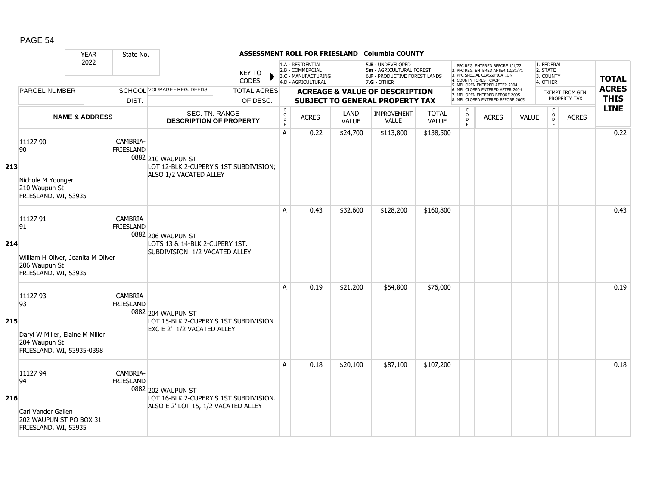|     |                                                                                                 | <b>YEAR</b>               | State No.                    |                                                                                                     |                                |                                                                                     |                                                                                    |               | ASSESSMENT ROLL FOR FRIESLAND Columbia COUNTY                                                        |                                                                                                          |                                                           |                                                                                                                                                                     |                                  |                                                 |              |              |
|-----|-------------------------------------------------------------------------------------------------|---------------------------|------------------------------|-----------------------------------------------------------------------------------------------------|--------------------------------|-------------------------------------------------------------------------------------|------------------------------------------------------------------------------------|---------------|------------------------------------------------------------------------------------------------------|----------------------------------------------------------------------------------------------------------|-----------------------------------------------------------|---------------------------------------------------------------------------------------------------------------------------------------------------------------------|----------------------------------|-------------------------------------------------|--------------|--------------|
|     |                                                                                                 | 2022                      |                              |                                                                                                     | <b>KEY TO</b><br>CODES         |                                                                                     | 1.A - RESIDENTIAL<br>2.B - COMMERCIAL<br>3.C - MANUFACTURING<br>4.D - AGRICULTURAL |               | 5.E - UNDEVELOPED<br>5m - AGRICULTURAL FOREST<br><b>6.F - PRODUCTIVE FOREST LANDS</b><br>7.G - OTHER |                                                                                                          |                                                           | 1. PFC REG. ENTERED BEFORE 1/1/72<br>2. PFC REG. ENTERED AFTER 12/31/71<br>3. PFC SPECIAL CLASSIFICATION<br>4. COUNTY FOREST CROP<br>5. MFL OPEN ENTERED AFTER 2004 |                                  | 1. FEDERAL<br>2. STATE<br>3. COUNTY<br>4. OTHER |              | <b>TOTAL</b> |
|     | <b>PARCEL NUMBER</b>                                                                            |                           | DIST.                        | SCHOOL VOL/PAGE - REG. DEEDS                                                                        | <b>TOTAL ACRES</b><br>OF DESC. | <b>ACREAGE &amp; VALUE OF DESCRIPTION</b><br><b>SUBJECT TO GENERAL PROPERTY TAX</b> |                                                                                    |               |                                                                                                      | 6. MFL CLOSED ENTERED AFTER 2004<br>7. MFL OPEN ENTERED BEFORE 2005<br>8. MFL CLOSED ENTERED BEFORE 2005 |                                                           |                                                                                                                                                                     | EXEMPT FROM GEN.<br>PROPERTY TAX | <b>ACRES</b><br><b>THIS</b>                     |              |              |
|     |                                                                                                 | <b>NAME &amp; ADDRESS</b> |                              | SEC. TN. RANGE<br><b>DESCRIPTION OF PROPERTY</b>                                                    |                                | $\begin{matrix} 0 \\ 0 \\ D \end{matrix}$<br>$\mathsf E$                            | <b>ACRES</b>                                                                       | LAND<br>VALUE | <b>IMPROVEMENT</b><br><b>VALUE</b>                                                                   | <b>TOTAL</b><br><b>VALUE</b>                                                                             | $\begin{smallmatrix} C \\ O \\ D \end{smallmatrix}$<br>E. | <b>ACRES</b>                                                                                                                                                        | <b>VALUE</b>                     | $\begin{matrix} 0 \\ 0 \\ 0 \end{matrix}$<br>E  | <b>ACRES</b> | <b>LINE</b>  |
| 213 | 11127 90<br>90<br>Nichole M Younger<br>210 Waupun St<br>FRIESLAND, WI, 53935                    |                           | CAMBRIA-<br><b>FRIESLAND</b> | 0882 210 WAUPUN ST<br>LOT 12-BLK 2-CUPERY'S 1ST SUBDIVISION;<br>ALSO 1/2 VACATED ALLEY              |                                | $\overline{A}$                                                                      | 0.22                                                                               | \$24,700      | \$113,800                                                                                            | \$138,500                                                                                                |                                                           |                                                                                                                                                                     |                                  |                                                 |              | 0.22         |
| 214 | 11127 91<br>91<br>William H Oliver, Jeanita M Oliver<br>206 Waupun St<br>FRIESLAND, WI, 53935   |                           | CAMBRIA-<br><b>FRIESLAND</b> | 0882 206 WAUPUN ST<br>LOTS 13 & 14-BLK 2-CUPERY 1ST.<br>SUBDIVISION 1/2 VACATED ALLEY               |                                | A                                                                                   | 0.43                                                                               | \$32,600      | \$128,200                                                                                            | \$160,800                                                                                                |                                                           |                                                                                                                                                                     |                                  |                                                 |              | 0.43         |
| 215 | 11127 93<br>93<br>Daryl W Miller, Elaine M Miller<br>204 Waupun St<br>FRIESLAND, WI, 53935-0398 |                           | CAMBRIA-<br><b>FRIESLAND</b> | 0882 204 WAUPUN ST<br>LOT 15-BLK 2-CUPERY'S 1ST SUBDIVISION<br>EXC E 2' 1/2 VACATED ALLEY           |                                | A                                                                                   | 0.19                                                                               | \$21,200      | \$54,800                                                                                             | \$76,000                                                                                                 |                                                           |                                                                                                                                                                     |                                  |                                                 |              | 0.19         |
| 216 | 11127 94<br>94<br>Carl Vander Galien<br>202 WAUPUN ST PO BOX 31<br>FRIESLAND, WI, 53935         |                           | CAMBRIA-<br><b>FRIESLAND</b> | 0882 202 WAUPUN ST<br>LOT 16-BLK 2-CUPERY'S 1ST SUBDIVISION.<br>ALSO E 2' LOT 15, 1/2 VACATED ALLEY |                                | A                                                                                   | 0.18                                                                               | \$20,100      | \$87,100                                                                                             | \$107,200                                                                                                |                                                           |                                                                                                                                                                     |                                  |                                                 |              | 0.18         |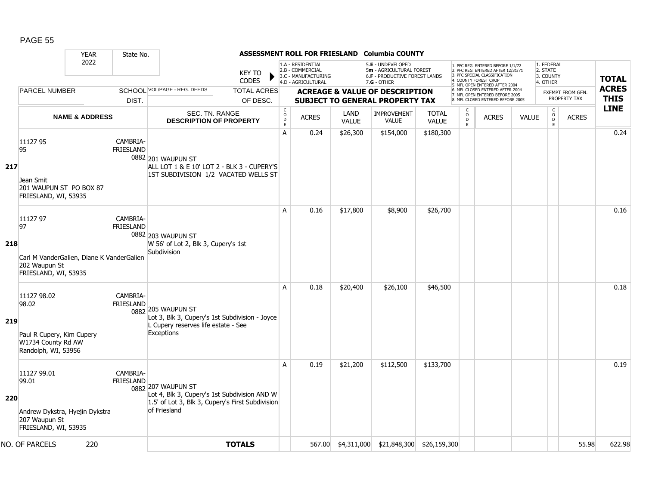|     |                                                                                                      | <b>YEAR</b>               | State No.                    |                                                                                                                                        |                               |                                                |                                                                                    |                      | ASSESSMENT ROLL FOR FRIESLAND Columbia COUNTY                                                   |                              |                                      |                                                                                                                                   |              |                                                 |                         |                            |
|-----|------------------------------------------------------------------------------------------------------|---------------------------|------------------------------|----------------------------------------------------------------------------------------------------------------------------------------|-------------------------------|------------------------------------------------|------------------------------------------------------------------------------------|----------------------|-------------------------------------------------------------------------------------------------|------------------------------|--------------------------------------|-----------------------------------------------------------------------------------------------------------------------------------|--------------|-------------------------------------------------|-------------------------|----------------------------|
|     |                                                                                                      | 2022                      |                              |                                                                                                                                        | <b>KEY TO</b><br><b>CODES</b> |                                                | 1.A - RESIDENTIAL<br>2.B - COMMERCIAL<br>3.C - MANUFACTURING<br>4.D - AGRICULTURAL |                      | 5.E - UNDEVELOPED<br>5m - AGRICULTURAL FOREST<br>6.F - PRODUCTIVE FOREST LANDS<br>$7.G - OTHER$ |                              |                                      | 1. PFC REG. ENTERED BEFORE 1/1/72<br>2. PFC REG. ENTERED AFTER 12/31/71<br>3. PFC SPECIAL CLASSIFICATION<br>4. COUNTY FOREST CROF |              | 1. FEDERAL<br>2. STATE<br>3. COUNTY<br>4. OTHER |                         | <b>TOTAL</b>               |
|     | <b>PARCEL NUMBER</b>                                                                                 |                           |                              | SCHOOL VOL/PAGE - REG. DEEDS                                                                                                           | <b>TOTAL ACRES</b>            |                                                |                                                                                    |                      | <b>ACREAGE &amp; VALUE OF DESCRIPTION</b>                                                       |                              |                                      | 5. MFL OPEN ENTERED AFTER 2004<br>6. MFL CLOSED ENTERED AFTER 2004<br>7. MFL OPEN ENTERED BEFORE 2005                             |              |                                                 | <b>EXEMPT FROM GEN.</b> | <b>ACRES</b>               |
|     |                                                                                                      |                           | DIST.                        |                                                                                                                                        | OF DESC.                      |                                                |                                                                                    |                      | <b>SUBJECT TO GENERAL PROPERTY TAX</b>                                                          |                              |                                      | 8. MFL CLOSED ENTERED BEFORE 2005                                                                                                 |              |                                                 | PROPERTY TAX            | <b>THIS</b><br><b>LINE</b> |
|     |                                                                                                      | <b>NAME &amp; ADDRESS</b> |                              | <b>SEC. TN. RANGE</b><br><b>DESCRIPTION OF PROPERTY</b>                                                                                |                               | $\begin{matrix} 0 \\ 0 \\ D \end{matrix}$<br>E | <b>ACRES</b>                                                                       | LAND<br><b>VALUE</b> | <b>IMPROVEMENT</b><br><b>VALUE</b>                                                              | <b>TOTAL</b><br><b>VALUE</b> | $\mathsf{C}$<br>$\int_{D}^{O}$<br>E. | <b>ACRES</b>                                                                                                                      | <b>VALUE</b> | $\begin{matrix} 0 \\ 0 \\ 0 \end{matrix}$<br>E  | <b>ACRES</b>            |                            |
| 217 | 11127 95<br>95<br>Jean Smit<br>201 WAUPUN ST PO BOX 87<br>FRIESLAND, WI, 53935                       |                           | CAMBRIA-<br><b>FRIESLAND</b> | 0882 201 WAUPUN ST<br>ALL LOT 1 & E 10' LOT 2 - BLK 3 - CUPERY'S<br>1ST SUBDIVISION 1/2 VACATED WELLS ST                               |                               | A                                              | 0.24                                                                               | \$26,300             | \$154,000                                                                                       | \$180,300                    |                                      |                                                                                                                                   |              |                                                 |                         | 0.24                       |
| 218 | 11127 97<br>97<br>Carl M VanderGalien, Diane K VanderGalien<br>202 Waupun St<br>FRIESLAND, WI, 53935 |                           | CAMBRIA-<br><b>FRIESLAND</b> | 0882 203 WAUPUN ST<br>W 56' of Lot 2, Blk 3, Cupery's 1st<br>Subdivision                                                               |                               | A                                              | 0.16                                                                               | \$17,800             | \$8,900                                                                                         | \$26,700                     |                                      |                                                                                                                                   |              |                                                 |                         | 0.16                       |
| 219 | 11127 98.02<br>98.02<br>Paul R Cupery, Kim Cupery<br>W1734 County Rd AW<br>Randolph, WI, 53956       |                           | CAMBRIA-<br><b>FRIESLAND</b> | 0882 205 WAUPUN ST<br>Lot 3, Blk 3, Cupery's 1st Subdivision - Joyce<br>L Cupery reserves life estate - See<br><b>Exceptions</b>       |                               | A                                              | 0.18                                                                               | \$20,400             | \$26,100                                                                                        | \$46,500                     |                                      |                                                                                                                                   |              |                                                 |                         | 0.18                       |
| 220 | 11127 99.01<br>99.01<br>Andrew Dykstra, Hyejin Dykstra<br>207 Waupun St<br>FRIESLAND, WI, 53935      |                           | CAMBRIA-<br><b>FRIESLAND</b> | 0882 207 WAUPUN ST<br>Lot 4, Blk 3, Cupery's 1st Subdivision AND W<br>1.5' of Lot 3, Blk 3, Cupery's First Subdivision<br>of Friesland |                               | A                                              | 0.19                                                                               | \$21,200             | \$112,500                                                                                       | \$133,700                    |                                      |                                                                                                                                   |              |                                                 |                         | 0.19                       |
|     | NO. OF PARCELS                                                                                       | 220                       |                              |                                                                                                                                        | <b>TOTALS</b>                 |                                                |                                                                                    |                      | 567.00 \$4,311,000 \$21,848,300 \$26,159,300                                                    |                              |                                      |                                                                                                                                   |              |                                                 | 55.98                   | 622.98                     |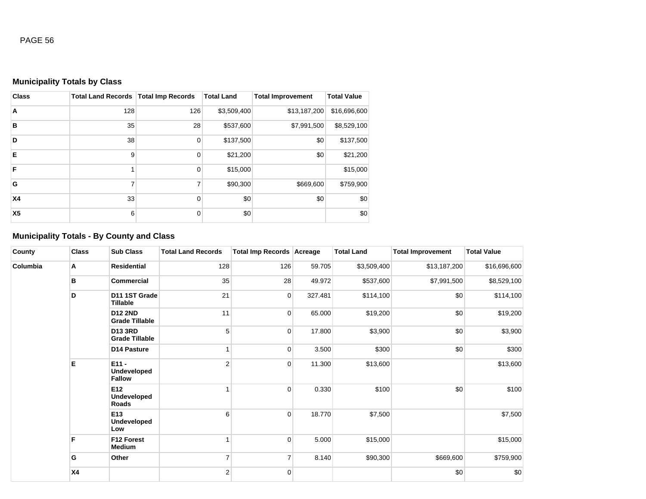# **Municipality Totals by Class**

| <b>Class</b>   | <b>Total Land Records   Total Imp Records</b> |             | <b>Total Land</b> | <b>Total Improvement</b> | <b>Total Value</b> |
|----------------|-----------------------------------------------|-------------|-------------------|--------------------------|--------------------|
| A              | 128                                           | 126         | \$3,509,400       | \$13,187,200             | \$16,696,600       |
| B              | 35                                            | 28          | \$537,600         | \$7,991,500              | \$8,529,100        |
| D              | 38                                            | $\mathbf 0$ | \$137,500         | \$0                      | \$137,500          |
| E              | 9                                             | 0           | \$21,200          | \$0                      | \$21,200           |
| F              |                                               | $\mathbf 0$ | \$15,000          |                          | \$15,000           |
| G              | 7                                             | 7           | \$90,300          | \$669,600                | \$759,900          |
| <b>X4</b>      | 33                                            | $\Omega$    | \$0               | \$0                      | \$0                |
| X <sub>5</sub> | 6                                             | $\Omega$    | \$0               |                          | \$0                |

# **Municipality Totals - By County and Class**

| County   | <b>Class</b> | <b>Sub Class</b>                               | <b>Total Land Records</b> | Total Imp Records Acreage |         | <b>Total Land</b> | <b>Total Improvement</b> | <b>Total Value</b> |
|----------|--------------|------------------------------------------------|---------------------------|---------------------------|---------|-------------------|--------------------------|--------------------|
| Columbia | Α            | Residential                                    | 128                       | 126                       | 59.705  | \$3,509,400       | \$13,187,200             | \$16,696,600       |
|          | в            | <b>Commercial</b>                              | 35                        | 28                        | 49.972  | \$537,600         | \$7,991,500              | \$8,529,100        |
|          | D            | D11 1ST Grade<br>Tillable                      | 21                        | $\overline{0}$            | 327.481 | \$114,100         | \$0                      | \$114,100          |
|          |              | <b>D12 2ND</b><br><b>Grade Tillable</b>        | 11                        | $\overline{0}$            | 65.000  | \$19,200          | \$0                      | \$19,200           |
|          |              | <b>D13 3RD</b><br><b>Grade Tillable</b>        | 5                         | $\overline{0}$            | 17.800  | \$3,900           | \$0                      | \$3,900            |
|          |              | D14 Pasture                                    |                           | $\overline{0}$            | 3.500   | \$300             | \$0                      | \$300              |
|          | Е            | $E11 -$<br><b>Undeveloped</b><br><b>Fallow</b> | $\overline{2}$            | $\overline{0}$            | 11.300  | \$13,600          |                          | \$13,600           |
|          |              | E12<br><b>Undeveloped</b><br>Roads             |                           | $\overline{0}$            | 0.330   | \$100             | \$0                      | \$100              |
|          |              | E13<br><b>Undeveloped</b><br>Low               | 6                         | $\overline{0}$            | 18.770  | \$7,500           |                          | \$7,500            |
|          | F            | F12 Forest<br><b>Medium</b>                    |                           | $\overline{0}$            | 5.000   | \$15,000          |                          | \$15,000           |
|          | G            | Other                                          | 7                         | $\overline{7}$            | 8.140   | \$90,300          | \$669,600                | \$759,900          |
|          | <b>X4</b>    |                                                | $\overline{2}$            | $\overline{0}$            |         |                   | \$0                      | \$0                |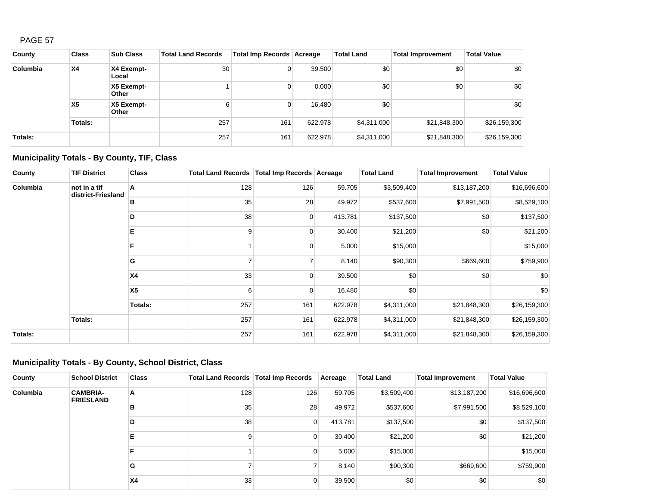| County   | <b>Class</b>   | <b>Sub Class</b>    | <b>Total Land Records</b> | Total Imp Records Acreage |         | <b>Total Land</b> | <b>Total Improvement</b> | <b>Total Value</b> |
|----------|----------------|---------------------|---------------------------|---------------------------|---------|-------------------|--------------------------|--------------------|
| Columbia | <b>X4</b>      | X4 Exempt-<br>Local | 30                        | 0                         | 39.500  | \$0               | \$0                      | \$0                |
|          |                | X5 Exempt-<br>Other |                           | 0                         | 0.000   | \$0               | \$0                      | \$0                |
|          | X <sub>5</sub> | X5 Exempt-<br>Other | 6                         | 0                         | 16.480  | \$0               |                          | \$0                |
|          | Totals:        |                     | 257                       | 161                       | 622.978 | \$4,311,000       | \$21,848,300             | \$26,159,300       |
| Totals:  |                |                     | 257                       | 161                       | 622.978 | \$4,311,000       | \$21,848,300             | \$26,159,300       |

# **Municipality Totals - By County, TIF, Class**

| County   | <b>TIF District</b>                | <b>Class</b>   | Total Land Records   Total Imp Records   Acreage |             |         | <b>Total Land</b> | <b>Total Improvement</b> | <b>Total Value</b> |
|----------|------------------------------------|----------------|--------------------------------------------------|-------------|---------|-------------------|--------------------------|--------------------|
| Columbia | not in a tif<br>district-Friesland | Α              | 128                                              | 126         | 59.705  | \$3,509,400       | \$13,187,200             | \$16,696,600       |
|          |                                    | в              | 35                                               | 28          | 49.972  | \$537,600         | \$7,991,500              | \$8,529,100        |
|          |                                    | D              | 38                                               | 0           | 413.781 | \$137,500         | \$0                      | \$137,500          |
|          |                                    | E.             | 9                                                | 0           | 30.400  | \$21,200          | \$0                      | \$21,200           |
|          |                                    | F              |                                                  | 0           | 5.000   | \$15,000          |                          | \$15,000           |
|          |                                    | G              |                                                  |             | 8.140   | \$90,300          | \$669,600                | \$759,900          |
|          |                                    | <b>X4</b>      | 33                                               | $\Omega$    | 39.500  | \$0               | \$0                      | \$0                |
|          |                                    | X <sub>5</sub> | 6                                                | $\mathbf 0$ | 16.480  | \$0               |                          | \$0                |
|          |                                    | Totals:        | 257                                              | 161         | 622.978 | \$4,311,000       | \$21,848,300             | \$26,159,300       |
|          | Totals:                            |                | 257                                              | 161         | 622.978 | \$4,311,000       | \$21,848,300             | \$26,159,300       |
| Totals:  |                                    |                | 257                                              | 161         | 622.978 | \$4,311,000       | \$21,848,300             | \$26,159,300       |

## **Municipality Totals - By County, School District, Class**

| County   | <b>School District</b>              | <b>Class</b> | Total Land Records   Total Imp Records |                | Acreage | <b>Total Land</b> | <b>Total Improvement</b> | <b>Total Value</b> |  |
|----------|-------------------------------------|--------------|----------------------------------------|----------------|---------|-------------------|--------------------------|--------------------|--|
| Columbia | <b>CAMBRIA-</b><br><b>FRIESLAND</b> | A            | 128                                    | 126            | 59.705  | \$3,509,400       | \$13,187,200             | \$16,696,600       |  |
|          |                                     | в            | 35                                     | 28             | 49.972  | \$537,600         | \$7,991,500              | \$8,529,100        |  |
|          |                                     | D            | 38                                     | 0              | 413.781 | \$137,500         | \$0                      | \$137,500          |  |
|          |                                     | Е            |                                        | 0              | 30.400  | \$21,200          | \$0                      | \$21,200           |  |
|          |                                     |              |                                        |                |         | 0                 | 5.000                    | \$15,000           |  |
|          |                                     | G            |                                        | ⇁              | 8.140   | \$90,300          | \$669,600                | \$759,900          |  |
|          |                                     | <b>X4</b>    | 33 <sup>5</sup>                        | $\overline{0}$ | 39.500  | \$0               | \$0                      | \$0                |  |